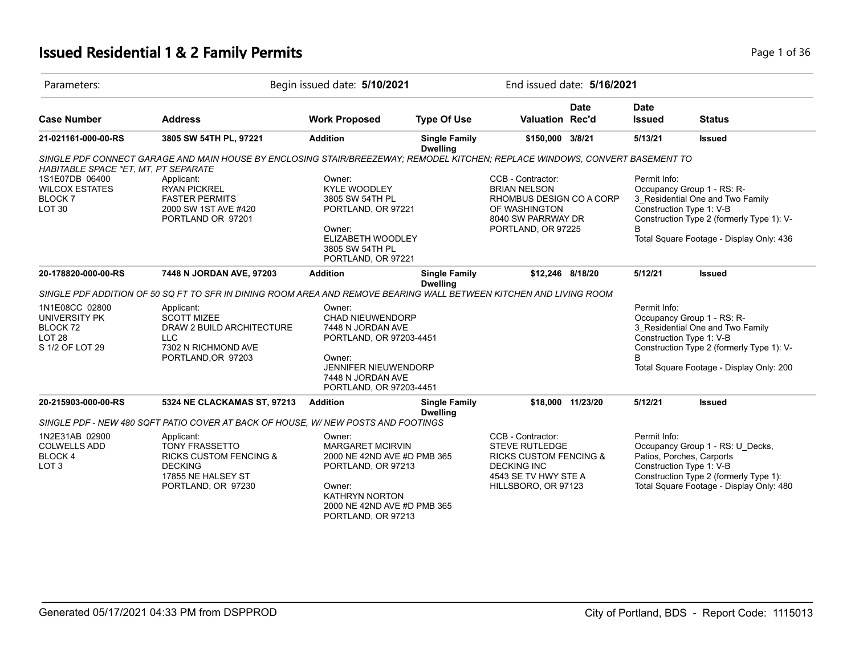# **Issued Residential 1 & 2 Family Permits Page 1 of 36 Page 1 of 36**

| Parameters:                                                                     |                                                                                                                              | Begin issued date: 5/10/2021                                                                                                                                        |                                         |                                   | End issued date: 5/16/2021 |                                          |                                                                                                                                                         |  |
|---------------------------------------------------------------------------------|------------------------------------------------------------------------------------------------------------------------------|---------------------------------------------------------------------------------------------------------------------------------------------------------------------|-----------------------------------------|-----------------------------------|----------------------------|------------------------------------------|---------------------------------------------------------------------------------------------------------------------------------------------------------|--|
| <b>Case Number</b>                                                              | <b>Address</b>                                                                                                               | <b>Work Proposed</b>                                                                                                                                                | <b>Type Of Use</b>                      | <b>Valuation Rec'd</b>            | Date                       | <b>Date</b><br><b>Issued</b>             | <b>Status</b>                                                                                                                                           |  |
| 21-021161-000-00-RS                                                             | 3805 SW 54TH PL, 97221                                                                                                       | <b>Addition</b>                                                                                                                                                     | <b>Single Family</b><br><b>Dwelling</b> | \$150,000 3/8/21                  |                            | 5/13/21                                  | <b>Issued</b>                                                                                                                                           |  |
|                                                                                 | SINGLE PDF CONNECT GARAGE AND MAIN HOUSE BY ENCLOSING STAIR/BREEZEWAY; REMODEL KITCHEN; REPLACE WINDOWS, CONVERT BASEMENT TO |                                                                                                                                                                     |                                         |                                   |                            |                                          |                                                                                                                                                         |  |
| HABITABLE SPACE *ET, MT, PT SEPARATE                                            |                                                                                                                              |                                                                                                                                                                     |                                         |                                   |                            |                                          |                                                                                                                                                         |  |
| 1S1E07DB 06400                                                                  | Applicant:                                                                                                                   | Owner:                                                                                                                                                              |                                         | CCB - Contractor:                 |                            | Permit Info:                             |                                                                                                                                                         |  |
| <b>WILCOX ESTATES</b>                                                           | <b>RYAN PICKREL</b>                                                                                                          | <b>KYLE WOODLEY</b>                                                                                                                                                 |                                         | <b>BRIAN NELSON</b>               |                            |                                          | Occupancy Group 1 - RS: R-                                                                                                                              |  |
| <b>BLOCK 7</b>                                                                  | <b>FASTER PERMITS</b>                                                                                                        | 3805 SW 54TH PL                                                                                                                                                     |                                         | RHOMBUS DESIGN CO A CORP          |                            |                                          | 3 Residential One and Two Family                                                                                                                        |  |
| LOT <sub>30</sub>                                                               | 2000 SW 1ST AVE #420                                                                                                         | PORTLAND, OR 97221                                                                                                                                                  |                                         | OF WASHINGTON                     |                            | Construction Type 1: V-B                 |                                                                                                                                                         |  |
|                                                                                 | PORTLAND OR 97201                                                                                                            |                                                                                                                                                                     |                                         | 8040 SW PARRWAY DR                |                            |                                          | Construction Type 2 (formerly Type 1): V-                                                                                                               |  |
|                                                                                 |                                                                                                                              | Owner:                                                                                                                                                              |                                         | PORTLAND, OR 97225                |                            | B                                        |                                                                                                                                                         |  |
|                                                                                 |                                                                                                                              | ELIZABETH WOODLEY                                                                                                                                                   |                                         |                                   |                            |                                          | Total Square Footage - Display Only: 436                                                                                                                |  |
|                                                                                 |                                                                                                                              | 3805 SW 54TH PL                                                                                                                                                     |                                         |                                   |                            |                                          |                                                                                                                                                         |  |
|                                                                                 |                                                                                                                              | PORTLAND, OR 97221                                                                                                                                                  |                                         |                                   |                            |                                          |                                                                                                                                                         |  |
| 20-178820-000-00-RS                                                             | 7448 N JORDAN AVE, 97203                                                                                                     | <b>Addition</b>                                                                                                                                                     | <b>Single Family</b><br><b>Dwelling</b> | \$12,246 8/18/20                  |                            | 5/12/21                                  | <b>Issued</b>                                                                                                                                           |  |
|                                                                                 | SINGLE PDF ADDITION OF 50 SQ FT TO SFR IN DINING ROOM AREA AND REMOVE BEARING WALL BETWEEN KITCHEN AND LIVING ROOM           |                                                                                                                                                                     |                                         |                                   |                            |                                          |                                                                                                                                                         |  |
| 1N1E08CC 02800<br>UNIVERSITY PK<br>BLOCK 72<br><b>LOT 28</b><br>S 1/2 OF LOT 29 | Applicant:<br><b>SCOTT MIZEE</b><br>DRAW 2 BUILD ARCHITECTURE<br><b>LLC</b><br>7302 N RICHMOND AVE<br>PORTLAND, OR 97203     | Owner:<br><b>CHAD NIEUWENDORP</b><br>7448 N JORDAN AVE<br>PORTLAND, OR 97203-4451<br>Owner:<br>JENNIFER NIEUWENDORP<br>7448 N JORDAN AVE<br>PORTLAND, OR 97203-4451 |                                         |                                   |                            | Permit Info:<br>Construction Type 1: V-B | Occupancy Group 1 - RS: R-<br>3_Residential One and Two Family<br>Construction Type 2 (formerly Type 1): V-<br>Total Square Footage - Display Only: 200 |  |
| 20-215903-000-00-RS                                                             | 5324 NE CLACKAMAS ST, 97213                                                                                                  | <b>Addition</b>                                                                                                                                                     | <b>Single Family</b><br><b>Dwelling</b> |                                   | \$18,000 11/23/20          | 5/12/21                                  | <b>Issued</b>                                                                                                                                           |  |
|                                                                                 | SINGLE PDF - NEW 480 SQFT PATIO COVER AT BACK OF HOUSE, W/ NEW POSTS AND FOOTINGS                                            |                                                                                                                                                                     |                                         |                                   |                            |                                          |                                                                                                                                                         |  |
| 1N2E31AB 02900                                                                  | Applicant:                                                                                                                   | Owner:                                                                                                                                                              |                                         | CCB - Contractor:                 |                            | Permit Info:                             |                                                                                                                                                         |  |
| <b>COLWELLS ADD</b>                                                             | <b>TONY FRASSETTO</b>                                                                                                        | <b>MARGARET MCIRVIN</b>                                                                                                                                             |                                         | <b>STEVE RUTLEDGE</b>             |                            |                                          | Occupancy Group 1 - RS: U_Decks,                                                                                                                        |  |
| BLOCK 4                                                                         | <b>RICKS CUSTOM FENCING &amp;</b>                                                                                            | 2000 NE 42ND AVE #D PMB 365                                                                                                                                         |                                         | <b>RICKS CUSTOM FENCING &amp;</b> |                            |                                          | Patios, Porches, Carports                                                                                                                               |  |
| LOT <sub>3</sub>                                                                | <b>DECKING</b>                                                                                                               | PORTLAND, OR 97213                                                                                                                                                  |                                         | <b>DECKING INC</b>                |                            | Construction Type 1: V-B                 |                                                                                                                                                         |  |
|                                                                                 | 17855 NE HALSEY ST                                                                                                           |                                                                                                                                                                     |                                         | 4543 SE TV HWY STE A              |                            |                                          | Construction Type 2 (formerly Type 1):                                                                                                                  |  |
|                                                                                 | PORTLAND, OR 97230                                                                                                           | Owner:<br><b>KATHRYN NORTON</b><br>2000 NE 42ND AVE #D PMB 365<br>PORTLAND, OR 97213                                                                                |                                         | HILLSBORO, OR 97123               |                            |                                          | Total Square Footage - Display Only: 480                                                                                                                |  |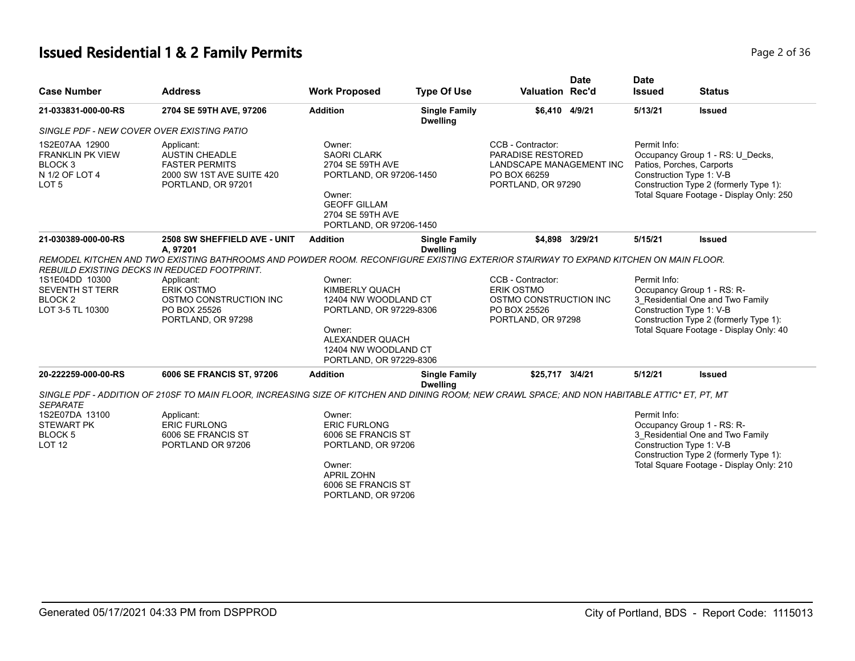# **Issued Residential 1 & 2 Family Permits Page 1 and 2011 12 July 12011 1202 1204 130 Page 2 of 36**

| <b>Case Number</b>                                                                                        | <b>Address</b>                                                                                                                                                               | <b>Work Proposed</b>                                                                                                                                                           | <b>Type Of Use</b>                      | <b>Valuation Rec'd</b>                                                                                                                                                                                                                        | <b>Date</b>     | <b>Date</b><br><b>Issued</b> | <b>Status</b>                                                                                                                                                                                    |
|-----------------------------------------------------------------------------------------------------------|------------------------------------------------------------------------------------------------------------------------------------------------------------------------------|--------------------------------------------------------------------------------------------------------------------------------------------------------------------------------|-----------------------------------------|-----------------------------------------------------------------------------------------------------------------------------------------------------------------------------------------------------------------------------------------------|-----------------|------------------------------|--------------------------------------------------------------------------------------------------------------------------------------------------------------------------------------------------|
| 21-033831-000-00-RS                                                                                       | 2704 SE 59TH AVE, 97206                                                                                                                                                      | <b>Addition</b>                                                                                                                                                                | <b>Single Family</b><br><b>Dwelling</b> | \$6,410 4/9/21                                                                                                                                                                                                                                |                 | 5/13/21                      | <b>Issued</b>                                                                                                                                                                                    |
| SINGLE PDF - NEW COVER OVER EXISTING PATIO                                                                |                                                                                                                                                                              |                                                                                                                                                                                |                                         |                                                                                                                                                                                                                                               |                 |                              |                                                                                                                                                                                                  |
| 1S2E07AA 12900<br><b>FRANKLIN PK VIEW</b><br>BLOCK <sub>3</sub><br>N 1/2 OF LOT 4<br>LOT <sub>5</sub>     | Applicant:<br>AUSTIN CHEADLE<br><b>FASTER PERMITS</b><br>2000 SW 1ST AVE SUITE 420<br>PORTLAND, OR 97201                                                                     | Owner:<br><b>SAORI CLARK</b><br>2704 SE 59TH AVE<br>PORTLAND, OR 97206-1450<br>Owner:<br><b>GEOFF GILLAM</b><br>2704 SE 59TH AVE<br>PORTLAND, OR 97206-1450                    |                                         | CCB - Contractor:<br>PARADISE RESTORED<br>LANDSCAPE MANAGEMENT INC<br>PO BOX 66259<br>PORTLAND, OR 97290                                                                                                                                      |                 | Permit Info:                 | Occupancy Group 1 - RS: U Decks,<br>Patios, Porches, Carports<br>Construction Type 1: V-B<br>Construction Type 2 (formerly Type 1):<br>Total Square Footage - Display Only: 250                  |
| 21-030389-000-00-RS                                                                                       | 2508 SW SHEFFIELD AVE - UNIT<br>A, 97201                                                                                                                                     | <b>Addition</b>                                                                                                                                                                | <b>Single Family</b><br><b>Dwelling</b> |                                                                                                                                                                                                                                               | \$4,898 3/29/21 | 5/15/21                      | <b>Issued</b>                                                                                                                                                                                    |
| 1S1E04DD 10300<br><b>SEVENTH ST TERR</b><br>BLOCK <sub>2</sub><br>LOT 3-5 TL 10300<br>20-222259-000-00-RS | REBUILD EXISTING DECKS IN REDUCED FOOTPRINT.<br>Applicant:<br><b>ERIK OSTMO</b><br>OSTMO CONSTRUCTION INC<br>PO BOX 25526<br>PORTLAND, OR 97298<br>6006 SE FRANCIS ST, 97206 | Owner:<br>KIMBERLY QUACH<br>12404 NW WOODLAND CT<br>PORTLAND, OR 97229-8306<br>Owner:<br>ALEXANDER QUACH<br>12404 NW WOODLAND CT<br>PORTLAND, OR 97229-8306<br><b>Addition</b> |                                         | REMODEL KITCHEN AND TWO EXISTING BATHROOMS AND POWDER ROOM. RECONFIGURE EXISTING EXTERIOR STAIRWAY TO EXPAND KITCHEN ON MAIN FLOOR.<br>CCB - Contractor:<br><b>ERIK OSTMO</b><br>OSTMO CONSTRUCTION INC<br>PO BOX 25526<br>PORTLAND, OR 97298 |                 | Permit Info:<br>5/12/21      | Occupancy Group 1 - RS: R-<br>3 Residential One and Two Family<br>Construction Type 1: V-B<br>Construction Type 2 (formerly Type 1):<br>Total Square Footage - Display Only: 40<br><b>Issued</b> |
|                                                                                                           |                                                                                                                                                                              |                                                                                                                                                                                | <b>Single Family</b><br><b>Dwelling</b> | \$25,717 3/4/21                                                                                                                                                                                                                               |                 |                              |                                                                                                                                                                                                  |
| <b>SEPARATE</b>                                                                                           | SINGLE PDF - ADDITION OF 210SF TO MAIN FLOOR, INCREASING SIZE OF KITCHEN AND DINING ROOM; NEW CRAWL SPACE; AND NON HABITABLE ATTIC* ET, PT, MT                               |                                                                                                                                                                                |                                         |                                                                                                                                                                                                                                               |                 |                              |                                                                                                                                                                                                  |
| 1S2E07DA 13100<br><b>STEWART PK</b><br>BLOCK <sub>5</sub><br>LOT <sub>12</sub>                            | Applicant:<br><b>ERIC FURLONG</b><br>6006 SE FRANCIS ST<br>PORTLAND OR 97206                                                                                                 | Owner:<br><b>ERIC FURLONG</b><br>6006 SE FRANCIS ST<br>PORTLAND, OR 97206<br>Owner:<br><b>APRIL ZOHN</b><br>6006 SE FRANCIS ST<br>PORTLAND, OR 97206                           |                                         |                                                                                                                                                                                                                                               |                 | Permit Info:                 | Occupancy Group 1 - RS: R-<br>3 Residential One and Two Family<br>Construction Type 1: V-B<br>Construction Type 2 (formerly Type 1):<br>Total Square Footage - Display Only: 210                 |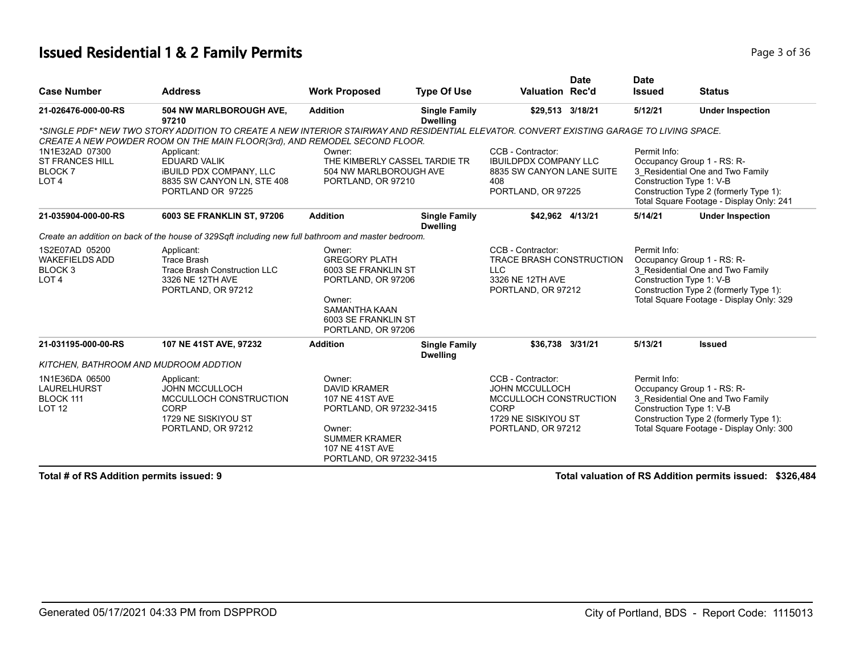#### **Issued Residential 1 & 2 Family Permits Page 1 and 2011 12 and 2012 12:30 Page 3 of 36**

|                                       |                                                                                                                                          |                               |                                         |                                 | <b>Date</b> | <b>Date</b>   |                                                                                    |
|---------------------------------------|------------------------------------------------------------------------------------------------------------------------------------------|-------------------------------|-----------------------------------------|---------------------------------|-------------|---------------|------------------------------------------------------------------------------------|
| <b>Case Number</b>                    | <b>Address</b>                                                                                                                           | <b>Work Proposed</b>          | <b>Type Of Use</b>                      | <b>Valuation Rec'd</b>          |             | <b>Issued</b> | <b>Status</b>                                                                      |
| 21-026476-000-00-RS                   | 504 NW MARLBOROUGH AVE,<br>97210                                                                                                         | <b>Addition</b>               | <b>Single Family</b><br><b>Dwelling</b> | \$29,513 3/18/21                |             | 5/12/21       | <b>Under Inspection</b>                                                            |
|                                       | *SINGLE PDF* NEW TWO STORY ADDITION TO CREATE A NEW INTERIOR STAIRWAY AND RESIDENTIAL ELEVATOR. CONVERT EXISTING GARAGE TO LIVING SPACE. |                               |                                         |                                 |             |               |                                                                                    |
|                                       | CREATE A NEW POWDER ROOM ON THE MAIN FLOOR(3rd), AND REMODEL SECOND FLOOR.                                                               |                               |                                         |                                 |             |               |                                                                                    |
| 1N1E32AD 07300                        | Applicant:                                                                                                                               | Owner:                        |                                         | CCB - Contractor:               |             | Permit Info:  |                                                                                    |
| <b>ST FRANCES HILL</b>                | <b>EDUARD VALIK</b>                                                                                                                      | THE KIMBERLY CASSEL TARDIE TR |                                         | <b>IBUILDPDX COMPANY LLC</b>    |             |               | Occupancy Group 1 - RS: R-                                                         |
| <b>BLOCK7</b>                         | <b>IBUILD PDX COMPANY, LLC</b>                                                                                                           | 504 NW MARLBOROUGH AVE        |                                         | 8835 SW CANYON LANE SUITE       |             |               | 3_Residential One and Two Family                                                   |
| LOT <sub>4</sub>                      | 8835 SW CANYON LN, STE 408                                                                                                               | PORTLAND, OR 97210            |                                         | 408                             |             |               | Construction Type 1: V-B                                                           |
|                                       | PORTLAND OR 97225                                                                                                                        |                               |                                         | PORTLAND, OR 97225              |             |               | Construction Type 2 (formerly Type 1):<br>Total Square Footage - Display Only: 241 |
| 21-035904-000-00-RS                   | 6003 SE FRANKLIN ST, 97206                                                                                                               | <b>Addition</b>               | <b>Single Family</b><br><b>Dwelling</b> | \$42,962 4/13/21                |             | 5/14/21       | <b>Under Inspection</b>                                                            |
|                                       | Create an addition on back of the house of 329Sqft including new full bathroom and master bedroom.                                       |                               |                                         |                                 |             |               |                                                                                    |
| 1S2E07AD 05200                        | Applicant:                                                                                                                               | Owner:                        |                                         | CCB - Contractor:               |             | Permit Info:  |                                                                                    |
| <b>WAKEFIELDS ADD</b>                 | Trace Brash                                                                                                                              | <b>GREGORY PLATH</b>          |                                         | <b>TRACE BRASH CONSTRUCTION</b> |             |               | Occupancy Group 1 - RS: R-                                                         |
| BLOCK 3                               | Trace Brash Construction LLC                                                                                                             | 6003 SE FRANKLIN ST           |                                         | LLC.                            |             |               | 3_Residential One and Two Family                                                   |
| LOT <sub>4</sub>                      | 3326 NE 12TH AVE                                                                                                                         | PORTLAND, OR 97206            |                                         | 3326 NE 12TH AVE                |             |               | Construction Type 1: V-B                                                           |
|                                       | PORTLAND, OR 97212                                                                                                                       | Owner:                        |                                         | PORTLAND, OR 97212              |             |               | Construction Type 2 (formerly Type 1):<br>Total Square Footage - Display Only: 329 |
|                                       |                                                                                                                                          | <b>SAMANTHA KAAN</b>          |                                         |                                 |             |               |                                                                                    |
|                                       |                                                                                                                                          | 6003 SE FRANKLIN ST           |                                         |                                 |             |               |                                                                                    |
|                                       |                                                                                                                                          | PORTLAND, OR 97206            |                                         |                                 |             |               |                                                                                    |
| 21-031195-000-00-RS                   | 107 NE 41ST AVE, 97232                                                                                                                   | <b>Addition</b>               | <b>Single Family</b>                    | \$36,738 3/31/21                |             | 5/13/21       | <b>Issued</b>                                                                      |
|                                       |                                                                                                                                          |                               | <b>Dwelling</b>                         |                                 |             |               |                                                                                    |
| KITCHEN, BATHROOM AND MUDROOM ADDTION |                                                                                                                                          |                               |                                         |                                 |             |               |                                                                                    |
| 1N1E36DA 06500                        | Applicant:                                                                                                                               | Owner:                        |                                         | CCB - Contractor:               |             | Permit Info:  |                                                                                    |
| <b>LAURELHURST</b>                    | <b>JOHN MCCULLOCH</b>                                                                                                                    | <b>DAVID KRAMER</b>           |                                         | <b>JOHN MCCULLOCH</b>           |             |               | Occupancy Group 1 - RS: R-                                                         |
| BLOCK 111                             | MCCULLOCH CONSTRUCTION                                                                                                                   | <b>107 NE 41ST AVE</b>        |                                         | MCCULLOCH CONSTRUCTION          |             |               | 3 Residential One and Two Family                                                   |
| LOT <sub>12</sub>                     | <b>CORP</b>                                                                                                                              | PORTLAND, OR 97232-3415       |                                         | CORP                            |             |               | Construction Type 1: V-B                                                           |
|                                       | 1729 NE SISKIYOU ST                                                                                                                      | Owner:                        |                                         | 1729 NE SISKIYOU ST             |             |               | Construction Type 2 (formerly Type 1):<br>Total Square Footage - Display Only: 300 |
|                                       | PORTLAND, OR 97212                                                                                                                       | <b>SUMMER KRAMER</b>          |                                         | PORTLAND, OR 97212              |             |               |                                                                                    |
|                                       |                                                                                                                                          | <b>107 NE 41ST AVE</b>        |                                         |                                 |             |               |                                                                                    |
|                                       |                                                                                                                                          | PORTLAND, OR 97232-3415       |                                         |                                 |             |               |                                                                                    |
|                                       |                                                                                                                                          |                               |                                         |                                 |             |               |                                                                                    |

**Total # of RS Addition permits issued: 9 Total valuation of RS Addition permits issued: \$326,484**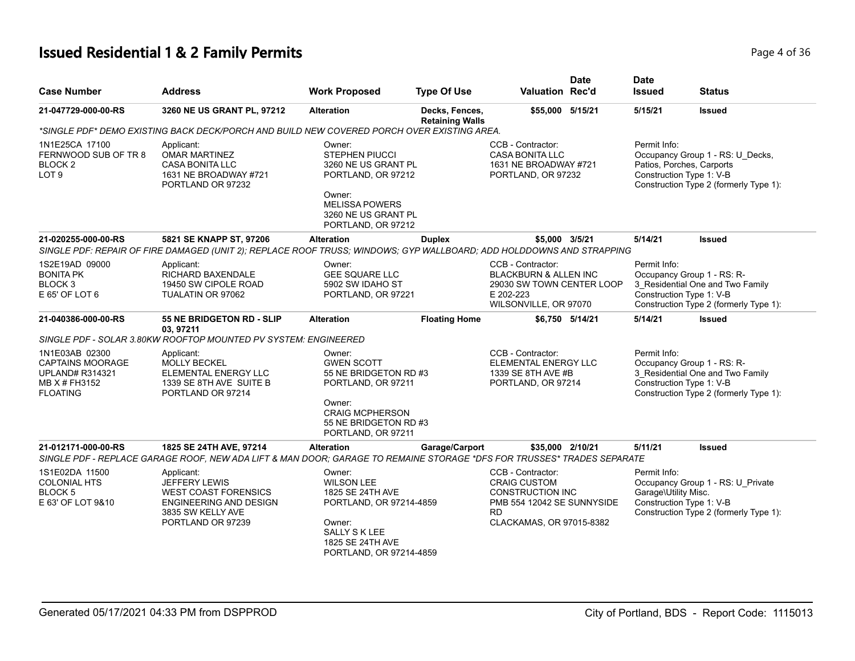# **Issued Residential 1 & 2 Family Permits Page 1 of 36 Page 4 of 36**

| <b>Case Number</b>                                                                                      | <b>Address</b>                                                                                                                                    | <b>Work Proposed</b>                                                                                                                                          | <b>Type Of Use</b>                       | <b>Valuation Rec'd</b>                                                                                                                     | <b>Date</b>     | <b>Date</b><br><b>Issued</b>                                          | <b>Status</b>                                                                                            |
|---------------------------------------------------------------------------------------------------------|---------------------------------------------------------------------------------------------------------------------------------------------------|---------------------------------------------------------------------------------------------------------------------------------------------------------------|------------------------------------------|--------------------------------------------------------------------------------------------------------------------------------------------|-----------------|-----------------------------------------------------------------------|----------------------------------------------------------------------------------------------------------|
| 21-047729-000-00-RS                                                                                     | 3260 NE US GRANT PL, 97212                                                                                                                        | <b>Alteration</b>                                                                                                                                             | Decks, Fences,<br><b>Retaining Walls</b> | \$55,000 5/15/21                                                                                                                           |                 | 5/15/21                                                               | <b>Issued</b>                                                                                            |
|                                                                                                         | *SINGLE PDF* DEMO EXISTING BACK DECK/PORCH AND BUILD NEW COVERED PORCH OVER EXISTING AREA.                                                        |                                                                                                                                                               |                                          |                                                                                                                                            |                 |                                                                       |                                                                                                          |
| 1N1E25CA 17100<br>FERNWOOD SUB OF TR 8<br>BLOCK <sub>2</sub><br>LOT <sub>9</sub>                        | Applicant:<br><b>OMAR MARTINEZ</b><br><b>CASA BONITA LLC</b><br>1631 NE BROADWAY #721<br>PORTLAND OR 97232                                        | Owner:<br><b>STEPHEN PIUCCI</b><br>3260 NE US GRANT PL<br>PORTLAND, OR 97212<br>Owner:<br><b>MELISSA POWERS</b><br>3260 NE US GRANT PL<br>PORTLAND, OR 97212  |                                          | CCB - Contractor:<br><b>CASA BONITA LLC</b><br>1631 NE BROADWAY #721<br>PORTLAND, OR 97232                                                 |                 | Permit Info:<br>Patios, Porches, Carports<br>Construction Type 1: V-B | Occupancy Group 1 - RS: U_Decks,<br>Construction Type 2 (formerly Type 1):                               |
| 21-020255-000-00-RS                                                                                     | 5821 SE KNAPP ST, 97206<br>SINGLE PDF: REPAIR OF FIRE DAMAGED (UNIT 2); REPLACE ROOF TRUSS; WINDOWS; GYP WALLBOARD; ADD HOLDDOWNS AND STRAPPING   | <b>Alteration</b>                                                                                                                                             | <b>Duplex</b>                            | \$5,000 3/5/21                                                                                                                             |                 | 5/14/21                                                               | <b>Issued</b>                                                                                            |
| 1S2E19AD 09000<br><b>BONITA PK</b><br>BLOCK 3<br>E 65' OF LOT 6                                         | Applicant:<br>RICHARD BAXENDALE<br>19450 SW CIPOLE ROAD<br>TUALATIN OR 97062                                                                      | Owner:<br><b>GEE SQUARE LLC</b><br>5902 SW IDAHO ST<br>PORTLAND, OR 97221                                                                                     |                                          | CCB - Contractor:<br>BLACKBURN & ALLEN INC<br>29030 SW TOWN CENTER LOOP<br>E 202-223<br>WILSONVILLE, OR 97070                              |                 | Permit Info:<br>Construction Type 1: V-B                              | Occupancy Group 1 - RS: R-<br>3 Residential One and Two Family<br>Construction Type 2 (formerly Type 1): |
| 21-040386-000-00-RS                                                                                     | 55 NE BRIDGETON RD - SLIP<br>03, 97211                                                                                                            | <b>Alteration</b>                                                                                                                                             | <b>Floating Home</b>                     |                                                                                                                                            | \$6,750 5/14/21 | 5/14/21                                                               | <b>Issued</b>                                                                                            |
|                                                                                                         | SINGLE PDF - SOLAR 3.80KW ROOFTOP MOUNTED PV SYSTEM: ENGINEERED                                                                                   |                                                                                                                                                               |                                          |                                                                                                                                            |                 |                                                                       |                                                                                                          |
| 1N1E03AB 02300<br><b>CAPTAINS MOORAGE</b><br><b>UPLAND# R314321</b><br>MB X # FH3152<br><b>FLOATING</b> | Applicant:<br><b>MOLLY BECKEL</b><br>ELEMENTAL ENERGY LLC<br>1339 SE 8TH AVE SUITE B<br>PORTLAND OR 97214                                         | Owner:<br><b>GWEN SCOTT</b><br>55 NE BRIDGETON RD #3<br>PORTLAND, OR 97211<br>Owner:<br><b>CRAIG MCPHERSON</b><br>55 NE BRIDGETON RD #3<br>PORTLAND, OR 97211 |                                          | CCB - Contractor:<br>ELEMENTAL ENERGY LLC<br>1339 SE 8TH AVE #B<br>PORTLAND, OR 97214                                                      |                 | Permit Info:<br>Construction Type 1: V-B                              | Occupancy Group 1 - RS: R-<br>3 Residential One and Two Family<br>Construction Type 2 (formerly Type 1): |
| 21-012171-000-00-RS                                                                                     | 1825 SE 24TH AVE, 97214<br>SINGLE PDF - REPLACE GARAGE ROOF, NEW ADA LIFT & MAN DOOR; GARAGE TO REMAINE STORAGE *DFS FOR TRUSSES* TRADES SEPARATE | <b>Alteration</b>                                                                                                                                             | Garage/Carport                           | \$35,000 2/10/21                                                                                                                           |                 | 5/11/21                                                               | <b>Issued</b>                                                                                            |
| 1S1E02DA 11500<br><b>COLONIAL HTS</b><br><b>BLOCK5</b><br>E 63' OF LOT 9&10                             | Applicant:<br><b>JEFFERY LEWIS</b><br><b>WEST COAST FORENSICS</b><br>ENGINEERING AND DESIGN<br>3835 SW KELLY AVE<br>PORTLAND OR 97239             | Owner:<br><b>WILSON LEE</b><br>1825 SE 24TH AVE<br>PORTLAND, OR 97214-4859<br>Owner:<br><b>SALLY S K LEE</b><br>1825 SE 24TH AVE<br>PORTLAND, OR 97214-4859   |                                          | CCB - Contractor:<br><b>CRAIG CUSTOM</b><br><b>CONSTRUCTION INC</b><br>PMB 554 12042 SE SUNNYSIDE<br><b>RD</b><br>CLACKAMAS, OR 97015-8382 |                 | Permit Info:<br>Garage\Utility Misc.<br>Construction Type 1: V-B      | Occupancy Group 1 - RS: U Private<br>Construction Type 2 (formerly Type 1):                              |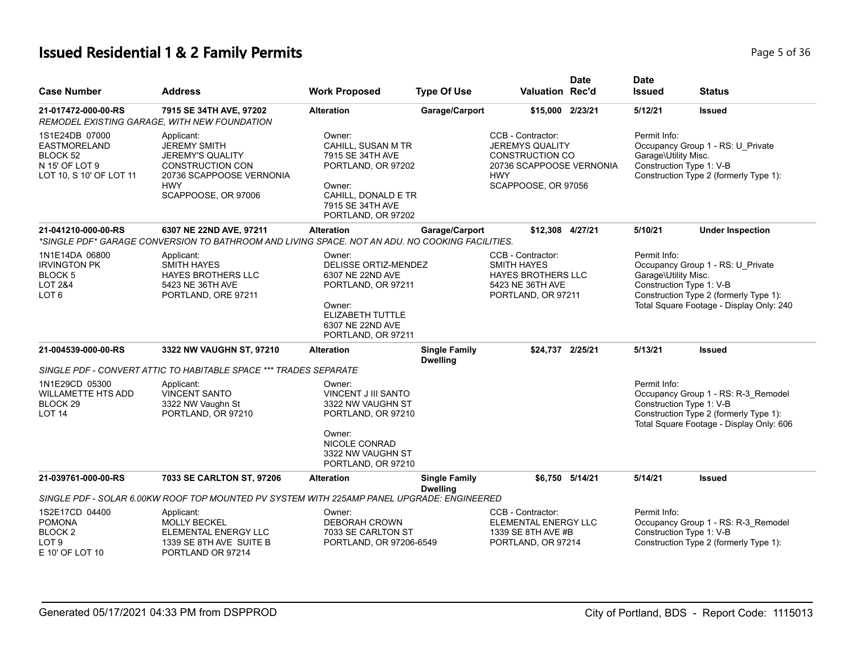# **Issued Residential 1 & 2 Family Permits Page 1 and 2012 12:36 Page 1 and 2013 12:47 Page 5 of 36 Page 5 of 36**

| <b>Case Number</b>                                                                                        | <b>Address</b>                                                                                                                                           | <b>Work Proposed</b>                                                                                                                              | <b>Type Of Use</b>                      | <b>Valuation Rec'd</b>                                                                                                                 | <b>Date</b>     | <b>Date</b><br><b>Issued</b>                                     | <b>Status</b>                                                                                                             |
|-----------------------------------------------------------------------------------------------------------|----------------------------------------------------------------------------------------------------------------------------------------------------------|---------------------------------------------------------------------------------------------------------------------------------------------------|-----------------------------------------|----------------------------------------------------------------------------------------------------------------------------------------|-----------------|------------------------------------------------------------------|---------------------------------------------------------------------------------------------------------------------------|
| 21-017472-000-00-RS                                                                                       | 7915 SE 34TH AVE, 97202<br>REMODEL EXISTING GARAGE, WITH NEW FOUNDATION                                                                                  | <b>Alteration</b>                                                                                                                                 | Garage/Carport                          | \$15,000 2/23/21                                                                                                                       |                 | 5/12/21                                                          | <b>Issued</b>                                                                                                             |
| 1S1E24DB 07000<br><b>EASTMORELAND</b><br>BLOCK <sub>52</sub><br>N 15' OF LOT 9<br>LOT 10, S 10' OF LOT 11 | Applicant:<br><b>JEREMY SMITH</b><br><b>JEREMY'S QUALITY</b><br><b>CONSTRUCTION CON</b><br>20736 SCAPPOOSE VERNONIA<br><b>HWY</b><br>SCAPPOOSE, OR 97006 | Owner:<br>CAHILL, SUSAN M TR<br>7915 SE 34TH AVE<br>PORTLAND, OR 97202<br>Owner:<br>CAHILL, DONALD E TR<br>7915 SE 34TH AVE<br>PORTLAND, OR 97202 |                                         | CCB - Contractor:<br><b>JEREMYS QUALITY</b><br><b>CONSTRUCTION CO</b><br>20736 SCAPPOOSE VERNONIA<br><b>HWY</b><br>SCAPPOOSE, OR 97056 |                 | Permit Info:<br>Garage\Utility Misc.<br>Construction Type 1: V-B | Occupancy Group 1 - RS: U_Private<br>Construction Type 2 (formerly Type 1):                                               |
| 21-041210-000-00-RS                                                                                       | 6307 NE 22ND AVE, 97211<br>*SINGLE PDF* GARAGE CONVERSION TO BATHROOM AND LIVING SPACE. NOT AN ADU. NO COOKING FACILITIES.                               | <b>Alteration</b>                                                                                                                                 | Garage/Carport                          | \$12,308 4/27/21                                                                                                                       |                 | 5/10/21                                                          | <b>Under Inspection</b>                                                                                                   |
| 1N1E14DA 06800<br><b>IRVINGTON PK</b><br>BLOCK <sub>5</sub><br><b>LOT 2&amp;4</b><br>LOT <sub>6</sub>     | Applicant:<br><b>SMITH HAYES</b><br><b>HAYES BROTHERS LLC</b><br>5423 NE 36TH AVE<br>PORTLAND, ORE 97211                                                 | Owner:<br>DELISSE ORTIZ-MENDEZ<br>6307 NE 22ND AVE<br>PORTLAND, OR 97211<br>Owner:<br>ELIZABETH TUTTLE<br>6307 NE 22ND AVE<br>PORTLAND, OR 97211  |                                         | CCB - Contractor:<br><b>SMITH HAYES</b><br><b>HAYES BROTHERS LLC</b><br>5423 NE 36TH AVE<br>PORTLAND, OR 97211                         |                 | Permit Info:<br>Garage\Utility Misc.<br>Construction Type 1: V-B | Occupancy Group 1 - RS: U Private<br>Construction Type 2 (formerly Type 1):<br>Total Square Footage - Display Only: 240   |
| 21-004539-000-00-RS                                                                                       | 3322 NW VAUGHN ST, 97210                                                                                                                                 | <b>Alteration</b>                                                                                                                                 | <b>Single Family</b><br><b>Dwelling</b> | \$24,737 2/25/21                                                                                                                       |                 | 5/13/21                                                          | <b>Issued</b>                                                                                                             |
|                                                                                                           | SINGLE PDF - CONVERT ATTIC TO HABITABLE SPACE *** TRADES SEPARATE                                                                                        |                                                                                                                                                   |                                         |                                                                                                                                        |                 |                                                                  |                                                                                                                           |
| 1N1E29CD 05300<br><b>WILLAMETTE HTS ADD</b><br>BLOCK <sub>29</sub><br>LOT <sub>14</sub>                   | Applicant:<br><b>VINCENT SANTO</b><br>3322 NW Vaughn St<br>PORTLAND, OR 97210                                                                            | Owner:<br><b>VINCENT J III SANTO</b><br>3322 NW VAUGHN ST<br>PORTLAND, OR 97210<br>Owner:                                                         |                                         |                                                                                                                                        |                 | Permit Info:<br>Construction Type 1: V-B                         | Occupancy Group 1 - RS: R-3_Remodel<br>Construction Type 2 (formerly Type 1):<br>Total Square Footage - Display Only: 606 |
|                                                                                                           |                                                                                                                                                          | NICOLE CONRAD<br>3322 NW VAUGHN ST<br>PORTLAND, OR 97210                                                                                          |                                         |                                                                                                                                        |                 |                                                                  |                                                                                                                           |
| 21-039761-000-00-RS                                                                                       | 7033 SE CARLTON ST, 97206                                                                                                                                | <b>Alteration</b>                                                                                                                                 | <b>Single Family</b><br><b>Dwelling</b> |                                                                                                                                        | \$6.750 5/14/21 | 5/14/21                                                          | <b>Issued</b>                                                                                                             |
|                                                                                                           | SINGLE PDF - SOLAR 6.00KW ROOF TOP MOUNTED PV SYSTEM WITH 225AMP PANEL UPGRADE: ENGINEERED                                                               |                                                                                                                                                   |                                         |                                                                                                                                        |                 |                                                                  |                                                                                                                           |
| 1S2E17CD 04400<br><b>POMONA</b><br>BLOCK <sub>2</sub><br>LOT <sub>9</sub><br>E 10' OF LOT 10              | Applicant:<br><b>MOLLY BECKEL</b><br>ELEMENTAL ENERGY LLC<br>1339 SE 8TH AVE SUITE B<br>PORTLAND OR 97214                                                | Owner:<br><b>DEBORAH CROWN</b><br>7033 SE CARLTON ST<br>PORTLAND, OR 97206-6549                                                                   |                                         | CCB - Contractor:<br>ELEMENTAL ENERGY LLC<br>1339 SE 8TH AVE #B<br>PORTLAND, OR 97214                                                  |                 | Permit Info:<br>Construction Type 1: V-B                         | Occupancy Group 1 - RS: R-3_Remodel<br>Construction Type 2 (formerly Type 1):                                             |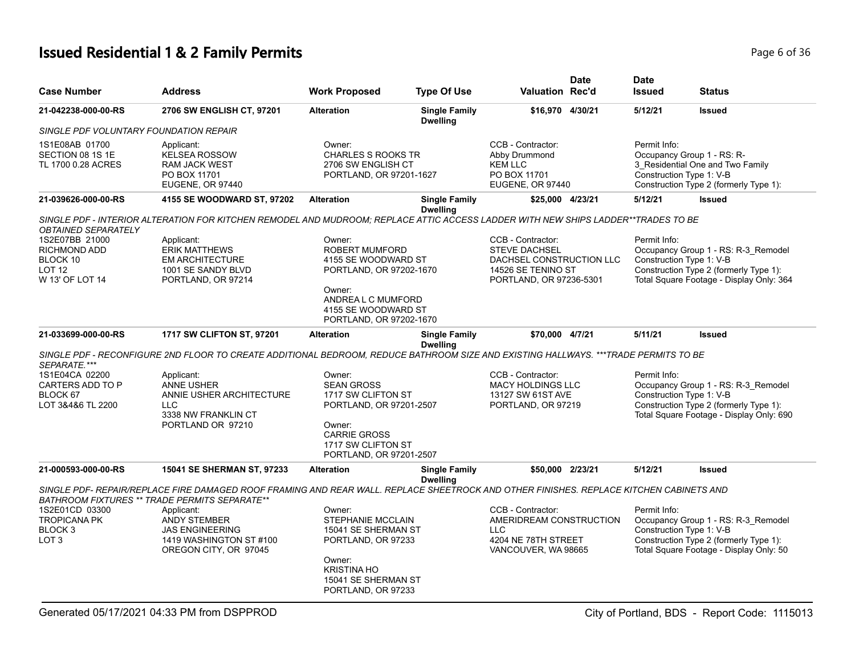# **Issued Residential 1 & 2 Family Permits Page 1 and 20 July 10 and 20 July 10 and 20 July 10 and 20 July 10 and 20 July 10 and 20 July 10 and 20 July 10 and 20 July 10 and 20 July 10 and 20 July 10 and 20 July 10 and 20**

| <b>Case Number</b>                                                                    | <b>Address</b>                                                                                                                         | <b>Work Proposed</b>                                                                                                                                                | <b>Type Of Use</b>                      | <b>Valuation Rec'd</b>                                                                                                 | <b>Date</b> | <b>Date</b><br><b>Issued</b>                                           | Status                                                                                                                    |
|---------------------------------------------------------------------------------------|----------------------------------------------------------------------------------------------------------------------------------------|---------------------------------------------------------------------------------------------------------------------------------------------------------------------|-----------------------------------------|------------------------------------------------------------------------------------------------------------------------|-------------|------------------------------------------------------------------------|---------------------------------------------------------------------------------------------------------------------------|
| 21-042238-000-00-RS                                                                   | 2706 SW ENGLISH CT, 97201                                                                                                              | <b>Alteration</b>                                                                                                                                                   | <b>Single Family</b><br><b>Dwelling</b> | \$16,970 4/30/21                                                                                                       |             | 5/12/21                                                                | <b>Issued</b>                                                                                                             |
| SINGLE PDF VOLUNTARY FOUNDATION REPAIR                                                |                                                                                                                                        |                                                                                                                                                                     |                                         |                                                                                                                        |             |                                                                        |                                                                                                                           |
| 1S1E08AB 01700<br>SECTION 08 1S 1E<br>TL 1700 0.28 ACRES                              | Applicant:<br><b>KELSEA ROSSOW</b><br><b>RAM JACK WEST</b><br>PO BOX 11701<br>EUGENE, OR 97440                                         | Owner:<br><b>CHARLES S ROOKS TR</b><br>2706 SW ENGLISH CT<br>PORTLAND, OR 97201-1627                                                                                |                                         | CCB - Contractor:<br>Abby Drummond<br><b>KEM LLC</b><br>PO BOX 11701<br>EUGENE, OR 97440                               |             | Permit Info:<br>Occupancy Group 1 - RS: R-<br>Construction Type 1: V-B | 3_Residential One and Two Family<br>Construction Type 2 (formerly Type 1):                                                |
| 21-039626-000-00-RS                                                                   | 4155 SE WOODWARD ST, 97202                                                                                                             | <b>Alteration</b>                                                                                                                                                   | <b>Single Family</b><br><b>Dwelling</b> | \$25,000 4/23/21                                                                                                       |             | 5/12/21                                                                | <b>Issued</b>                                                                                                             |
| <b>OBTAINED SEPARATELY</b>                                                            | SINGLE PDF - INTERIOR ALTERATION FOR KITCHEN REMODEL AND MUDROOM: REPLACE ATTIC ACCESS LADDER WITH NEW SHIPS LADDER**TRADES TO BE      |                                                                                                                                                                     |                                         |                                                                                                                        |             |                                                                        |                                                                                                                           |
| 1S2E07BB 21000<br><b>RICHMOND ADD</b><br>BLOCK 10<br><b>LOT 12</b><br>W 13' OF LOT 14 | Applicant:<br><b>ERIK MATTHEWS</b><br><b>EM ARCHITECTURE</b><br>1001 SE SANDY BLVD<br>PORTLAND, OR 97214                               | Owner:<br><b>ROBERT MUMFORD</b><br>4155 SE WOODWARD ST<br>PORTLAND, OR 97202-1670<br>Owner:<br>ANDREA L C MUMFORD<br>4155 SE WOODWARD ST<br>PORTLAND, OR 97202-1670 |                                         | CCB - Contractor:<br><b>STEVE DACHSEL</b><br>DACHSEL CONSTRUCTION LLC<br>14526 SE TENINO ST<br>PORTLAND, OR 97236-5301 |             | Permit Info:<br>Construction Type 1: V-B                               | Occupancy Group 1 - RS: R-3_Remodel<br>Construction Type 2 (formerly Type 1):<br>Total Square Footage - Display Only: 364 |
| 21-033699-000-00-RS                                                                   | 1717 SW CLIFTON ST, 97201                                                                                                              | <b>Alteration</b>                                                                                                                                                   | <b>Single Family</b><br><b>Dwelling</b> | \$70,000 4/7/21                                                                                                        |             | 5/11/21                                                                | <b>Issued</b>                                                                                                             |
| SEPARATE.***                                                                          | SINGLE PDF - RECONFIGURE 2ND FLOOR TO CREATE ADDITIONAL BEDROOM, REDUCE BATHROOM SIZE AND EXISTING HALLWAYS. ***TRADE PERMITS TO BE    |                                                                                                                                                                     |                                         |                                                                                                                        |             |                                                                        |                                                                                                                           |
| 1S1E04CA 02200<br>CARTERS ADD TO P<br>BLOCK 67<br>LOT 3&4&6 TL 2200                   | Applicant:<br><b>ANNE USHER</b><br>ANNIE USHER ARCHITECTURE<br><b>LLC</b><br>3338 NW FRANKLIN CT<br>PORTLAND OR 97210                  | Owner:<br><b>SEAN GROSS</b><br>1717 SW CLIFTON ST<br>PORTLAND, OR 97201-2507<br>Owner:<br><b>CARRIE GROSS</b><br>1717 SW CLIFTON ST<br>PORTLAND, OR 97201-2507      |                                         | CCB - Contractor:<br><b>MACY HOLDINGS LLC</b><br>13127 SW 61ST AVE<br>PORTLAND, OR 97219                               |             | Permit Info:<br>Construction Type 1: V-B                               | Occupancy Group 1 - RS: R-3_Remodel<br>Construction Type 2 (formerly Type 1):<br>Total Square Footage - Display Only: 690 |
| 21-000593-000-00-RS                                                                   | <b>15041 SE SHERMAN ST, 97233</b>                                                                                                      | <b>Alteration</b>                                                                                                                                                   | <b>Single Family</b><br><b>Dwelling</b> | \$50,000 2/23/21                                                                                                       |             | 5/12/21                                                                | <b>Issued</b>                                                                                                             |
| BATHROOM FIXTURES ** TRADE PERMITS SEPARATE**                                         | SINGLE PDF- REPAIR/REPLACE FIRE DAMAGED ROOF FRAMING AND REAR WALL. REPLACE SHEETROCK AND OTHER FINISHES. REPLACE KITCHEN CABINETS AND |                                                                                                                                                                     |                                         |                                                                                                                        |             |                                                                        |                                                                                                                           |
| 1S2E01CD 03300<br><b>TROPICANA PK</b><br>BLOCK <sub>3</sub><br>LOT <sub>3</sub>       | Applicant:<br><b>ANDY STEMBER</b><br><b>JAS ENGINEERING</b><br>1419 WASHINGTON ST #100<br>OREGON CITY, OR 97045                        | Owner:<br><b>STEPHANIE MCCLAIN</b><br>15041 SE SHERMAN ST<br>PORTLAND, OR 97233<br>Owner:<br><b>KRISTINA HO</b><br>15041 SE SHERMAN ST<br>PORTLAND, OR 97233        |                                         | CCB - Contractor:<br>AMERIDREAM CONSTRUCTION<br><b>LLC</b><br>4204 NE 78TH STREET<br>VANCOUVER, WA 98665               |             | Permit Info:<br>Construction Type 1: V-B                               | Occupancy Group 1 - RS: R-3_Remodel<br>Construction Type 2 (formerly Type 1):<br>Total Square Footage - Display Only: 50  |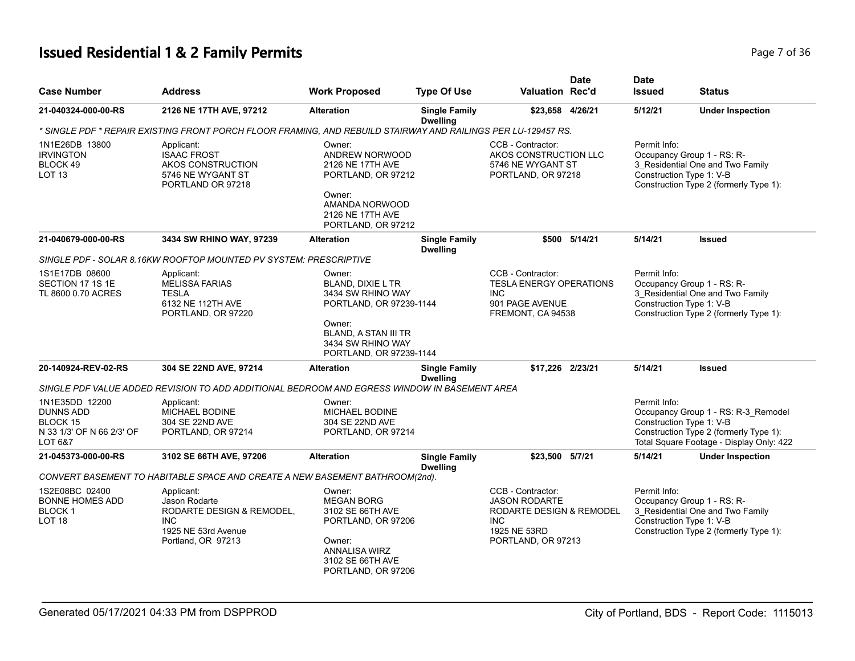# **Issued Residential 1 & 2 Family Permits Page 7 of 36 Page 7 of 36**

| <b>Case Number</b>                                                                     | <b>Address</b>                                                                                                      | <b>Work Proposed</b>                                                                                                                                                        | <b>Type Of Use</b>                      | <b>Valuation Rec'd</b>                                                                                                    | <b>Date</b>   | <b>Date</b><br><b>Issued</b>             | <b>Status</b>                                                                                                             |
|----------------------------------------------------------------------------------------|---------------------------------------------------------------------------------------------------------------------|-----------------------------------------------------------------------------------------------------------------------------------------------------------------------------|-----------------------------------------|---------------------------------------------------------------------------------------------------------------------------|---------------|------------------------------------------|---------------------------------------------------------------------------------------------------------------------------|
| 21-040324-000-00-RS                                                                    | 2126 NE 17TH AVE, 97212                                                                                             | <b>Alteration</b>                                                                                                                                                           | <b>Single Family</b><br><b>Dwelling</b> | \$23,658 4/26/21                                                                                                          |               | 5/12/21                                  | <b>Under Inspection</b>                                                                                                   |
|                                                                                        | * SINGLE PDF * REPAIR EXISTING FRONT PORCH FLOOR FRAMING, AND REBUILD STAIRWAY AND RAILINGS PER LU-129457 RS.       |                                                                                                                                                                             |                                         |                                                                                                                           |               |                                          |                                                                                                                           |
| 1N1E26DB 13800<br><b>IRVINGTON</b><br>BLOCK 49<br>LOT <sub>13</sub>                    | Applicant:<br><b>ISAAC FROST</b><br>AKOS CONSTRUCTION<br>5746 NE WYGANT ST<br>PORTLAND OR 97218                     | Owner:<br>ANDREW NORWOOD<br>2126 NE 17TH AVE<br>PORTLAND, OR 97212<br>Owner:<br>AMANDA NORWOOD<br>2126 NE 17TH AVE<br>PORTLAND, OR 97212                                    |                                         | CCB - Contractor:<br>AKOS CONSTRUCTION LLC<br>5746 NE WYGANT ST<br>PORTLAND, OR 97218                                     |               | Permit Info:<br>Construction Type 1: V-B | Occupancy Group 1 - RS: R-<br>3 Residential One and Two Family<br>Construction Type 2 (formerly Type 1):                  |
| 21-040679-000-00-RS                                                                    | 3434 SW RHINO WAY, 97239                                                                                            | <b>Alteration</b>                                                                                                                                                           | <b>Single Family</b><br><b>Dwelling</b> |                                                                                                                           | \$500 5/14/21 | 5/14/21                                  | Issued                                                                                                                    |
|                                                                                        | SINGLE PDF - SOLAR 8.16KW ROOFTOP MOUNTED PV SYSTEM: PRESCRIPTIVE                                                   |                                                                                                                                                                             |                                         |                                                                                                                           |               |                                          |                                                                                                                           |
| 1S1E17DB 08600<br>SECTION 17 1S 1E<br>TL 8600 0.70 ACRES                               | Applicant:<br><b>MELISSA FARIAS</b><br><b>TESLA</b><br>6132 NE 112TH AVE<br>PORTLAND, OR 97220                      | Owner:<br><b>BLAND, DIXIE L TR</b><br>3434 SW RHINO WAY<br>PORTLAND, OR 97239-1144<br>Owner:<br><b>BLAND, A STAN III TR</b><br>3434 SW RHINO WAY<br>PORTLAND, OR 97239-1144 |                                         | CCB - Contractor:<br><b>TESLA ENERGY OPERATIONS</b><br><b>INC</b><br>901 PAGE AVENUE<br>FREMONT, CA 94538                 |               | Permit Info:<br>Construction Type 1: V-B | Occupancy Group 1 - RS: R-<br>3 Residential One and Two Family<br>Construction Type 2 (formerly Type 1):                  |
| 20-140924-REV-02-RS                                                                    | 304 SE 22ND AVE, 97214                                                                                              | <b>Alteration</b>                                                                                                                                                           | <b>Single Family</b><br><b>Dwelling</b> | \$17,226 2/23/21                                                                                                          |               | 5/14/21                                  | <b>Issued</b>                                                                                                             |
|                                                                                        | SINGLE PDF VALUE ADDED REVISION TO ADD ADDITIONAL BEDROOM AND EGRESS WINDOW IN BASEMENT AREA                        |                                                                                                                                                                             |                                         |                                                                                                                           |               |                                          |                                                                                                                           |
| 1N1E35DD 12200<br><b>DUNNS ADD</b><br>BLOCK 15<br>N 33 1/3' OF N 66 2/3' OF<br>LOT 6&7 | Applicant:<br><b>MICHAEL BODINE</b><br>304 SE 22ND AVE<br>PORTLAND, OR 97214                                        | Owner:<br><b>MICHAEL BODINE</b><br>304 SE 22ND AVE<br>PORTLAND, OR 97214                                                                                                    |                                         |                                                                                                                           |               | Permit Info:<br>Construction Type 1: V-B | Occupancy Group 1 - RS: R-3_Remodel<br>Construction Type 2 (formerly Type 1):<br>Total Square Footage - Display Only: 422 |
| 21-045373-000-00-RS                                                                    | 3102 SE 66TH AVE, 97206                                                                                             | <b>Alteration</b>                                                                                                                                                           | <b>Single Family</b><br><b>Dwelling</b> | \$23,500 5/7/21                                                                                                           |               | 5/14/21                                  | <b>Under Inspection</b>                                                                                                   |
|                                                                                        | CONVERT BASEMENT TO HABITABLE SPACE AND CREATE A NEW BASEMENT BATHROOM(2nd).                                        |                                                                                                                                                                             |                                         |                                                                                                                           |               |                                          |                                                                                                                           |
| 1S2E08BC 02400<br><b>BONNE HOMES ADD</b><br><b>BLOCK1</b><br>LOT <sub>18</sub>         | Applicant:<br>Jason Rodarte<br>RODARTE DESIGN & REMODEL,<br><b>INC</b><br>1925 NE 53rd Avenue<br>Portland, OR 97213 | Owner:<br><b>MEGAN BORG</b><br>3102 SE 66TH AVE<br>PORTLAND, OR 97206<br>Owner:<br>ANNALISA WIRZ<br>3102 SE 66TH AVE<br>PORTLAND, OR 97206                                  |                                         | CCB - Contractor:<br><b>JASON RODARTE</b><br>RODARTE DESIGN & REMODEL<br><b>INC</b><br>1925 NE 53RD<br>PORTLAND, OR 97213 |               | Permit Info:<br>Construction Type 1: V-B | Occupancy Group 1 - RS: R-<br>3_Residential One and Two Family<br>Construction Type 2 (formerly Type 1):                  |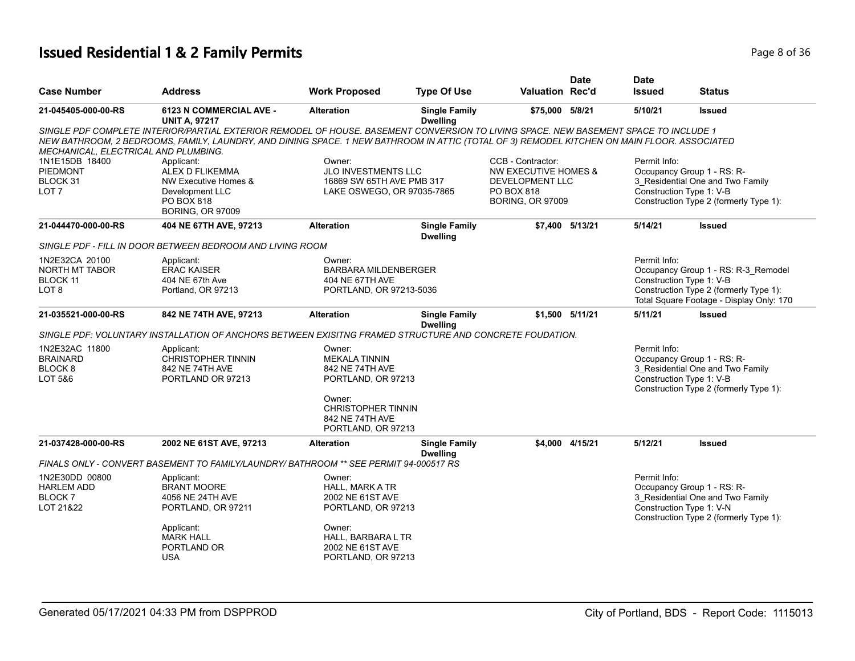# **Issued Residential 1 & 2 Family Permits Page 1 and 2011 12 and 2012 12 and 2013 12 and 2013 12 and 2013 136 Page 8 of 36**

| <b>Case Number</b>                                                 | <b>Address</b>                                                                                                                                                                                                                                                                      | <b>Work Proposed</b>                                                                | <b>Type Of Use</b>                      | <b>Valuation Rec'd</b>                                                 | <b>Date</b>     | <b>Date</b><br><b>Issued</b>             | Status                                                                                                                               |
|--------------------------------------------------------------------|-------------------------------------------------------------------------------------------------------------------------------------------------------------------------------------------------------------------------------------------------------------------------------------|-------------------------------------------------------------------------------------|-----------------------------------------|------------------------------------------------------------------------|-----------------|------------------------------------------|--------------------------------------------------------------------------------------------------------------------------------------|
| 21-045405-000-00-RS                                                | 6123 N COMMERCIAL AVE -<br><b>UNIT A, 97217</b>                                                                                                                                                                                                                                     | <b>Alteration</b>                                                                   | <b>Single Family</b><br><b>Dwelling</b> | \$75,000 5/8/21                                                        |                 | 5/10/21                                  | <b>Issued</b>                                                                                                                        |
| MECHANICAL, ELECTRICAL AND PLUMBING.                               | SINGLE PDF COMPLETE INTERIOR/PARTIAL EXTERIOR REMODEL OF HOUSE. BASEMENT CONVERSION TO LIVING SPACE. NEW BASEMENT SPACE TO INCLUDE 1<br>NEW BATHROOM, 2 BEDROOMS, FAMILY, LAUNDRY, AND DINING SPACE. 1 NEW BATHROOM IN ATTIC (TOTAL OF 3) REMODEL KITCHEN ON MAIN FLOOR. ASSOCIATED |                                                                                     |                                         |                                                                        |                 |                                          |                                                                                                                                      |
| 1N1E15DB 18400<br><b>PIEDMONT</b>                                  | Applicant:<br>ALEX D FLIKEMMA                                                                                                                                                                                                                                                       | Owner:<br><b>JLO INVESTMENTS LLC</b>                                                |                                         | CCB - Contractor:<br><b>NW EXECUTIVE HOMES &amp;</b>                   |                 | Permit Info:                             | Occupancy Group 1 - RS: R-                                                                                                           |
| BLOCK 31<br>LOT <sub>7</sub>                                       | NW Executive Homes &<br>Development LLC<br>PO BOX 818<br><b>BORING, OR 97009</b>                                                                                                                                                                                                    | 16869 SW 65TH AVE PMB 317<br>LAKE OSWEGO, OR 97035-7865                             |                                         | <b>DEVELOPMENT LLC</b><br><b>PO BOX 818</b><br><b>BORING, OR 97009</b> |                 |                                          | 3 Residential One and Two Family<br>Construction Type 1: V-B<br>Construction Type 2 (formerly Type 1):                               |
| 21-044470-000-00-RS                                                | 404 NE 67TH AVE, 97213                                                                                                                                                                                                                                                              | <b>Alteration</b>                                                                   | <b>Single Family</b><br><b>Dwelling</b> |                                                                        | \$7,400 5/13/21 | 5/14/21                                  | <b>Issued</b>                                                                                                                        |
|                                                                    | SINGLE PDF - FILL IN DOOR BETWEEN BEDROOM AND LIVING ROOM                                                                                                                                                                                                                           |                                                                                     |                                         |                                                                        |                 |                                          |                                                                                                                                      |
| 1N2E32CA 20100<br>NORTH MT TABOR<br>BLOCK 11<br>LOT <sub>8</sub>   | Applicant:<br><b>ERAC KAISER</b><br>404 NE 67th Ave<br>Portland, OR 97213                                                                                                                                                                                                           | Owner:<br><b>BARBARA MILDENBERGER</b><br>404 NE 67TH AVE<br>PORTLAND, OR 97213-5036 |                                         |                                                                        |                 | Permit Info:<br>Construction Type 1: V-B | Occupancy Group 1 - RS: R-3_Remodel<br>Construction Type 2 (formerly Type 1):<br>Total Square Footage - Display Only: 170            |
| 21-035521-000-00-RS                                                | 842 NE 74TH AVE, 97213                                                                                                                                                                                                                                                              | <b>Alteration</b>                                                                   | <b>Single Family</b><br><b>Dwelling</b> |                                                                        | \$1,500 5/11/21 | 5/11/21                                  | <b>Issued</b>                                                                                                                        |
|                                                                    | SINGLE PDF: VOLUNTARY INSTALLATION OF ANCHORS BETWEEN EXISITNG FRAMED STRUCTURE AND CONCRETE FOUDATION.                                                                                                                                                                             |                                                                                     |                                         |                                                                        |                 |                                          |                                                                                                                                      |
| 1N2E32AC 11800<br><b>BRAINARD</b><br>BLOCK <sub>8</sub><br>LOT 5&6 | Applicant:<br><b>CHRISTOPHER TINNIN</b><br>842 NE 74TH AVE<br>PORTLAND OR 97213                                                                                                                                                                                                     | Owner:<br><b>MEKALA TINNIN</b><br>842 NE 74TH AVE<br>PORTLAND, OR 97213             |                                         |                                                                        |                 | Permit Info:                             | Occupancy Group 1 - RS: R-<br>3 Residential One and Two Family<br>Construction Type 1: V-B<br>Construction Type 2 (formerly Type 1): |
|                                                                    |                                                                                                                                                                                                                                                                                     | Owner:<br><b>CHRISTOPHER TINNIN</b><br>842 NE 74TH AVE<br>PORTLAND, OR 97213        |                                         |                                                                        |                 |                                          |                                                                                                                                      |
| 21-037428-000-00-RS                                                | 2002 NE 61ST AVE, 97213                                                                                                                                                                                                                                                             | <b>Alteration</b>                                                                   | <b>Single Family</b><br><b>Dwelling</b> |                                                                        | \$4.000 4/15/21 | 5/12/21                                  | <b>Issued</b>                                                                                                                        |
|                                                                    | FINALS ONLY - CONVERT BASEMENT TO FAMILY/LAUNDRY/ BATHROOM ** SEE PERMIT 94-000517 RS                                                                                                                                                                                               |                                                                                     |                                         |                                                                        |                 |                                          |                                                                                                                                      |
| 1N2E30DD 00800<br><b>HARLEM ADD</b><br><b>BLOCK7</b><br>LOT 21&22  | Applicant:<br><b>BRANT MOORE</b><br>4056 NE 24TH AVE<br>PORTLAND, OR 97211                                                                                                                                                                                                          | Owner:<br><b>HALL, MARK A TR</b><br>2002 NE 61ST AVE<br>PORTLAND, OR 97213          |                                         |                                                                        |                 | Permit Info:                             | Occupancy Group 1 - RS: R-<br>3 Residential One and Two Family<br>Construction Type 1: V-N<br>Construction Type 2 (formerly Type 1): |
|                                                                    | Applicant:<br><b>MARK HALL</b><br>PORTLAND OR<br><b>USA</b>                                                                                                                                                                                                                         | Owner:<br>HALL, BARBARA L TR<br>2002 NE 61ST AVE<br>PORTLAND, OR 97213              |                                         |                                                                        |                 |                                          |                                                                                                                                      |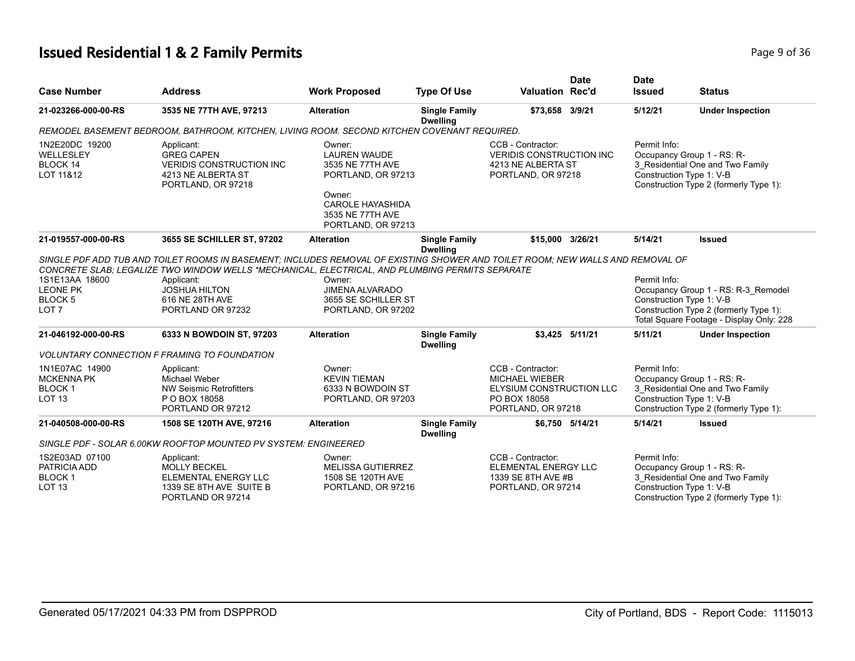# **Issued Residential 1 & 2 Family Permits Page 1 and 2012 12:36 Page 9 of 36**

| <b>Case Number</b>                                                      | <b>Address</b>                                                                                                                                                                                                                                                                                                  | <b>Work Proposed</b>                                                                                                                                   | <b>Type Of Use</b>                      | <b>Valuation Rec'd</b>                                                                                              | <b>Date</b>     | <b>Date</b><br><b>Issued</b> | <b>Status</b>                                                                                                                                         |
|-------------------------------------------------------------------------|-----------------------------------------------------------------------------------------------------------------------------------------------------------------------------------------------------------------------------------------------------------------------------------------------------------------|--------------------------------------------------------------------------------------------------------------------------------------------------------|-----------------------------------------|---------------------------------------------------------------------------------------------------------------------|-----------------|------------------------------|-------------------------------------------------------------------------------------------------------------------------------------------------------|
| 21-023266-000-00-RS                                                     | 3535 NE 77TH AVE, 97213                                                                                                                                                                                                                                                                                         | <b>Alteration</b>                                                                                                                                      | <b>Single Family</b><br><b>Dwelling</b> | \$73,658 3/9/21                                                                                                     |                 | 5/12/21                      | <b>Under Inspection</b>                                                                                                                               |
|                                                                         | REMODEL BASEMENT BEDROOM, BATHROOM, KITCHEN, LIVING ROOM. SECOND KITCHEN COVENANT REQUIRED.                                                                                                                                                                                                                     |                                                                                                                                                        |                                         |                                                                                                                     |                 |                              |                                                                                                                                                       |
| 1N2E20DC 19200<br>WELLESLEY<br><b>BLOCK 14</b><br>LOT 11&12             | Applicant:<br><b>GREG CAPEN</b><br><b>VERIDIS CONSTRUCTION INC</b><br>4213 NE ALBERTA ST<br>PORTLAND, OR 97218                                                                                                                                                                                                  | Owner:<br><b>LAUREN WAUDE</b><br>3535 NE 77TH AVE<br>PORTLAND, OR 97213<br>Owner:<br><b>CAROLE HAYASHIDA</b><br>3535 NE 77TH AVE<br>PORTLAND, OR 97213 |                                         | CCB - Contractor:<br><b>VERIDIS CONSTRUCTION INC</b><br>4213 NE ALBERTA ST<br>PORTLAND, OR 97218                    |                 | Permit Info:                 | Occupancy Group 1 - RS: R-<br>3_Residential One and Two Family<br>Construction Type 1: V-B<br>Construction Type 2 (formerly Type 1):                  |
| 21-019557-000-00-RS                                                     | 3655 SE SCHILLER ST, 97202                                                                                                                                                                                                                                                                                      | <b>Alteration</b>                                                                                                                                      | <b>Single Family</b><br><b>Dwelling</b> | \$15,000 3/26/21                                                                                                    |                 | 5/14/21                      | <b>Issued</b>                                                                                                                                         |
| 1S1E13AA 18600<br><b>LEONE PK</b><br><b>BLOCK 5</b><br>LOT <sub>7</sub> | SINGLE PDF ADD TUB AND TOILET ROOMS IN BASEMENT; INCLUDES REMOVAL OF EXISTING SHOWER AND TOILET ROOM; NEW WALLS AND REMOVAL OF<br>CONCRETE SLAB: LEGALIZE TWO WINDOW WELLS *MECHANICAL, ELECTRICAL, AND PLUMBING PERMITS SEPARATE<br>Applicant:<br><b>JOSHUA HILTON</b><br>616 NE 28TH AVE<br>PORTLAND OR 97232 | Owner:<br><b>JIMENA ALVARADO</b><br>3655 SE SCHILLER ST<br>PORTLAND, OR 97202                                                                          |                                         |                                                                                                                     |                 | Permit Info:                 | Occupancy Group 1 - RS: R-3 Remodel<br>Construction Type 1: V-B<br>Construction Type 2 (formerly Type 1):<br>Total Square Footage - Display Only: 228 |
| 21-046192-000-00-RS                                                     | 6333 N BOWDOIN ST, 97203                                                                                                                                                                                                                                                                                        | <b>Alteration</b>                                                                                                                                      | <b>Single Family</b><br><b>Dwelling</b> |                                                                                                                     | \$3.425 5/11/21 | 5/11/21                      | <b>Under Inspection</b>                                                                                                                               |
|                                                                         | <b>VOLUNTARY CONNECTION F FRAMING TO FOUNDATION</b>                                                                                                                                                                                                                                                             |                                                                                                                                                        |                                         |                                                                                                                     |                 |                              |                                                                                                                                                       |
| 1N1E07AC 14900<br><b>MCKENNA PK</b><br><b>BLOCK1</b><br><b>LOT 13</b>   | Applicant:<br>Michael Weber<br><b>NW Seismic Retrofitters</b><br>P O BOX 18058<br>PORTLAND OR 97212                                                                                                                                                                                                             | Owner:<br><b>KEVIN TIEMAN</b><br>6333 N BOWDOIN ST<br>PORTLAND, OR 97203                                                                               |                                         | CCB - Contractor:<br><b>MICHAEL WIEBER</b><br><b>ELYSIUM CONSTRUCTION LLC</b><br>PO BOX 18058<br>PORTLAND, OR 97218 |                 | Permit Info:                 | Occupancy Group 1 - RS: R-<br>3 Residential One and Two Family<br>Construction Type 1: V-B<br>Construction Type 2 (formerly Type 1):                  |
| 21-040508-000-00-RS                                                     | 1508 SE 120TH AVE, 97216                                                                                                                                                                                                                                                                                        | <b>Alteration</b>                                                                                                                                      | <b>Single Family</b><br><b>Dwelling</b> |                                                                                                                     | \$6.750 5/14/21 | 5/14/21                      | <b>Issued</b>                                                                                                                                         |
|                                                                         | SINGLE PDF - SOLAR 6.00KW ROOFTOP MOUNTED PV SYSTEM: ENGINEERED                                                                                                                                                                                                                                                 |                                                                                                                                                        |                                         |                                                                                                                     |                 |                              |                                                                                                                                                       |
| 1S2E03AD 07100<br>PATRICIA ADD<br><b>BLOCK1</b><br><b>LOT 13</b>        | Applicant:<br><b>MOLLY BECKEL</b><br>ELEMENTAL ENERGY LLC<br>1339 SE 8TH AVE SUITE B<br>PORTLAND OR 97214                                                                                                                                                                                                       | Owner:<br><b>MELISSA GUTIERREZ</b><br>1508 SE 120TH AVE<br>PORTLAND, OR 97216                                                                          |                                         | CCB - Contractor:<br><b>ELEMENTAL ENERGY LLC</b><br>1339 SE 8TH AVE #B<br>PORTLAND, OR 97214                        |                 | Permit Info:                 | Occupancy Group 1 - RS: R-<br>3_Residential One and Two Family<br>Construction Type 1: V-B<br>Construction Type 2 (formerly Type 1):                  |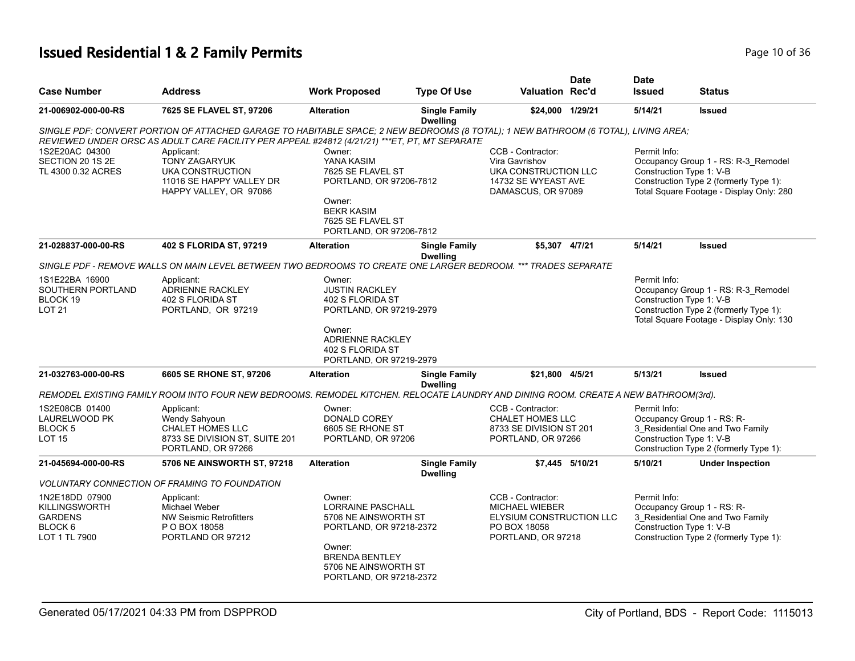# **Issued Residential 1 & 2 Family Permits Page 10 of 36 Page 10 of 36**

| <b>Case Number</b>                                                                   | <b>Address</b>                                                                                                                                                                                                                        | <b>Work Proposed</b>                                                                                                                                                        | <b>Type Of Use</b>                      | <b>Valuation Rec'd</b>                                                                                       | <b>Date</b>     | <b>Date</b><br><b>Issued</b>             | Status                                                                                                                    |
|--------------------------------------------------------------------------------------|---------------------------------------------------------------------------------------------------------------------------------------------------------------------------------------------------------------------------------------|-----------------------------------------------------------------------------------------------------------------------------------------------------------------------------|-----------------------------------------|--------------------------------------------------------------------------------------------------------------|-----------------|------------------------------------------|---------------------------------------------------------------------------------------------------------------------------|
| 21-006902-000-00-RS                                                                  | 7625 SE FLAVEL ST, 97206                                                                                                                                                                                                              | <b>Alteration</b>                                                                                                                                                           | <b>Single Family</b><br><b>Dwelling</b> | \$24,000 1/29/21                                                                                             |                 | 5/14/21                                  | <b>Issued</b>                                                                                                             |
|                                                                                      | SINGLE PDF: CONVERT PORTION OF ATTACHED GARAGE TO HABITABLE SPACE; 2 NEW BEDROOMS (8 TOTAL); 1 NEW BATHROOM (6 TOTAL), LIVING AREA;<br>REVIEWED UNDER ORSC AS ADULT CARE FACILITY PER APPEAL #24812 (4/21/21) *** ET, PT, MT SEPARATE |                                                                                                                                                                             |                                         |                                                                                                              |                 |                                          |                                                                                                                           |
| 1S2E20AC 04300<br>SECTION 20 1S 2E<br>TL 4300 0.32 ACRES                             | Applicant:<br><b>TONY ZAGARYUK</b><br>UKA CONSTRUCTION<br>11016 SE HAPPY VALLEY DR<br>HAPPY VALLEY, OR 97086                                                                                                                          | Owner:<br>YANA KASIM<br>7625 SE FLAVEL ST<br>PORTLAND, OR 97206-7812<br>Owner:<br><b>BEKR KASIM</b><br>7625 SE FLAVEL ST<br>PORTLAND, OR 97206-7812                         |                                         | CCB - Contractor:<br>Vira Gavrishov<br>UKA CONSTRUCTION LLC<br>14732 SE WYEAST AVE<br>DAMASCUS, OR 97089     |                 | Permit Info:<br>Construction Type 1: V-B | Occupancy Group 1 - RS: R-3_Remodel<br>Construction Type 2 (formerly Type 1):<br>Total Square Footage - Display Only: 280 |
| 21-028837-000-00-RS                                                                  | 402 S FLORIDA ST, 97219                                                                                                                                                                                                               | <b>Alteration</b>                                                                                                                                                           | <b>Single Family</b>                    | \$5,307 4/7/21                                                                                               |                 | 5/14/21                                  | <b>Issued</b>                                                                                                             |
|                                                                                      | SINGLE PDF - REMOVE WALLS ON MAIN LEVEL BETWEEN TWO BEDROOMS TO CREATE ONE LARGER BEDROOM. *** TRADES SEPARATE                                                                                                                        |                                                                                                                                                                             | <b>Dwelling</b>                         |                                                                                                              |                 |                                          |                                                                                                                           |
| 1S1E22BA 16900<br>SOUTHERN PORTLAND<br>BLOCK 19<br><b>LOT 21</b>                     | Applicant:<br><b>ADRIENNE RACKLEY</b><br>402 S FLORIDA ST<br>PORTLAND, OR 97219                                                                                                                                                       | Owner:<br><b>JUSTIN RACKLEY</b><br>402 S FLORIDA ST<br>PORTLAND, OR 97219-2979<br>Owner:<br><b>ADRIENNE RACKLEY</b><br>402 S FLORIDA ST<br>PORTLAND, OR 97219-2979          |                                         |                                                                                                              |                 | Permit Info:<br>Construction Type 1: V-B | Occupancy Group 1 - RS: R-3_Remodel<br>Construction Type 2 (formerly Type 1):<br>Total Square Footage - Display Only: 130 |
| 21-032763-000-00-RS                                                                  | 6605 SE RHONE ST, 97206                                                                                                                                                                                                               | <b>Alteration</b>                                                                                                                                                           | <b>Single Family</b>                    | \$21,800 4/5/21                                                                                              |                 | 5/13/21                                  | <b>Issued</b>                                                                                                             |
|                                                                                      | REMODEL EXISTING FAMILY ROOM INTO FOUR NEW BEDROOMS. REMODEL KITCHEN. RELOCATE LAUNDRY AND DINING ROOM. CREATE A NEW BATHROOM(3rd).                                                                                                   |                                                                                                                                                                             | <b>Dwelling</b>                         |                                                                                                              |                 |                                          |                                                                                                                           |
| 1S2E08CB 01400<br>LAURELWOOD PK<br>BLOCK 5<br><b>LOT 15</b>                          | Applicant:<br>Wendy Sahyoun<br><b>CHALET HOMES LLC</b><br>8733 SE DIVISION ST, SUITE 201<br>PORTLAND, OR 97266                                                                                                                        | Owner:<br>DONALD COREY<br>6605 SE RHONE ST<br>PORTLAND, OR 97206                                                                                                            |                                         | CCB - Contractor:<br><b>CHALET HOMES LLC</b><br>8733 SE DIVISION ST 201<br>PORTLAND, OR 97266                |                 | Permit Info:<br>Construction Type 1: V-B | Occupancy Group 1 - RS: R-<br>3 Residential One and Two Family<br>Construction Type 2 (formerly Type 1):                  |
| 21-045694-000-00-RS                                                                  | 5706 NE AINSWORTH ST, 97218                                                                                                                                                                                                           | <b>Alteration</b>                                                                                                                                                           | <b>Single Family</b>                    |                                                                                                              | \$7.445 5/10/21 | 5/10/21                                  | <b>Under Inspection</b>                                                                                                   |
|                                                                                      | <b>VOLUNTARY CONNECTION OF FRAMING TO FOUNDATION</b>                                                                                                                                                                                  |                                                                                                                                                                             | <b>Dwelling</b>                         |                                                                                                              |                 |                                          |                                                                                                                           |
| 1N2E18DD 07900<br><b>KILLINGSWORTH</b><br><b>GARDENS</b><br>BLOCK 6<br>LOT 1 TL 7900 | Applicant:<br>Michael Weber<br><b>NW Seismic Retrofitters</b><br>P O BOX 18058<br>PORTLAND OR 97212                                                                                                                                   | Owner:<br><b>LORRAINE PASCHALL</b><br>5706 NE AINSWORTH ST<br>PORTLAND, OR 97218-2372<br>Owner:<br><b>BRENDA BENTLEY</b><br>5706 NE AINSWORTH ST<br>PORTLAND, OR 97218-2372 |                                         | CCB - Contractor:<br><b>MICHAEL WIEBER</b><br>ELYSIUM CONSTRUCTION LLC<br>PO BOX 18058<br>PORTLAND, OR 97218 |                 | Permit Info:<br>Construction Type 1: V-B | Occupancy Group 1 - RS: R-<br>3_Residential One and Two Family<br>Construction Type 2 (formerly Type 1):                  |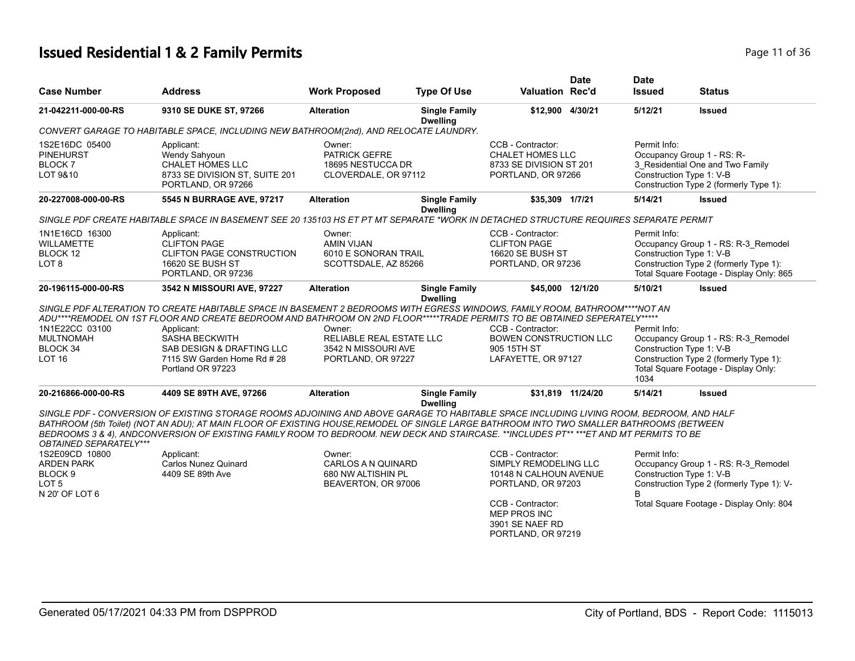# **Issued Residential 1 & 2 Family Permits Page 11 of 36 Page 11 of 36**

| <b>Case Number</b>                                                                              | <b>Address</b>                                                                                                                                                                                                                                                                                                                                                                                                                | <b>Work Proposed</b>                                                             | <b>Type Of Use</b>                      | <b>Valuation Rec'd</b>                                                                        | <b>Date</b>       | <b>Date</b><br><b>Issued</b> | <b>Status</b>                                                                                                                                         |
|-------------------------------------------------------------------------------------------------|-------------------------------------------------------------------------------------------------------------------------------------------------------------------------------------------------------------------------------------------------------------------------------------------------------------------------------------------------------------------------------------------------------------------------------|----------------------------------------------------------------------------------|-----------------------------------------|-----------------------------------------------------------------------------------------------|-------------------|------------------------------|-------------------------------------------------------------------------------------------------------------------------------------------------------|
| 21-042211-000-00-RS                                                                             | 9310 SE DUKE ST, 97266                                                                                                                                                                                                                                                                                                                                                                                                        | <b>Alteration</b>                                                                | <b>Single Family</b><br><b>Dwelling</b> | \$12,900 4/30/21                                                                              |                   | 5/12/21                      | <b>Issued</b>                                                                                                                                         |
|                                                                                                 | CONVERT GARAGE TO HABITABLE SPACE, INCLUDING NEW BATHROOM(2nd), AND RELOCATE LAUNDRY.                                                                                                                                                                                                                                                                                                                                         |                                                                                  |                                         |                                                                                               |                   |                              |                                                                                                                                                       |
| 1S2E16DC 05400<br><b>PINEHURST</b><br><b>BLOCK7</b><br>LOT 9&10                                 | Applicant:<br>Wendy Sahyoun<br><b>CHALET HOMES LLC</b><br>8733 SE DIVISION ST, SUITE 201<br>PORTLAND, OR 97266                                                                                                                                                                                                                                                                                                                | Owner:<br>PATRICK GEFRE<br>18695 NESTUCCA DR<br>CLOVERDALE, OR 97112             |                                         | CCB - Contractor:<br><b>CHALET HOMES LLC</b><br>8733 SE DIVISION ST 201<br>PORTLAND, OR 97266 |                   | Permit Info:                 | Occupancy Group 1 - RS: R-<br>3_Residential One and Two Family<br>Construction Type 1: V-B<br>Construction Type 2 (formerly Type 1):                  |
| 20-227008-000-00-RS                                                                             | 5545 N BURRAGE AVE, 97217                                                                                                                                                                                                                                                                                                                                                                                                     | <b>Alteration</b>                                                                | <b>Single Family</b><br><b>Dwelling</b> | \$35,309 1/7/21                                                                               |                   | 5/14/21                      | <b>Issued</b>                                                                                                                                         |
|                                                                                                 | SINGLE PDF CREATE HABITABLE SPACE IN BASEMENT SEE 20 135103 HS ET PT MT SEPARATE *WORK IN DETACHED STRUCTURE REQUIRES SEPARATE PERMIT                                                                                                                                                                                                                                                                                         |                                                                                  |                                         |                                                                                               |                   |                              |                                                                                                                                                       |
| 1N1E16CD 16300<br><b>WILLAMETTE</b><br>BLOCK 12<br>LOT <sub>8</sub>                             | Applicant:<br><b>CLIFTON PAGE</b><br><b>CLIFTON PAGE CONSTRUCTION</b><br>16620 SE BUSH ST<br>PORTLAND, OR 97236                                                                                                                                                                                                                                                                                                               | Owner:<br><b>AMIN VIJAN</b><br>6010 E SONORAN TRAIL<br>SCOTTSDALE, AZ 85266      |                                         | CCB - Contractor:<br><b>CLIFTON PAGE</b><br>16620 SE BUSH ST<br>PORTLAND, OR 97236            |                   | Permit Info:                 | Occupancy Group 1 - RS: R-3_Remodel<br>Construction Type 1: V-B<br>Construction Type 2 (formerly Type 1):<br>Total Square Footage - Display Only: 865 |
| 20-196115-000-00-RS                                                                             | 3542 N MISSOURI AVE, 97227                                                                                                                                                                                                                                                                                                                                                                                                    | <b>Alteration</b>                                                                | <b>Single Family</b><br><b>Dwelling</b> | \$45,000 12/1/20                                                                              |                   | 5/10/21                      | <b>Issued</b>                                                                                                                                         |
|                                                                                                 | SINGLE PDF ALTERATION TO CREATE HABITABLE SPACE IN BASEMENT 2 BEDROOMS WITH EGRESS WINDOWS, FAMILY ROOM, BATHROOM****NOT AN<br>ADU****REMODEL ON 1ST FLOOR AND CREATE BEDROOM AND BATHROOM ON 2ND FLOOR*****TRADE PERMITS TO BE OBTAINED SEPERATELY*****                                                                                                                                                                      |                                                                                  |                                         |                                                                                               |                   |                              |                                                                                                                                                       |
| 1N1E22CC 03100<br><b>MULTNOMAH</b><br>BLOCK 34<br>LOT <sub>16</sub>                             | Applicant:<br><b>SASHA BECKWITH</b><br>SAB DESIGN & DRAFTING LLC<br>7115 SW Garden Home Rd #28<br>Portland OR 97223                                                                                                                                                                                                                                                                                                           | Owner:<br>RELIABLE REAL ESTATE LLC<br>3542 N MISSOURI AVE<br>PORTLAND, OR 97227  |                                         | CCB - Contractor:<br><b>BOWEN CONSTRUCTION LLC</b><br>905 15TH ST<br>LAFAYETTE, OR 97127      |                   | Permit Info:<br>1034         | Occupancy Group 1 - RS: R-3_Remodel<br>Construction Type 1: V-B<br>Construction Type 2 (formerly Type 1):<br>Total Square Footage - Display Only:     |
| 20-216866-000-00-RS                                                                             | 4409 SE 89TH AVE, 97266                                                                                                                                                                                                                                                                                                                                                                                                       | <b>Alteration</b>                                                                | <b>Single Family</b><br><b>Dwelling</b> |                                                                                               | \$31.819 11/24/20 | 5/14/21                      | <b>Issued</b>                                                                                                                                         |
| OBTAINED SEPARATELY***                                                                          | SINGLE PDF - CONVERSION OF EXISTING STORAGE ROOMS ADJOINING AND ABOVE GARAGE TO HABITABLE SPACE INCLUDING LIVING ROOM, BEDROOM, AND HALF<br>BATHROOM (5th Toilet) (NOT AN ADU); AT MAIN FLOOR OF EXISTING HOUSE,REMODEL OF SINGLE LARGE BATHROOM INTO TWO SMALLER BATHROOMS (BETWEEN<br>BEDROOMS 3 & 4), ANDCONVERSION OF EXISTING FAMILY ROOM TO BEDROOM. NEW DECK AND STAIRCASE. **INCLUDES PT** ***ET AND MT PERMITS TO BE |                                                                                  |                                         |                                                                                               |                   |                              |                                                                                                                                                       |
| 1S2E09CD 10800<br><b>ARDEN PARK</b><br>BLOCK <sub>9</sub><br>LOT <sub>5</sub><br>N 20' OF LOT 6 | Applicant:<br><b>Carlos Nunez Quinard</b><br>4409 SE 89th Ave                                                                                                                                                                                                                                                                                                                                                                 | Owner:<br><b>CARLOS A N QUINARD</b><br>680 NW ALTISHIN PL<br>BEAVERTON, OR 97006 |                                         | CCB - Contractor:<br>SIMPLY REMODELING LLC<br>10148 N CALHOUN AVENUE<br>PORTLAND, OR 97203    |                   | Permit Info:                 | Occupancy Group 1 - RS: R-3_Remodel<br>Construction Type 1: V-B<br>Construction Type 2 (formerly Type 1): V-                                          |
|                                                                                                 |                                                                                                                                                                                                                                                                                                                                                                                                                               |                                                                                  |                                         | CCB - Contractor:<br>MEP PROS INC<br>3901 SE NAEF RD                                          |                   |                              | Total Square Footage - Display Only: 804                                                                                                              |

PORTLAND, OR 97219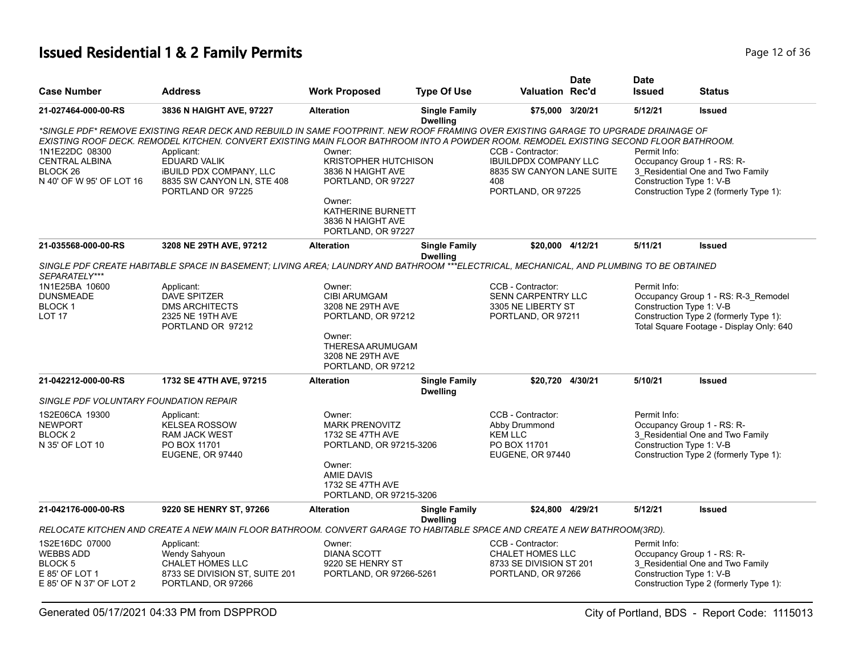# **Issued Residential 1 & 2 Family Permits Page 12 of 36 Page 12 of 36**

| <b>Case Number</b>                                                                         | <b>Address</b>                                                                                                                                                                                                                                                                                                                                                                                 | <b>Work Proposed</b>                                                                                                                                         | <b>Type Of Use</b>                      | <b>Valuation Rec'd</b>                                                                                      | <b>Date</b> | <b>Date</b><br><b>Issued</b> | <b>Status</b>                                                                                                                                         |
|--------------------------------------------------------------------------------------------|------------------------------------------------------------------------------------------------------------------------------------------------------------------------------------------------------------------------------------------------------------------------------------------------------------------------------------------------------------------------------------------------|--------------------------------------------------------------------------------------------------------------------------------------------------------------|-----------------------------------------|-------------------------------------------------------------------------------------------------------------|-------------|------------------------------|-------------------------------------------------------------------------------------------------------------------------------------------------------|
| 21-027464-000-00-RS                                                                        | 3836 N HAIGHT AVE, 97227                                                                                                                                                                                                                                                                                                                                                                       | <b>Alteration</b>                                                                                                                                            | <b>Single Family</b><br><b>Dwelling</b> | \$75,000 3/20/21                                                                                            |             | 5/12/21                      | <b>Issued</b>                                                                                                                                         |
| 1N1E22DC 08300<br><b>CENTRAL ALBINA</b><br>BLOCK <sub>26</sub><br>N 40' OF W 95' OF LOT 16 | *SINGLE PDF* REMOVE EXISTING REAR DECK AND REBUILD IN SAME FOOTPRINT. NEW ROOF FRAMING OVER EXISTING GARAGE TO UPGRADE DRAINAGE OF<br>EXISTING ROOF DECK. REMODEL KITCHEN. CONVERT EXISTING MAIN FLOOR BATHROOM INTO A POWDER ROOM. REMODEL EXISTING SECOND FLOOR BATHROOM.<br>Applicant:<br>EDUARD VALIK<br><b>IBUILD PDX COMPANY, LLC</b><br>8835 SW CANYON LN, STE 408<br>PORTLAND OR 97225 | Owner:<br><b>KRISTOPHER HUTCHISON</b><br>3836 N HAIGHT AVE<br>PORTLAND, OR 97227<br>Owner:<br>KATHERINE BURNETT<br>3836 N HAIGHT AVE<br>PORTLAND, OR 97227   |                                         | CCB - Contractor:<br><b>IBUILDPDX COMPANY LLC</b><br>8835 SW CANYON LANE SUITE<br>408<br>PORTLAND, OR 97225 |             | Permit Info:                 | Occupancy Group 1 - RS: R-<br>3 Residential One and Two Family<br>Construction Type 1: V-B<br>Construction Type 2 (formerly Type 1):                  |
| 21-035568-000-00-RS                                                                        | 3208 NE 29TH AVE, 97212                                                                                                                                                                                                                                                                                                                                                                        | <b>Alteration</b>                                                                                                                                            | <b>Single Family</b><br><b>Dwelling</b> | \$20,000 4/12/21                                                                                            |             | 5/11/21                      | <b>Issued</b>                                                                                                                                         |
| SEPARATELY***                                                                              | SINGLE PDF CREATE HABITABLE SPACE IN BASEMENT: LIVING AREA: LAUNDRY AND BATHROOM ***ELECTRICAL, MECHANICAL, AND PLUMBING TO BE OBTAINED                                                                                                                                                                                                                                                        |                                                                                                                                                              |                                         |                                                                                                             |             |                              |                                                                                                                                                       |
| 1N1E25BA 10600<br><b>DUNSMEADE</b><br><b>BLOCK1</b><br><b>LOT 17</b>                       | Applicant:<br><b>DAVE SPITZER</b><br><b>DMS ARCHITECTS</b><br>2325 NE 19TH AVE<br>PORTLAND OR 97212                                                                                                                                                                                                                                                                                            | Owner:<br><b>CIBI ARUMGAM</b><br>3208 NE 29TH AVE<br>PORTLAND, OR 97212<br>Owner:<br>THERESA ARUMUGAM<br>3208 NE 29TH AVE<br>PORTLAND, OR 97212              |                                         | CCB - Contractor:<br>SENN CARPENTRY LLC<br>3305 NE LIBERTY ST<br>PORTLAND, OR 97211                         |             | Permit Info:                 | Occupancy Group 1 - RS: R-3_Remodel<br>Construction Type 1: V-B<br>Construction Type 2 (formerly Type 1):<br>Total Square Footage - Display Only: 640 |
| 21-042212-000-00-RS                                                                        | 1732 SE 47TH AVE, 97215                                                                                                                                                                                                                                                                                                                                                                        | <b>Alteration</b>                                                                                                                                            | <b>Single Family</b><br><b>Dwelling</b> | \$20,720 4/30/21                                                                                            |             | 5/10/21                      | <b>Issued</b>                                                                                                                                         |
| SINGLE PDF VOLUNTARY FOUNDATION REPAIR                                                     |                                                                                                                                                                                                                                                                                                                                                                                                |                                                                                                                                                              |                                         |                                                                                                             |             |                              |                                                                                                                                                       |
| 1S2E06CA 19300<br><b>NEWPORT</b><br>BLOCK <sub>2</sub><br>N 35' OF LOT 10                  | Applicant:<br><b>KELSEA ROSSOW</b><br><b>RAM JACK WEST</b><br>PO BOX 11701<br><b>EUGENE, OR 97440</b>                                                                                                                                                                                                                                                                                          | Owner:<br><b>MARK PRENOVITZ</b><br>1732 SE 47TH AVE<br>PORTLAND, OR 97215-3206<br>Owner:<br><b>AMIE DAVIS</b><br>1732 SE 47TH AVE<br>PORTLAND, OR 97215-3206 |                                         | CCB - Contractor:<br>Abby Drummond<br><b>KEM LLC</b><br>PO BOX 11701<br>EUGENE, OR 97440                    |             | Permit Info:                 | Occupancy Group 1 - RS: R-<br>3 Residential One and Two Family<br>Construction Type 1: V-B<br>Construction Type 2 (formerly Type 1):                  |
| 21-042176-000-00-RS                                                                        | 9220 SE HENRY ST, 97266                                                                                                                                                                                                                                                                                                                                                                        | <b>Alteration</b>                                                                                                                                            | <b>Single Family</b><br><b>Dwelling</b> | \$24,800 4/29/21                                                                                            |             | 5/12/21                      | <b>Issued</b>                                                                                                                                         |
|                                                                                            | RELOCATE KITCHEN AND CREATE A NEW MAIN FLOOR BATHROOM. CONVERT GARAGE TO HABITABLE SPACE AND CREATE A NEW BATHROOM(3RD).                                                                                                                                                                                                                                                                       |                                                                                                                                                              |                                         |                                                                                                             |             |                              |                                                                                                                                                       |
| 1S2E16DC 07000<br><b>WEBBS ADD</b><br>BLOCK 5<br>E 85' OF LOT 1<br>E 85' OF N 37' OF LOT 2 | Applicant:<br>Wendy Sahyoun<br><b>CHALET HOMES LLC</b><br>8733 SE DIVISION ST, SUITE 201<br>PORTLAND, OR 97266                                                                                                                                                                                                                                                                                 | Owner:<br><b>DIANA SCOTT</b><br>9220 SE HENRY ST<br>PORTLAND, OR 97266-5261                                                                                  |                                         | CCB - Contractor:<br><b>CHALET HOMES LLC</b><br>8733 SE DIVISION ST 201<br>PORTLAND, OR 97266               |             | Permit Info:                 | Occupancy Group 1 - RS: R-<br>3_Residential One and Two Family<br>Construction Type 1: V-B<br>Construction Type 2 (formerly Type 1):                  |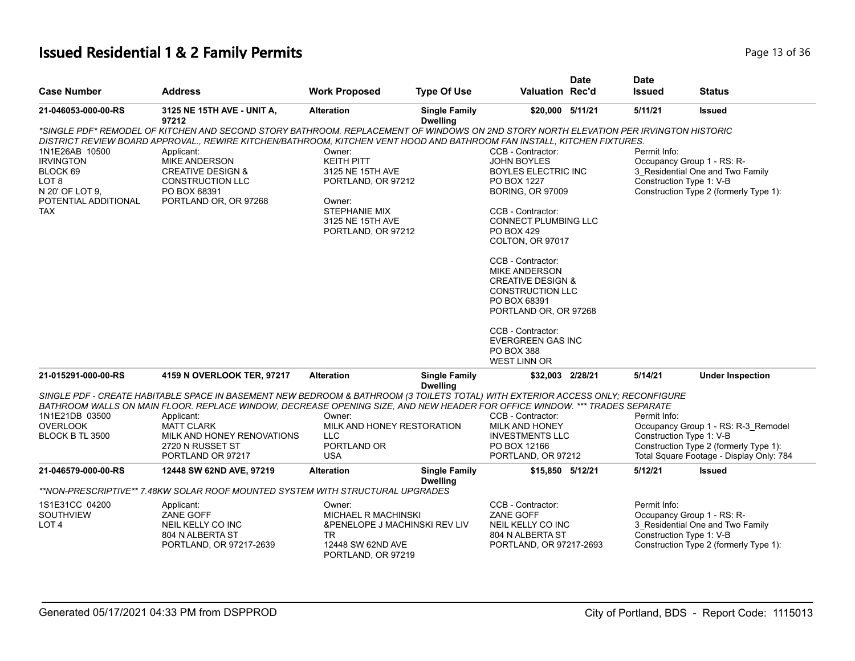# **Issued Residential 1 & 2 Family Permits Page 13 of 36** 2011 12:36

|                                   |                                                                                                                                       |                                         |                                         |                                        | <b>Date</b> | <b>Date</b>              |                                                              |
|-----------------------------------|---------------------------------------------------------------------------------------------------------------------------------------|-----------------------------------------|-----------------------------------------|----------------------------------------|-------------|--------------------------|--------------------------------------------------------------|
| <b>Case Number</b>                | Address                                                                                                                               | <b>Work Proposed</b>                    | <b>Type Of Use</b>                      | <b>Valuation Rec'd</b>                 |             | <b>Issued</b>            | <b>Status</b>                                                |
| 21-046053-000-00-RS               | 3125 NE 15TH AVE - UNIT A,<br>97212                                                                                                   | <b>Alteration</b>                       | <b>Single Family</b><br><b>Dwelling</b> | \$20,000 5/11/21                       |             | 5/11/21                  | Issued                                                       |
|                                   | *SINGLE PDF* REMODEL OF KITCHEN AND SECOND STORY BATHROOM. REPLACEMENT OF WINDOWS ON 2ND STORY NORTH ELEVATION PER IRVINGTON HISTORIC |                                         |                                         |                                        |             |                          |                                                              |
|                                   | DISTRICT REVIEW BOARD APPROVAL., REWIRE KITCHEN/BATHROOM, KITCHEN VENT HOOD AND BATHROOM FAN INSTALL, KITCHEN FIXTURES.               |                                         |                                         |                                        |             |                          |                                                              |
| 1N1E26AB 10500                    | Applicant:                                                                                                                            | Owner:                                  |                                         | CCB - Contractor:                      |             | Permit Info:             |                                                              |
| <b>IRVINGTON</b>                  | <b>MIKE ANDERSON</b>                                                                                                                  | <b>KEITH PITT</b>                       |                                         | <b>JOHN BOYLES</b>                     |             |                          | Occupancy Group 1 - RS: R-                                   |
| BLOCK 69                          | <b>CREATIVE DESIGN &amp;</b>                                                                                                          | 3125 NE 15TH AVE                        |                                         | <b>BOYLES ELECTRIC INC</b>             |             |                          | 3 Residential One and Two Family<br>Construction Type 1: V-B |
| LOT 8<br>N 20' OF LOT 9,          | CONSTRUCTION LLC<br>PO BOX 68391                                                                                                      | PORTLAND, OR 97212                      |                                         | PO BOX 1227<br><b>BORING, OR 97009</b> |             |                          | Construction Type 2 (formerly Type 1):                       |
| POTENTIAL ADDITIONAL              | PORTLAND OR, OR 97268                                                                                                                 | Owner:                                  |                                         |                                        |             |                          |                                                              |
| <b>TAX</b>                        |                                                                                                                                       | <b>STEPHANIE MIX</b>                    |                                         | CCB - Contractor:                      |             |                          |                                                              |
|                                   |                                                                                                                                       | 3125 NE 15TH AVE                        |                                         | <b>CONNECT PLUMBING LLC</b>            |             |                          |                                                              |
|                                   |                                                                                                                                       | PORTLAND, OR 97212                      |                                         | <b>PO BOX 429</b>                      |             |                          |                                                              |
|                                   |                                                                                                                                       |                                         |                                         | COLTON, OR 97017                       |             |                          |                                                              |
|                                   |                                                                                                                                       |                                         |                                         | CCB - Contractor:                      |             |                          |                                                              |
|                                   |                                                                                                                                       |                                         |                                         | <b>MIKE ANDERSON</b>                   |             |                          |                                                              |
|                                   |                                                                                                                                       |                                         |                                         | <b>CREATIVE DESIGN &amp;</b>           |             |                          |                                                              |
|                                   |                                                                                                                                       |                                         |                                         | <b>CONSTRUCTION LLC</b>                |             |                          |                                                              |
|                                   |                                                                                                                                       |                                         |                                         | PO BOX 68391<br>PORTLAND OR, OR 97268  |             |                          |                                                              |
|                                   |                                                                                                                                       |                                         |                                         |                                        |             |                          |                                                              |
|                                   |                                                                                                                                       |                                         |                                         | CCB - Contractor:                      |             |                          |                                                              |
|                                   |                                                                                                                                       |                                         |                                         | <b>EVERGREEN GAS INC</b>               |             |                          |                                                              |
|                                   |                                                                                                                                       |                                         |                                         | <b>PO BOX 388</b>                      |             |                          |                                                              |
|                                   |                                                                                                                                       |                                         |                                         | <b>WEST LINN OR</b>                    |             |                          |                                                              |
| 21-015291-000-00-RS               | 4159 N OVERLOOK TER, 97217                                                                                                            | <b>Alteration</b>                       | <b>Single Family</b><br><b>Dwelling</b> | \$32,003 2/28/21                       |             | 5/14/21                  | <b>Under Inspection</b>                                      |
|                                   | SINGLE PDF - CREATE HABITABLE SPACE IN BASEMENT NEW BEDROOM & BATHROOM (3 TOILETS TOTAL) WITH EXTERIOR ACCESS ONLY; RECONFIGURE       |                                         |                                         |                                        |             |                          |                                                              |
|                                   | BATHROOM WALLS ON MAIN FLOOR. REPLACE WINDOW, DECREASE OPENING SIZE, AND NEW HEADER FOR OFFICE WINDOW. *** TRADES SEPARATE            |                                         |                                         |                                        |             | Permit Info:             |                                                              |
| 1N1E21DB 03500<br><b>OVERLOOK</b> | Applicant:<br><b>MATT CLARK</b>                                                                                                       | Owner:<br>MILK AND HONEY RESTORATION    |                                         | CCB - Contractor:<br>MILK AND HONEY    |             |                          | Occupancy Group 1 - RS: R-3_Remodel                          |
| BLOCK B TL 3500                   | MILK AND HONEY RENOVATIONS                                                                                                            | <b>LLC</b>                              |                                         | <b>INVESTMENTS LLC</b>                 |             |                          | Construction Type 1: V-B                                     |
|                                   | 2720 N RUSSET ST                                                                                                                      | PORTLAND OR                             |                                         | PO BOX 12166                           |             |                          | Construction Type 2 (formerly Type 1):                       |
|                                   | PORTLAND OR 97217                                                                                                                     | <b>USA</b>                              |                                         | PORTLAND, OR 97212                     |             |                          | Total Square Footage - Display Only: 784                     |
| 21-046579-000-00-RS               | 12448 SW 62ND AVE, 97219                                                                                                              | <b>Alteration</b>                       | <b>Single Family</b><br><b>Dwelling</b> | \$15,850 5/12/21                       |             | 5/12/21                  | Issued                                                       |
|                                   | **NON-PRESCRIPTIVE** 7.48KW SOLAR ROOF MOUNTED SYSTEM WITH STRUCTURAL UPGRADES                                                        |                                         |                                         |                                        |             |                          |                                                              |
| 1S1E31CC 04200                    | Applicant:                                                                                                                            | Owner:                                  |                                         | CCB - Contractor:                      |             | Permit Info:             |                                                              |
| <b>SOUTHVIEW</b>                  | ZANE GOFF                                                                                                                             | <b>MICHAEL R MACHINSKI</b>              |                                         | ZANE GOFF                              |             |                          | Occupancy Group 1 - RS: R-                                   |
| LOT <sub>4</sub>                  | NEIL KELLY CO INC                                                                                                                     | &PENELOPE J MACHINSKI REV LIV           |                                         | NEIL KELLY CO INC                      |             |                          | 3 Residential One and Two Family                             |
|                                   | 804 N ALBERTA ST                                                                                                                      | TR.                                     |                                         | 804 N ALBERTA ST                       |             | Construction Type 1: V-B |                                                              |
|                                   | PORTLAND, OR 97217-2639                                                                                                               | 12448 SW 62ND AVE<br>PORTLAND, OR 97219 |                                         | PORTLAND, OR 97217-2693                |             |                          | Construction Type 2 (formerly Type 1):                       |
|                                   |                                                                                                                                       |                                         |                                         |                                        |             |                          |                                                              |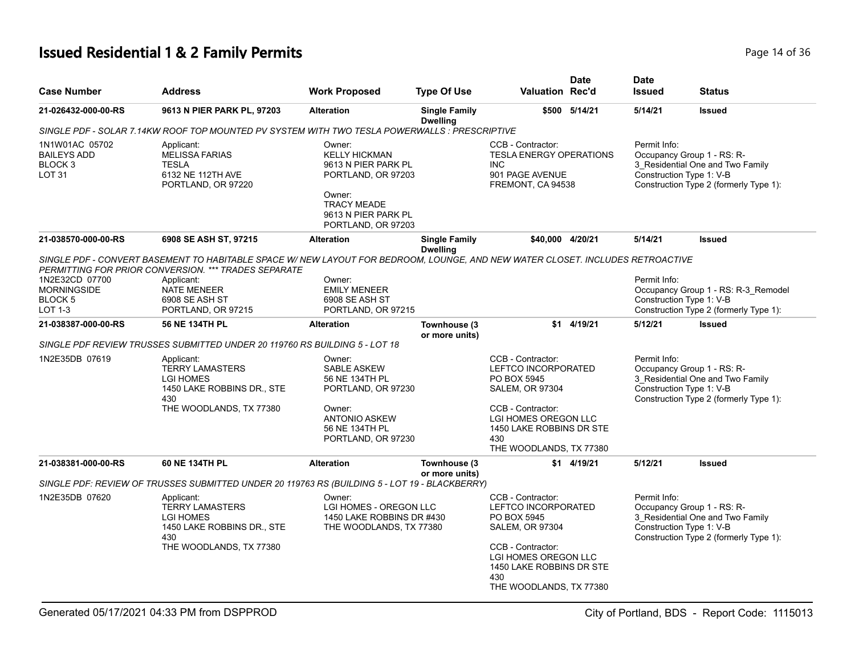# **Issued Residential 1 & 2 Family Permits Page 14 of 36 Page 14 of 36**

| <b>Case Number</b>                                                          | <b>Address</b>                                                                                                                                                                         | <b>Work Proposed</b>                                                                                                                                     | <b>Type Of Use</b>                      | <b>Valuation Rec'd</b>                                                                                                         | <b>Date</b>   | <b>Date</b><br><b>Issued</b> | Status                                                                                                                               |
|-----------------------------------------------------------------------------|----------------------------------------------------------------------------------------------------------------------------------------------------------------------------------------|----------------------------------------------------------------------------------------------------------------------------------------------------------|-----------------------------------------|--------------------------------------------------------------------------------------------------------------------------------|---------------|------------------------------|--------------------------------------------------------------------------------------------------------------------------------------|
| 21-026432-000-00-RS                                                         | 9613 N PIER PARK PL, 97203                                                                                                                                                             | <b>Alteration</b>                                                                                                                                        | <b>Single Family</b><br><b>Dwelling</b> |                                                                                                                                | \$500 5/14/21 | 5/14/21                      | <b>Issued</b>                                                                                                                        |
|                                                                             | SINGLE PDF - SOLAR 7.14KW ROOF TOP MOUNTED PV SYSTEM WITH TWO TESLA POWERWALLS : PRESCRIPTIVE                                                                                          |                                                                                                                                                          |                                         |                                                                                                                                |               |                              |                                                                                                                                      |
| 1N1W01AC 05702<br><b>BAILEYS ADD</b><br>BLOCK <sub>3</sub><br><b>LOT 31</b> | Applicant:<br><b>MELISSA FARIAS</b><br><b>TESLA</b><br>6132 NE 112TH AVE<br>PORTLAND, OR 97220                                                                                         | Owner:<br><b>KELLY HICKMAN</b><br>9613 N PIER PARK PL<br>PORTLAND, OR 97203<br>Owner:<br><b>TRACY MEADE</b><br>9613 N PIER PARK PL<br>PORTLAND, OR 97203 |                                         | CCB - Contractor:<br><b>TESLA ENERGY OPERATIONS</b><br>INC.<br>901 PAGE AVENUE<br>FREMONT, CA 94538                            |               | Permit Info:                 | Occupancy Group 1 - RS: R-<br>3_Residential One and Two Family<br>Construction Type 1: V-B<br>Construction Type 2 (formerly Type 1): |
| 21-038570-000-00-RS                                                         | 6908 SE ASH ST, 97215                                                                                                                                                                  | <b>Alteration</b>                                                                                                                                        | <b>Single Family</b><br><b>Dwelling</b> | \$40,000 4/20/21                                                                                                               |               | 5/14/21                      | <b>Issued</b>                                                                                                                        |
|                                                                             | SINGLE PDF - CONVERT BASEMENT TO HABITABLE SPACE W/ NEW LAYOUT FOR BEDROOM, LOUNGE, AND NEW WATER CLOSET. INCLUDES RETROACTIVE<br>PERMITTING FOR PRIOR CONVERSION. *** TRADES SEPARATE |                                                                                                                                                          |                                         |                                                                                                                                |               |                              |                                                                                                                                      |
| 1N2E32CD 07700                                                              | Applicant:                                                                                                                                                                             | Owner:                                                                                                                                                   |                                         |                                                                                                                                |               | Permit Info:                 |                                                                                                                                      |
| <b>MORNINGSIDE</b>                                                          | <b>NATE MENEER</b>                                                                                                                                                                     | <b>EMILY MENEER</b>                                                                                                                                      |                                         |                                                                                                                                |               |                              | Occupancy Group 1 - RS: R-3_Remodel                                                                                                  |
| <b>BLOCK 5</b>                                                              | 6908 SE ASH ST                                                                                                                                                                         | 6908 SE ASH ST                                                                                                                                           |                                         |                                                                                                                                |               |                              | Construction Type 1: V-B                                                                                                             |
| <b>LOT 1-3</b>                                                              | PORTLAND, OR 97215                                                                                                                                                                     | PORTLAND, OR 97215                                                                                                                                       |                                         |                                                                                                                                |               |                              | Construction Type 2 (formerly Type 1):                                                                                               |
| 21-038387-000-00-RS                                                         | 56 NE 134TH PL                                                                                                                                                                         | <b>Alteration</b>                                                                                                                                        | Townhouse (3<br>or more units)          |                                                                                                                                | $$1$ 4/19/21  | 5/12/21                      | <b>Issued</b>                                                                                                                        |
|                                                                             | SINGLE PDF REVIEW TRUSSES SUBMITTED UNDER 20 119760 RS BUILDING 5 - LOT 18                                                                                                             |                                                                                                                                                          |                                         |                                                                                                                                |               |                              |                                                                                                                                      |
| 1N2E35DB 07619                                                              | Applicant:<br><b>TERRY LAMASTERS</b><br><b>LGI HOMES</b><br>1450 LAKE ROBBINS DR., STE<br>430                                                                                          | Owner:<br>SABLE ASKEW<br>56 NE 134TH PL<br>PORTLAND, OR 97230                                                                                            |                                         | CCB - Contractor:<br>LEFTCO INCORPORATED<br>PO BOX 5945<br><b>SALEM, OR 97304</b>                                              |               | Permit Info:                 | Occupancy Group 1 - RS: R-<br>3_Residential One and Two Family<br>Construction Type 1: V-B<br>Construction Type 2 (formerly Type 1): |
|                                                                             | THE WOODLANDS, TX 77380                                                                                                                                                                | Owner:<br><b>ANTONIO ASKEW</b><br>56 NE 134TH PL<br>PORTLAND, OR 97230                                                                                   |                                         | CCB - Contractor:<br>LGI HOMES OREGON LLC<br>1450 LAKE ROBBINS DR STE<br>430<br>THE WOODLANDS, TX 77380                        |               |                              |                                                                                                                                      |
| 21-038381-000-00-RS                                                         | 60 NE 134TH PL                                                                                                                                                                         | <b>Alteration</b>                                                                                                                                        | Townhouse (3<br>or more units)          |                                                                                                                                | \$1 4/19/21   | 5/12/21                      | <b>Issued</b>                                                                                                                        |
|                                                                             | SINGLE PDF: REVIEW OF TRUSSES SUBMITTED UNDER 20 119763 RS (BUILDING 5 - LOT 19 - BLACKBERRY)                                                                                          |                                                                                                                                                          |                                         |                                                                                                                                |               |                              |                                                                                                                                      |
| 1N2E35DB 07620                                                              | Applicant:<br><b>TERRY LAMASTERS</b><br><b>LGI HOMES</b><br>1450 LAKE ROBBINS DR., STE<br>430<br>THE WOODLANDS, TX 77380                                                               | Owner:<br>LGI HOMES - OREGON LLC<br>1450 LAKE ROBBINS DR #430<br>THE WOODLANDS, TX 77380                                                                 |                                         | CCB - Contractor:<br>LEFTCO INCORPORATED<br>PO BOX 5945<br><b>SALEM, OR 97304</b><br>CCB - Contractor:<br>LGI HOMES OREGON LLC |               | Permit Info:                 | Occupancy Group 1 - RS: R-<br>3 Residential One and Two Family<br>Construction Type 1: V-B<br>Construction Type 2 (formerly Type 1): |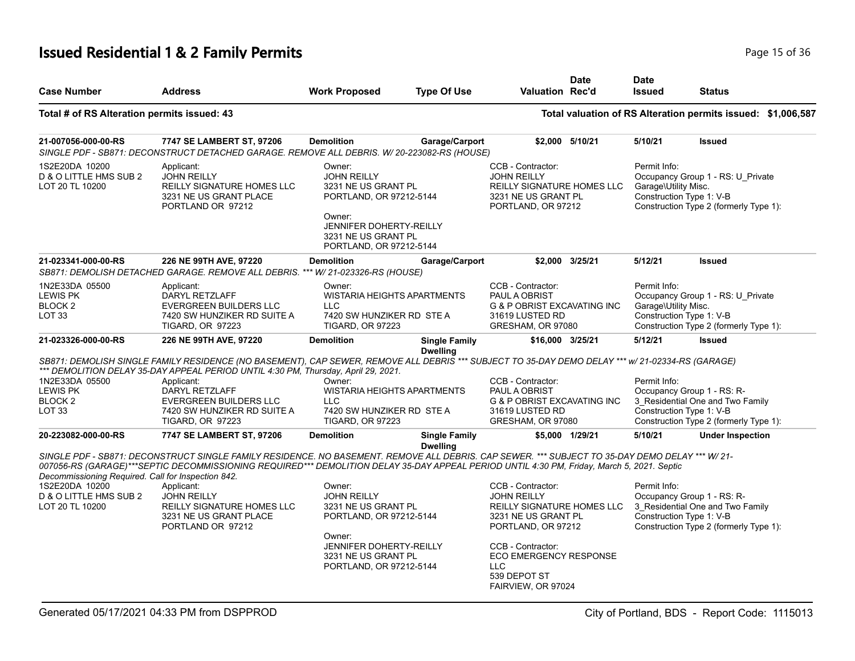# **Issued Residential 1 & 2 Family Permits Page 15 of 36** 2 Page 15 of 36

| <b>Case Number</b>                                                           | <b>Address</b>                                                                                                                                                                                                                                                                               | <b>Work Proposed</b>                                                                                                                                                         | <b>Type Of Use</b>                      | <b>Valuation Rec'd</b>                                                                                                                                                                 | <b>Date</b>     | <b>Date</b><br><b>Issued</b>                                     | <b>Status</b>                                                                                            |
|------------------------------------------------------------------------------|----------------------------------------------------------------------------------------------------------------------------------------------------------------------------------------------------------------------------------------------------------------------------------------------|------------------------------------------------------------------------------------------------------------------------------------------------------------------------------|-----------------------------------------|----------------------------------------------------------------------------------------------------------------------------------------------------------------------------------------|-----------------|------------------------------------------------------------------|----------------------------------------------------------------------------------------------------------|
| Total # of RS Alteration permits issued: 43                                  |                                                                                                                                                                                                                                                                                              |                                                                                                                                                                              |                                         |                                                                                                                                                                                        |                 |                                                                  | Total valuation of RS Alteration permits issued: \$1,006,587                                             |
| 21-007056-000-00-RS                                                          | 7747 SE LAMBERT ST, 97206<br>SINGLE PDF - SB871: DECONSTRUCT DETACHED GARAGE. REMOVE ALL DEBRIS. W/ 20-223082-RS (HOUSE)                                                                                                                                                                     | <b>Demolition</b>                                                                                                                                                            | Garage/Carport                          |                                                                                                                                                                                        | \$2,000 5/10/21 | 5/10/21                                                          | <b>Issued</b>                                                                                            |
| 1S2E20DA 10200<br>D & O LITTLE HMS SUB 2<br>LOT 20 TL 10200                  | Applicant:<br><b>JOHN REILLY</b><br>REILLY SIGNATURE HOMES LLC<br>3231 NE US GRANT PLACE<br>PORTLAND OR 97212                                                                                                                                                                                | Owner:<br><b>JOHN REILLY</b><br>3231 NE US GRANT PL<br>PORTLAND, OR 97212-5144<br>Owner:<br><b>JENNIFER DOHERTY-REILLY</b><br>3231 NE US GRANT PL<br>PORTLAND, OR 97212-5144 |                                         | CCB - Contractor:<br><b>JOHN REILLY</b><br>REILLY SIGNATURE HOMES LLC<br>3231 NE US GRANT PL<br>PORTLAND, OR 97212                                                                     |                 | Permit Info:<br>Garage\Utility Misc.<br>Construction Type 1: V-B | Occupancy Group 1 - RS: U_Private<br>Construction Type 2 (formerly Type 1):                              |
| 21-023341-000-00-RS                                                          | 226 NE 99TH AVE, 97220<br>SB871: DEMOLISH DETACHED GARAGE. REMOVE ALL DEBRIS. *** W/ 21-023326-RS (HOUSE)                                                                                                                                                                                    | <b>Demolition</b>                                                                                                                                                            | Garage/Carport                          |                                                                                                                                                                                        | \$2.000 3/25/21 | 5/12/21                                                          | <b>Issued</b>                                                                                            |
| 1N2E33DA 05500<br>LEWIS PK<br>BLOCK <sub>2</sub><br>LOT <sub>33</sub>        | Applicant:<br>DARYL RETZLAFF<br><b>EVERGREEN BUILDERS LLC</b><br>7420 SW HUNZIKER RD SUITE A<br><b>TIGARD, OR 97223</b>                                                                                                                                                                      | Owner:<br><b>WISTARIA HEIGHTS APARTMENTS</b><br><b>LLC</b><br>7420 SW HUNZIKER RD STE A<br><b>TIGARD, OR 97223</b>                                                           |                                         | CCB - Contractor:<br>PAUL A OBRIST<br><b>G &amp; P OBRIST EXCAVATING INC</b><br>31619 LUSTED RD<br>GRESHAM, OR 97080                                                                   |                 | Permit Info:<br>Garage\Utility Misc.<br>Construction Type 1: V-B | Occupancy Group 1 - RS: U_Private<br>Construction Type 2 (formerly Type 1):                              |
| 21-023326-000-00-RS                                                          | 226 NE 99TH AVE, 97220                                                                                                                                                                                                                                                                       | <b>Demolition</b>                                                                                                                                                            | <b>Single Family</b><br><b>Dwelling</b> | \$16,000 3/25/21                                                                                                                                                                       |                 | 5/12/21                                                          | <b>Issued</b>                                                                                            |
|                                                                              | SB871: DEMOLISH SINGLE FAMILY RESIDENCE (NO BASEMENT), CAP SEWER, REMOVE ALL DEBRIS *** SUBJECT TO 35-DAY DEMO DELAY *** w/ 21-02334-RS (GARAGE)<br>*** DEMOLITION DELAY 35-DAY APPEAL PERIOD UNTIL 4:30 PM, Thursday, April 29, 2021.                                                       |                                                                                                                                                                              |                                         |                                                                                                                                                                                        |                 |                                                                  |                                                                                                          |
| 1N2E33DA 05500<br><b>LEWIS PK</b><br>BLOCK <sub>2</sub><br>LOT <sub>33</sub> | Applicant:<br><b>DARYL RETZLAFF</b><br><b>EVERGREEN BUILDERS LLC</b><br>7420 SW HUNZIKER RD SUITE A<br><b>TIGARD, OR 97223</b>                                                                                                                                                               | Owner:<br>WISTARIA HEIGHTS APARTMENTS<br><b>LLC</b><br>7420 SW HUNZIKER RD STE A<br><b>TIGARD, OR 97223</b>                                                                  |                                         | CCB - Contractor:<br>PAUL A OBRIST<br><b>G &amp; P OBRIST EXCAVATING INC</b><br>31619 LUSTED RD<br>GRESHAM, OR 97080                                                                   |                 | Permit Info:<br>Construction Type 1: V-B                         | Occupancy Group 1 - RS: R-<br>3 Residential One and Two Family<br>Construction Type 2 (formerly Type 1): |
| 20-223082-000-00-RS                                                          | 7747 SE LAMBERT ST, 97206                                                                                                                                                                                                                                                                    | <b>Demolition</b>                                                                                                                                                            | <b>Single Family</b><br><b>Dwelling</b> |                                                                                                                                                                                        | \$5,000 1/29/21 | 5/10/21                                                          | <b>Under Inspection</b>                                                                                  |
| Decommissioning Required. Call for Inspection 842.                           | SINGLE PDF - SB871: DECONSTRUCT SINGLE FAMILY RESIDENCE. NO BASEMENT. REMOVE ALL DEBRIS. CAP SEWER. *** SUBJECT TO 35-DAY DEMO DELAY *** W/21-<br>007056-RS (GARAGE)***SEPTIC DECOMMISSIONING REQUIRED*** DEMOLITION DELAY 35-DAY APPEAL PERIOD UNTIL 4:30 PM, Friday, March 5, 2021. Septic |                                                                                                                                                                              |                                         |                                                                                                                                                                                        |                 |                                                                  |                                                                                                          |
| 1S2E20DA 10200<br>D & O LITTLE HMS SUB 2<br>LOT 20 TL 10200                  | Applicant:<br><b>JOHN REILLY</b><br>REILLY SIGNATURE HOMES LLC<br>3231 NE US GRANT PLACE<br>PORTLAND OR 97212                                                                                                                                                                                | Owner:<br><b>JOHN REILLY</b><br>3231 NE US GRANT PL<br>PORTLAND, OR 97212-5144<br>Owner:<br><b>JENNIFER DOHERTY-REILLY</b><br>3231 NE US GRANT PL<br>PORTLAND, OR 97212-5144 |                                         | CCB - Contractor:<br><b>JOHN REILLY</b><br>REILLY SIGNATURE HOMES LLC<br>3231 NE US GRANT PL<br>PORTLAND, OR 97212<br>CCB - Contractor:<br><b>ECO EMERGENCY RESPONSE</b><br><b>LLC</b> |                 | Permit Info:<br>Construction Type 1: V-B                         | Occupancy Group 1 - RS: R-<br>3_Residential One and Two Family<br>Construction Type 2 (formerly Type 1): |
|                                                                              |                                                                                                                                                                                                                                                                                              |                                                                                                                                                                              |                                         | 539 DEPOT ST<br>FAIRVIEW, OR 97024                                                                                                                                                     |                 |                                                                  |                                                                                                          |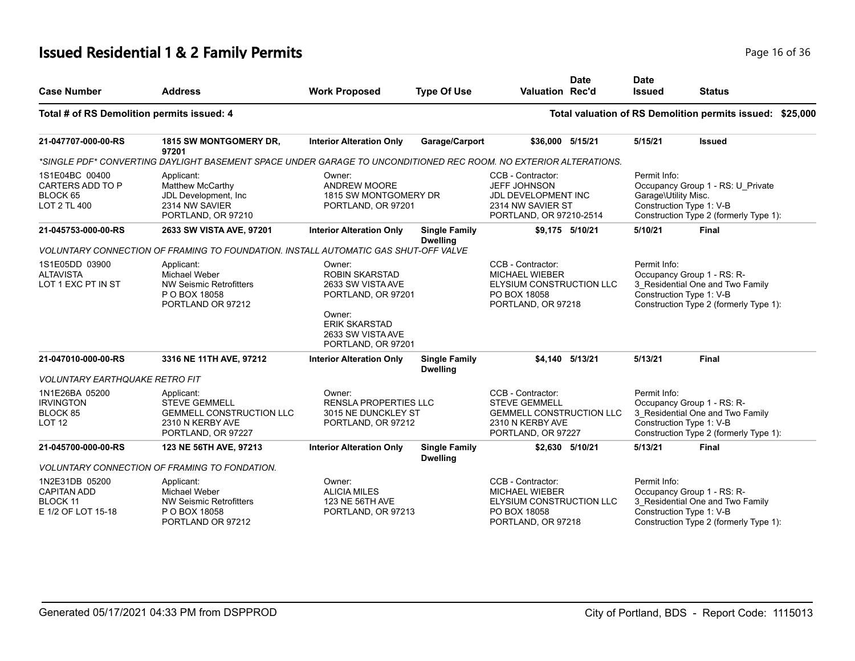# **Issued Residential 1 & 2 Family Permits Page 16 of 36 and 20 July 10 and 20 July 10 and 20 July 10 and 20 July 10 and 20 July 10 and 20 July 10 and 20 July 10 and 20 July 10 and 20 July 10 and 20 July 10 and 20 July 10**

| <b>Case Number</b>                                                     | <b>Address</b>                                                                                                   | <b>Work Proposed</b>                                                                                                                                    | <b>Type Of Use</b>                      | <b>Valuation Rec'd</b>                                                                                                 | <b>Date</b>     | <b>Date</b><br><b>Issued</b>                                     | <b>Status</b>                                                                                            |  |
|------------------------------------------------------------------------|------------------------------------------------------------------------------------------------------------------|---------------------------------------------------------------------------------------------------------------------------------------------------------|-----------------------------------------|------------------------------------------------------------------------------------------------------------------------|-----------------|------------------------------------------------------------------|----------------------------------------------------------------------------------------------------------|--|
| Total # of RS Demolition permits issued: 4                             |                                                                                                                  |                                                                                                                                                         |                                         |                                                                                                                        |                 |                                                                  | Total valuation of RS Demolition permits issued: \$25,000                                                |  |
| 21-047707-000-00-RS                                                    | 1815 SW MONTGOMERY DR,<br>97201                                                                                  | <b>Interior Alteration Only</b>                                                                                                                         | Garage/Carport                          | \$36,000 5/15/21                                                                                                       |                 | 5/15/21                                                          | <b>Issued</b>                                                                                            |  |
|                                                                        | *SINGLE PDF* CONVERTING DAYLIGHT BASEMENT SPACE UNDER GARAGE TO UNCONDITIONED REC ROOM. NO EXTERIOR ALTERATIONS. |                                                                                                                                                         |                                         |                                                                                                                        |                 |                                                                  |                                                                                                          |  |
| 1S1E04BC 00400<br>CARTERS ADD TO P<br>BLOCK 65<br>LOT 2 TL 400         | Applicant:<br>Matthew McCarthy<br>JDL Development, Inc.<br>2314 NW SAVIER<br>PORTLAND, OR 97210                  | Owner:<br>ANDREW MOORE<br>1815 SW MONTGOMERY DR<br>PORTLAND, OR 97201                                                                                   |                                         | CCB - Contractor:<br><b>JEFF JOHNSON</b><br><b>JDL DEVELOPMENT INC</b><br>2314 NW SAVIER ST<br>PORTLAND, OR 97210-2514 |                 | Permit Info:<br>Garage\Utility Misc.<br>Construction Type 1: V-B | Occupancy Group 1 - RS: U_Private<br>Construction Type 2 (formerly Type 1):                              |  |
| 21-045753-000-00-RS                                                    | 2633 SW VISTA AVE, 97201                                                                                         | <b>Interior Alteration Only</b>                                                                                                                         | <b>Single Family</b>                    |                                                                                                                        | \$9.175 5/10/21 | 5/10/21                                                          | <b>Final</b>                                                                                             |  |
|                                                                        | VOLUNTARY CONNECTION OF FRAMING TO FOUNDATION. INSTALL AUTOMATIC GAS SHUT-OFF VALVE                              |                                                                                                                                                         | <b>Dwelling</b>                         |                                                                                                                        |                 |                                                                  |                                                                                                          |  |
| 1S1E05DD 03900<br><b>ALTAVISTA</b><br>LOT 1 EXC PT IN ST               | Applicant:<br>Michael Weber<br><b>NW Seismic Retrofitters</b><br>P O BOX 18058<br>PORTLAND OR 97212              | Owner:<br><b>ROBIN SKARSTAD</b><br>2633 SW VISTA AVE<br>PORTLAND, OR 97201<br>Owner:<br><b>ERIK SKARSTAD</b><br>2633 SW VISTA AVE<br>PORTLAND, OR 97201 |                                         | CCB - Contractor:<br><b>MICHAEL WIEBER</b><br>ELYSIUM CONSTRUCTION LLC<br>PO BOX 18058<br>PORTLAND, OR 97218           |                 | Permit Info:<br>Construction Type 1: V-B                         | Occupancy Group 1 - RS: R-<br>3 Residential One and Two Family<br>Construction Type 2 (formerly Type 1): |  |
| 21-047010-000-00-RS                                                    | 3316 NE 11TH AVE, 97212                                                                                          | <b>Interior Alteration Only</b>                                                                                                                         | <b>Single Family</b><br><b>Dwelling</b> |                                                                                                                        | \$4.140 5/13/21 | 5/13/21                                                          | Final                                                                                                    |  |
| <b>VOLUNTARY EARTHQUAKE RETRO FIT</b>                                  |                                                                                                                  |                                                                                                                                                         |                                         |                                                                                                                        |                 |                                                                  |                                                                                                          |  |
| 1N1E26BA 05200<br><b>IRVINGTON</b><br>BLOCK 85<br>LOT <sub>12</sub>    | Applicant:<br><b>STEVE GEMMELL</b><br><b>GEMMELL CONSTRUCTION LLC</b><br>2310 N KERBY AVE<br>PORTLAND, OR 97227  | Owner:<br><b>RENSLA PROPERTIES LLC</b><br>3015 NE DUNCKLEY ST<br>PORTLAND, OR 97212                                                                     |                                         | CCB - Contractor:<br><b>STEVE GEMMELL</b><br><b>GEMMELL CONSTRUCTION LLC</b><br>2310 N KERBY AVE<br>PORTLAND, OR 97227 |                 | Permit Info:<br>Construction Type 1: V-B                         | Occupancy Group 1 - RS: R-<br>3_Residential One and Two Family<br>Construction Type 2 (formerly Type 1): |  |
| 21-045700-000-00-RS                                                    | 123 NE 56TH AVE, 97213                                                                                           | <b>Interior Alteration Only</b>                                                                                                                         | <b>Single Family</b><br><b>Dwelling</b> |                                                                                                                        | \$2,630 5/10/21 | 5/13/21                                                          | <b>Final</b>                                                                                             |  |
|                                                                        | <b>VOLUNTARY CONNECTION OF FRAMING TO FONDATION.</b>                                                             |                                                                                                                                                         |                                         |                                                                                                                        |                 |                                                                  |                                                                                                          |  |
| 1N2E31DB 05200<br><b>CAPITAN ADD</b><br>BLOCK 11<br>E 1/2 OF LOT 15-18 | Applicant:<br>Michael Weber<br><b>NW Seismic Retrofitters</b><br>P O BOX 18058<br>PORTLAND OR 97212              | Owner:<br><b>ALICIA MILES</b><br>123 NE 56TH AVE<br>PORTLAND, OR 97213                                                                                  |                                         | CCB - Contractor:<br><b>MICHAEL WIEBER</b><br>ELYSIUM CONSTRUCTION LLC<br>PO BOX 18058<br>PORTLAND, OR 97218           |                 | Permit Info:<br>Construction Type 1: V-B                         | Occupancy Group 1 - RS: R-<br>3_Residential One and Two Family<br>Construction Type 2 (formerly Type 1): |  |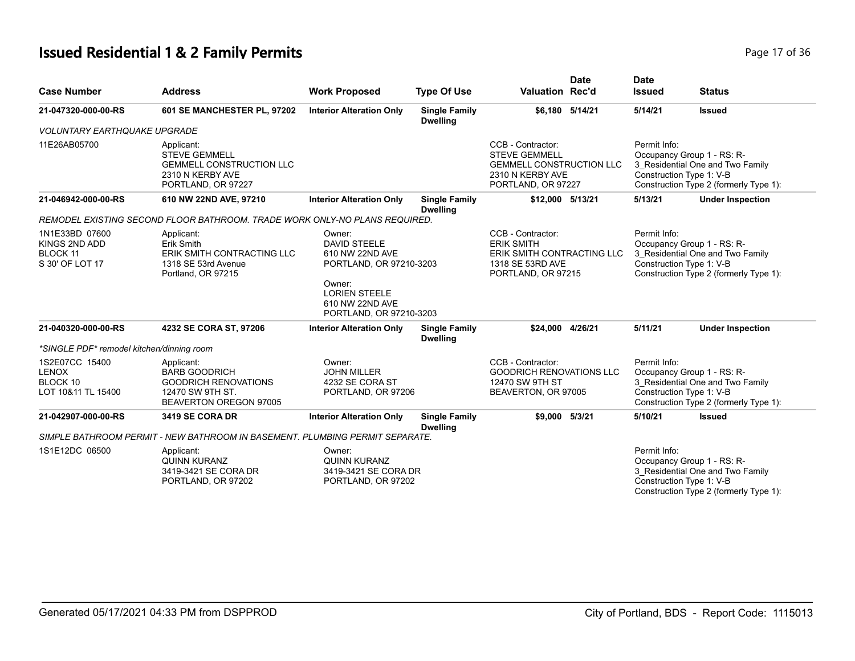# **Issued Residential 1 & 2 Family Permits Page 17 of 36 Page 17 of 36**

| <b>Case Number</b>                                               | <b>Address</b>                                                                                                  | <b>Work Proposed</b>                                                                                                                                        | <b>Type Of Use</b>                      | <b>Valuation Rec'd</b>                                                                                                 | <b>Date</b> | <b>Date</b><br><b>Issued</b>             | <b>Status</b>                                                                                            |
|------------------------------------------------------------------|-----------------------------------------------------------------------------------------------------------------|-------------------------------------------------------------------------------------------------------------------------------------------------------------|-----------------------------------------|------------------------------------------------------------------------------------------------------------------------|-------------|------------------------------------------|----------------------------------------------------------------------------------------------------------|
| 21-047320-000-00-RS                                              | 601 SE MANCHESTER PL, 97202                                                                                     | <b>Interior Alteration Only</b>                                                                                                                             | <b>Single Family</b><br><b>Dwelling</b> | \$6.180 5/14/21                                                                                                        |             | 5/14/21                                  | <b>Issued</b>                                                                                            |
| <b>VOLUNTARY EARTHQUAKE UPGRADE</b>                              |                                                                                                                 |                                                                                                                                                             |                                         |                                                                                                                        |             |                                          |                                                                                                          |
| 11E26AB05700                                                     | Applicant:<br><b>STEVE GEMMELL</b><br><b>GEMMELL CONSTRUCTION LLC</b><br>2310 N KERBY AVE<br>PORTLAND, OR 97227 |                                                                                                                                                             |                                         | CCB - Contractor:<br><b>STEVE GEMMELL</b><br><b>GEMMELL CONSTRUCTION LLC</b><br>2310 N KERBY AVE<br>PORTLAND, OR 97227 |             | Permit Info:<br>Construction Type 1: V-B | Occupancy Group 1 - RS: R-<br>3_Residential One and Two Family<br>Construction Type 2 (formerly Type 1): |
| 21-046942-000-00-RS                                              | 610 NW 22ND AVE, 97210                                                                                          | <b>Interior Alteration Only</b>                                                                                                                             | <b>Single Family</b><br><b>Dwelling</b> | \$12,000 5/13/21                                                                                                       |             | 5/13/21                                  | <b>Under Inspection</b>                                                                                  |
|                                                                  | REMODEL EXISTING SECOND FLOOR BATHROOM. TRADE WORK ONLY-NO PLANS REQUIRED.                                      |                                                                                                                                                             |                                         |                                                                                                                        |             |                                          |                                                                                                          |
| 1N1E33BD 07600<br>KINGS 2ND ADD<br>BLOCK 11<br>S 30' OF LOT 17   | Applicant:<br>Erik Smith<br>ERIK SMITH CONTRACTING LLC<br>1318 SE 53rd Avenue<br>Portland, OR 97215             | Owner:<br><b>DAVID STEELE</b><br>610 NW 22ND AVE<br>PORTLAND, OR 97210-3203<br>Owner:<br><b>LORIEN STEELE</b><br>610 NW 22ND AVE<br>PORTLAND, OR 97210-3203 |                                         | CCB - Contractor:<br><b>ERIK SMITH</b><br>ERIK SMITH CONTRACTING LLC<br>1318 SE 53RD AVE<br>PORTLAND, OR 97215         |             | Permit Info:<br>Construction Type 1: V-B | Occupancy Group 1 - RS: R-<br>3_Residential One and Two Family<br>Construction Type 2 (formerly Type 1): |
| 21-040320-000-00-RS                                              | 4232 SE CORA ST, 97206                                                                                          | <b>Interior Alteration Only</b>                                                                                                                             | <b>Single Family</b><br><b>Dwelling</b> | \$24,000 4/26/21                                                                                                       |             | 5/11/21                                  | <b>Under Inspection</b>                                                                                  |
| *SINGLE PDF* remodel kitchen/dinning room                        |                                                                                                                 |                                                                                                                                                             |                                         |                                                                                                                        |             |                                          |                                                                                                          |
| 1S2E07CC 15400<br><b>LENOX</b><br>BLOCK 10<br>LOT 10&11 TL 15400 | Applicant:<br><b>BARB GOODRICH</b><br><b>GOODRICH RENOVATIONS</b><br>12470 SW 9TH ST.<br>BEAVERTON OREGON 97005 | Owner:<br><b>JOHN MILLER</b><br>4232 SE CORA ST<br>PORTLAND, OR 97206                                                                                       |                                         | CCB - Contractor:<br><b>GOODRICH RENOVATIONS LLC</b><br>12470 SW 9TH ST<br>BEAVERTON, OR 97005                         |             | Permit Info:<br>Construction Type 1: V-B | Occupancy Group 1 - RS: R-<br>3_Residential One and Two Family<br>Construction Type 2 (formerly Type 1): |
| 21-042907-000-00-RS                                              | 3419 SE CORA DR                                                                                                 | <b>Interior Alteration Only</b>                                                                                                                             | <b>Single Family</b><br><b>Dwelling</b> | \$9.000 5/3/21                                                                                                         |             | 5/10/21                                  | <b>Issued</b>                                                                                            |
|                                                                  | SIMPLE BATHROOM PERMIT - NEW BATHROOM IN BASEMENT. PLUMBING PERMIT SEPARATE.                                    |                                                                                                                                                             |                                         |                                                                                                                        |             |                                          |                                                                                                          |
| 1S1E12DC 06500                                                   | Applicant:<br><b>QUINN KURANZ</b><br>3419-3421 SE CORA DR<br>PORTLAND, OR 97202                                 | Owner:<br><b>QUINN KURANZ</b><br>3419-3421 SE CORA DR<br>PORTLAND, OR 97202                                                                                 |                                         |                                                                                                                        |             | Permit Info:<br>Construction Type 1: V-B | Occupancy Group 1 - RS: R-<br>3 Residential One and Two Family<br>Construction Type 2 (formerly Type 1): |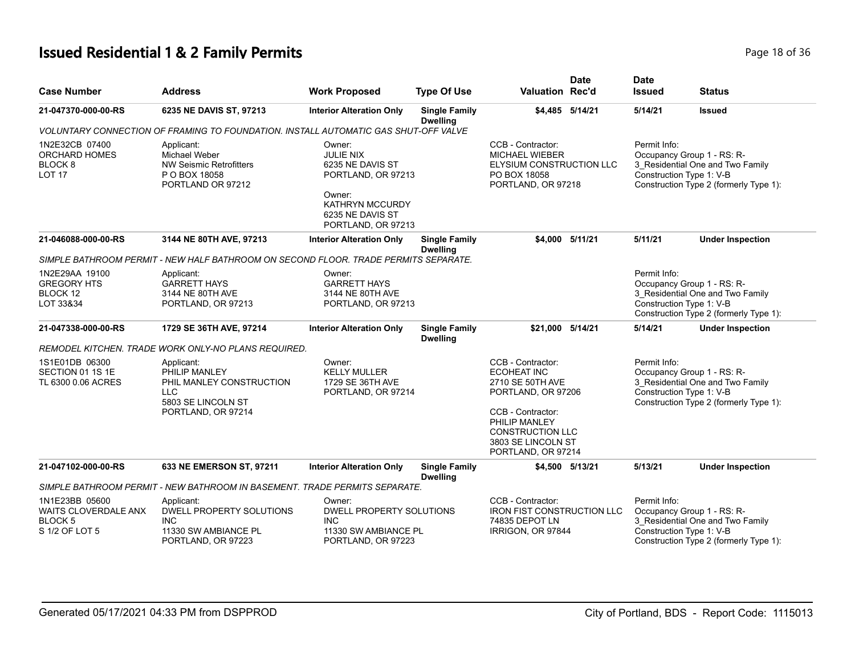# **Issued Residential 1 & 2 Family Permits Page 18 of 36 and 20 July 10 and 20 July 10 and 20 July 10 and 20 July 10 and 20 July 10 and 20 July 10 and 20 July 10 and 20 July 10 and 20 July 10 and 20 July 10 and 20 July 10**

| <b>Case Number</b>                                                                | <b>Address</b>                                                                                                    | <b>Work Proposed</b>                                                                                                                               | <b>Type Of Use</b>                      | <b>Valuation Rec'd</b>                                                                                                                                                                         | <b>Date</b> | <b>Date</b><br><b>Issued</b>             | <b>Status</b>                                                                                            |
|-----------------------------------------------------------------------------------|-------------------------------------------------------------------------------------------------------------------|----------------------------------------------------------------------------------------------------------------------------------------------------|-----------------------------------------|------------------------------------------------------------------------------------------------------------------------------------------------------------------------------------------------|-------------|------------------------------------------|----------------------------------------------------------------------------------------------------------|
| 21-047370-000-00-RS                                                               | 6235 NE DAVIS ST, 97213                                                                                           | <b>Interior Alteration Only</b>                                                                                                                    | <b>Single Family</b><br><b>Dwelling</b> | \$4,485 5/14/21                                                                                                                                                                                |             | 5/14/21                                  | <b>Issued</b>                                                                                            |
|                                                                                   | VOLUNTARY CONNECTION OF FRAMING TO FOUNDATION. INSTALL AUTOMATIC GAS SHUT-OFF VALVE                               |                                                                                                                                                    |                                         |                                                                                                                                                                                                |             |                                          |                                                                                                          |
| 1N2E32CB 07400<br><b>ORCHARD HOMES</b><br>BLOCK <sub>8</sub><br>LOT <sub>17</sub> | Applicant:<br>Michael Weber<br><b>NW Seismic Retrofitters</b><br>P O BOX 18058<br>PORTLAND OR 97212               | Owner:<br><b>JULIE NIX</b><br>6235 NE DAVIS ST<br>PORTLAND, OR 97213<br>Owner:<br><b>KATHRYN MCCURDY</b><br>6235 NE DAVIS ST<br>PORTLAND, OR 97213 |                                         | CCB - Contractor:<br><b>MICHAEL WIEBER</b><br>ELYSIUM CONSTRUCTION LLC<br>PO BOX 18058<br>PORTLAND, OR 97218                                                                                   |             | Permit Info:<br>Construction Type 1: V-B | Occupancy Group 1 - RS: R-<br>3_Residential One and Two Family<br>Construction Type 2 (formerly Type 1): |
| 21-046088-000-00-RS                                                               | 3144 NE 80TH AVE, 97213                                                                                           | <b>Interior Alteration Only</b>                                                                                                                    | <b>Single Family</b><br><b>Dwelling</b> | \$4.000 5/11/21                                                                                                                                                                                |             | 5/11/21                                  | <b>Under Inspection</b>                                                                                  |
|                                                                                   | SIMPLE BATHROOM PERMIT - NEW HALF BATHROOM ON SECOND FLOOR. TRADE PERMITS SEPARATE.                               |                                                                                                                                                    |                                         |                                                                                                                                                                                                |             |                                          |                                                                                                          |
| 1N2E29AA 19100<br><b>GREGORY HTS</b><br>BLOCK 12<br>LOT 33&34                     | Applicant:<br><b>GARRETT HAYS</b><br>3144 NE 80TH AVE<br>PORTLAND, OR 97213                                       | Owner:<br><b>GARRETT HAYS</b><br>3144 NE 80TH AVE<br>PORTLAND, OR 97213                                                                            |                                         |                                                                                                                                                                                                |             | Permit Info:<br>Construction Type 1: V-B | Occupancy Group 1 - RS: R-<br>3 Residential One and Two Family<br>Construction Type 2 (formerly Type 1): |
| 21-047338-000-00-RS                                                               | 1729 SE 36TH AVE, 97214                                                                                           | <b>Interior Alteration Only</b>                                                                                                                    | <b>Single Family</b><br><b>Dwelling</b> | \$21,000 5/14/21                                                                                                                                                                               |             | 5/14/21                                  | <b>Under Inspection</b>                                                                                  |
|                                                                                   | REMODEL KITCHEN. TRADE WORK ONLY-NO PLANS REQUIRED.                                                               |                                                                                                                                                    |                                         |                                                                                                                                                                                                |             |                                          |                                                                                                          |
| 1S1E01DB 06300<br>SECTION 01 1S 1E<br>TL 6300 0.06 ACRES                          | Applicant:<br>PHILIP MANLEY<br>PHIL MANLEY CONSTRUCTION<br><b>LLC</b><br>5803 SE LINCOLN ST<br>PORTLAND, OR 97214 | Owner:<br><b>KELLY MULLER</b><br>1729 SE 36TH AVE<br>PORTLAND, OR 97214                                                                            |                                         | CCB - Contractor:<br><b>ECOHEAT INC</b><br>2710 SE 50TH AVE<br>PORTLAND, OR 97206<br>CCB - Contractor:<br>PHILIP MANLEY<br><b>CONSTRUCTION LLC</b><br>3803 SE LINCOLN ST<br>PORTLAND, OR 97214 |             | Permit Info:<br>Construction Type 1: V-B | Occupancy Group 1 - RS: R-<br>3 Residential One and Two Family<br>Construction Type 2 (formerly Type 1): |
| 21-047102-000-00-RS                                                               | 633 NE EMERSON ST, 97211                                                                                          | <b>Interior Alteration Only</b>                                                                                                                    | <b>Single Family</b><br><b>Dwelling</b> | \$4,500 5/13/21                                                                                                                                                                                |             | 5/13/21                                  | <b>Under Inspection</b>                                                                                  |
|                                                                                   | SIMPLE BATHROOM PERMIT - NEW BATHROOM IN BASEMENT. TRADE PERMITS SEPARATE.                                        |                                                                                                                                                    |                                         |                                                                                                                                                                                                |             |                                          |                                                                                                          |
| 1N1E23BB 05600<br>WAITS CLOVERDALE ANX<br><b>BLOCK5</b><br>S 1/2 OF LOT 5         | Applicant:<br>DWELL PROPERTY SOLUTIONS<br><b>INC</b><br>11330 SW AMBIANCE PL<br>PORTLAND, OR 97223                | Owner:<br>DWELL PROPERTY SOLUTIONS<br><b>INC</b><br>11330 SW AMBIANCE PL<br>PORTLAND, OR 97223                                                     |                                         | CCB - Contractor:<br><b>IRON FIST CONSTRUCTION LLC</b><br>74835 DEPOT LN<br>IRRIGON, OR 97844                                                                                                  |             | Permit Info:<br>Construction Type 1: V-B | Occupancy Group 1 - RS: R-<br>3 Residential One and Two Family<br>Construction Type 2 (formerly Type 1): |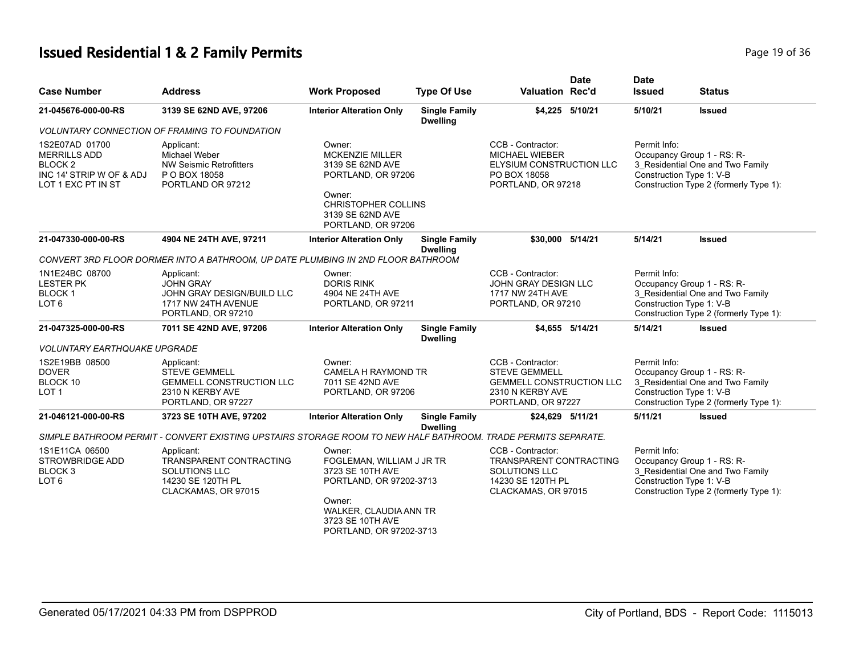# **Issued Residential 1 & 2 Family Permits Page 19 of 36 Page 19 of 36**

| <b>Case Number</b>                                                                                            | <b>Address</b>                                                                                                  | <b>Work Proposed</b>                                                                                                                                                  | <b>Type Of Use</b>                      | <b>Date</b><br><b>Valuation Rec'd</b>                                                                                  | <b>Date</b><br><b>Issued</b>             | Status                                                                                                   |
|---------------------------------------------------------------------------------------------------------------|-----------------------------------------------------------------------------------------------------------------|-----------------------------------------------------------------------------------------------------------------------------------------------------------------------|-----------------------------------------|------------------------------------------------------------------------------------------------------------------------|------------------------------------------|----------------------------------------------------------------------------------------------------------|
| 21-045676-000-00-RS                                                                                           | 3139 SE 62ND AVE, 97206                                                                                         | <b>Interior Alteration Only</b>                                                                                                                                       | <b>Single Family</b><br><b>Dwelling</b> | \$4,225 5/10/21                                                                                                        | 5/10/21                                  | <b>Issued</b>                                                                                            |
|                                                                                                               | <i>VOLUNTARY CONNECTION OF FRAMING TO FOUNDATION</i>                                                            |                                                                                                                                                                       |                                         |                                                                                                                        |                                          |                                                                                                          |
| 1S2E07AD 01700<br><b>MERRILLS ADD</b><br>BLOCK <sub>2</sub><br>INC 14' STRIP W OF & ADJ<br>LOT 1 EXC PT IN ST | Applicant:<br>Michael Weber<br><b>NW Seismic Retrofitters</b><br>P O BOX 18058<br>PORTLAND OR 97212             | Owner:<br><b>MCKENZIE MILLER</b><br>3139 SE 62ND AVE<br>PORTLAND, OR 97206<br>Owner:<br><b>CHRISTOPHER COLLINS</b><br>3139 SE 62ND AVE<br>PORTLAND, OR 97206          |                                         | CCB - Contractor:<br><b>MICHAEL WIEBER</b><br>ELYSIUM CONSTRUCTION LLC<br>PO BOX 18058<br>PORTLAND, OR 97218           | Permit Info:<br>Construction Type 1: V-B | Occupancy Group 1 - RS: R-<br>3_Residential One and Two Family<br>Construction Type 2 (formerly Type 1): |
| 21-047330-000-00-RS                                                                                           | 4904 NE 24TH AVE, 97211                                                                                         | <b>Interior Alteration Only</b>                                                                                                                                       | <b>Single Family</b><br><b>Dwelling</b> | \$30.000 5/14/21                                                                                                       | 5/14/21                                  | <b>Issued</b>                                                                                            |
|                                                                                                               | CONVERT 3RD FLOOR DORMER INTO A BATHROOM, UP DATE PLUMBING IN 2ND FLOOR BATHROOM                                |                                                                                                                                                                       |                                         |                                                                                                                        |                                          |                                                                                                          |
| 1N1E24BC 08700<br><b>LESTER PK</b><br><b>BLOCK1</b><br>LOT <sub>6</sub>                                       | Applicant:<br><b>JOHN GRAY</b><br>JOHN GRAY DESIGN/BUILD LLC<br>1717 NW 24TH AVENUE<br>PORTLAND, OR 97210       | Owner:<br><b>DORIS RINK</b><br>4904 NE 24TH AVE<br>PORTLAND, OR 97211                                                                                                 |                                         | CCB - Contractor:<br>JOHN GRAY DESIGN LLC<br>1717 NW 24TH AVE<br>PORTLAND, OR 97210                                    | Permit Info:<br>Construction Type 1: V-B | Occupancy Group 1 - RS: R-<br>3 Residential One and Two Family<br>Construction Type 2 (formerly Type 1): |
| 21-047325-000-00-RS                                                                                           | 7011 SE 42ND AVE, 97206                                                                                         | <b>Interior Alteration Only</b>                                                                                                                                       | <b>Single Family</b><br><b>Dwelling</b> | \$4.655 5/14/21                                                                                                        | 5/14/21                                  | <b>Issued</b>                                                                                            |
| <b>VOLUNTARY EARTHQUAKE UPGRADE</b>                                                                           |                                                                                                                 |                                                                                                                                                                       |                                         |                                                                                                                        |                                          |                                                                                                          |
| 1S2E19BB 08500<br><b>DOVER</b><br>BLOCK 10<br>LOT <sub>1</sub>                                                | Applicant:<br><b>STEVE GEMMELL</b><br><b>GEMMELL CONSTRUCTION LLC</b><br>2310 N KERBY AVE<br>PORTLAND, OR 97227 | Owner:<br>CAMELA H RAYMOND TR<br>7011 SE 42ND AVE<br>PORTLAND, OR 97206                                                                                               |                                         | CCB - Contractor:<br><b>STEVE GEMMELL</b><br><b>GEMMELL CONSTRUCTION LLC</b><br>2310 N KERBY AVE<br>PORTLAND, OR 97227 | Permit Info:<br>Construction Type 1: V-B | Occupancy Group 1 - RS: R-<br>3_Residential One and Two Family<br>Construction Type 2 (formerly Type 1): |
| 21-046121-000-00-RS                                                                                           | 3723 SE 10TH AVE, 97202                                                                                         | <b>Interior Alteration Only</b>                                                                                                                                       | <b>Single Family</b><br><b>Dwelling</b> | \$24,629 5/11/21                                                                                                       | 5/11/21                                  | <b>Issued</b>                                                                                            |
|                                                                                                               | SIMPLE BATHROOM PERMIT - CONVERT EXISTING UPSTAIRS STORAGE ROOM TO NEW HALF BATHROOM. TRADE PERMITS SEPARATE.   |                                                                                                                                                                       |                                         |                                                                                                                        |                                          |                                                                                                          |
| 1S1E11CA 06500<br><b>STROWBRIDGE ADD</b><br>BLOCK 3<br>LOT <sub>6</sub>                                       | Applicant:<br>TRANSPARENT CONTRACTING<br><b>SOLUTIONS LLC</b><br>14230 SE 120TH PL<br>CLACKAMAS, OR 97015       | Owner:<br>FOGLEMAN, WILLIAM J JR TR<br>3723 SE 10TH AVE<br>PORTLAND, OR 97202-3713<br>Owner:<br>WALKER, CLAUDIA ANN TR<br>3723 SE 10TH AVE<br>PORTLAND, OR 97202-3713 |                                         | CCB - Contractor:<br><b>TRANSPARENT CONTRACTING</b><br>SOLUTIONS LLC<br>14230 SE 120TH PL<br>CLACKAMAS, OR 97015       | Permit Info:<br>Construction Type 1: V-B | Occupancy Group 1 - RS: R-<br>3_Residential One and Two Family<br>Construction Type 2 (formerly Type 1): |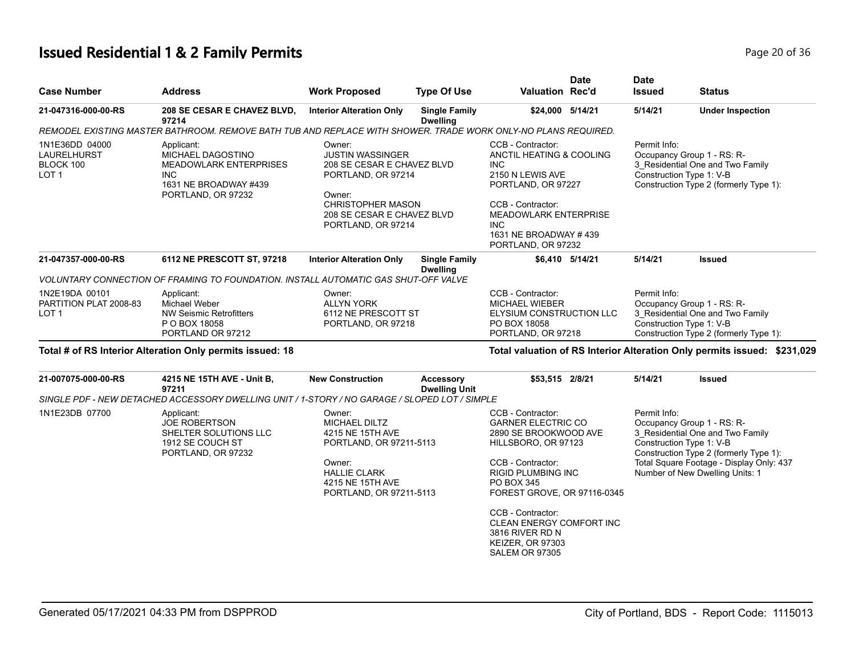# **Issued Residential 1 & 2 Family Permits Page 20 of 36 Page 20 of 36**

| <b>Case Number</b>                                  | <b>Address</b>                                                                                                                       | <b>Work Proposed</b>                                                                                                                                                            | <b>Type Of Use</b>                       | <b>Valuation Rec'd</b>                                                                                                                                                                                             | <b>Date</b> | <b>Date</b><br><b>Issued</b>             | <b>Status</b>                                                                                                                                                                           |
|-----------------------------------------------------|--------------------------------------------------------------------------------------------------------------------------------------|---------------------------------------------------------------------------------------------------------------------------------------------------------------------------------|------------------------------------------|--------------------------------------------------------------------------------------------------------------------------------------------------------------------------------------------------------------------|-------------|------------------------------------------|-----------------------------------------------------------------------------------------------------------------------------------------------------------------------------------------|
| 21-047316-000-00-RS                                 | 208 SE CESAR E CHAVEZ BLVD,<br>97214                                                                                                 | <b>Interior Alteration Only</b>                                                                                                                                                 | <b>Single Family</b><br><b>Dwelling</b>  | \$24,000 5/14/21                                                                                                                                                                                                   |             | 5/14/21                                  | <b>Under Inspection</b>                                                                                                                                                                 |
|                                                     | REMODEL EXISTING MASTER BATHROOM. REMOVE BATH TUB AND REPLACE WITH SHOWER. TRADE WORK ONLY-NO PLANS REQUIRED.                        |                                                                                                                                                                                 |                                          |                                                                                                                                                                                                                    |             |                                          |                                                                                                                                                                                         |
| 1N1E36DD 04000<br>LAURELHURST<br>BLOCK 100<br>LOT 1 | Applicant:<br>MICHAEL DAGOSTINO<br><b>MEADOWLARK ENTERPRISES</b><br><b>INC</b><br>1631 NE BROADWAY #439<br>PORTLAND, OR 97232        | Owner:<br><b>JUSTIN WASSINGER</b><br>208 SE CESAR E CHAVEZ BLVD<br>PORTLAND, OR 97214<br>Owner:<br><b>CHRISTOPHER MASON</b><br>208 SE CESAR E CHAVEZ BLVD<br>PORTLAND, OR 97214 |                                          | CCB - Contractor:<br>ANCTIL HEATING & COOLING<br>INC.<br>2150 N LEWIS AVE<br>PORTLAND, OR 97227<br>CCB - Contractor:<br>MEADOWLARK ENTERPRISE<br>INC.<br>1631 NE BROADWAY #439<br>PORTLAND, OR 97232               |             | Permit Info:<br>Construction Type 1: V-B | Occupancy Group 1 - RS: R-<br>3_Residential One and Two Family<br>Construction Type 2 (formerly Type 1):                                                                                |
| 21-047357-000-00-RS                                 | 6112 NE PRESCOTT ST, 97218                                                                                                           | <b>Interior Alteration Only</b>                                                                                                                                                 | <b>Single Family</b><br><b>Dwelling</b>  | \$6,410 5/14/21                                                                                                                                                                                                    |             | 5/14/21                                  | <b>Issued</b>                                                                                                                                                                           |
|                                                     | VOLUNTARY CONNECTION OF FRAMING TO FOUNDATION. INSTALL AUTOMATIC GAS SHUT-OFF VALVE                                                  |                                                                                                                                                                                 |                                          |                                                                                                                                                                                                                    |             |                                          |                                                                                                                                                                                         |
| 1N2E19DA 00101<br>PARTITION PLAT 2008-83<br>LOT 1   | Applicant:<br>Michael Weber<br><b>NW Seismic Retrofitters</b><br>P O BOX 18058<br>PORTLAND OR 97212                                  | Owner:<br><b>ALLYN YORK</b><br>6112 NE PRESCOTT ST<br>PORTLAND, OR 97218                                                                                                        |                                          | CCB - Contractor:<br><b>MICHAEL WIEBER</b><br>ELYSIUM CONSTRUCTION LLC<br>PO BOX 18058<br>PORTLAND, OR 97218                                                                                                       |             | Permit Info:<br>Construction Type 1: V-B | Occupancy Group 1 - RS: R-<br>3_Residential One and Two Family<br>Construction Type 2 (formerly Type 1):                                                                                |
|                                                     | Total # of RS Interior Alteration Only permits issued: 18                                                                            |                                                                                                                                                                                 |                                          |                                                                                                                                                                                                                    |             |                                          | Total valuation of RS Interior Alteration Only permits issued: \$231,029                                                                                                                |
| 21-007075-000-00-RS                                 | 4215 NE 15TH AVE - Unit B,<br>97211<br>SINGLE PDF - NEW DETACHED ACCESSORY DWELLING UNIT / 1-STORY / NO GARAGE / SLOPED LOT / SIMPLE | <b>New Construction</b>                                                                                                                                                         | <b>Accessory</b><br><b>Dwelling Unit</b> | \$53,515 2/8/21                                                                                                                                                                                                    |             | 5/14/21                                  | <b>Issued</b>                                                                                                                                                                           |
| 1N1E23DB 07700                                      | Applicant:<br><b>JOE ROBERTSON</b><br>SHELTER SOLUTIONS LLC<br>1912 SE COUCH ST<br>PORTLAND, OR 97232                                | Owner:<br><b>MICHAEL DILTZ</b><br>4215 NE 15TH AVE<br>PORTLAND, OR 97211-5113<br>Owner:<br><b>HALLIE CLARK</b><br>4215 NE 15TH AVE<br>PORTLAND, OR 97211-5113                   |                                          | CCB - Contractor:<br><b>GARNER ELECTRIC CO</b><br>2890 SE BROOKWOOD AVE<br>HILLSBORO, OR 97123<br>CCB - Contractor:<br><b>RIGID PLUMBING INC</b><br>PO BOX 345<br>FOREST GROVE, OR 97116-0345<br>CCB - Contractor: |             | Permit Info:<br>Construction Type 1: V-B | Occupancy Group 1 - RS: R-<br>3_Residential One and Two Family<br>Construction Type 2 (formerly Type 1):<br>Total Square Footage - Display Only: 437<br>Number of New Dwelling Units: 1 |
|                                                     |                                                                                                                                      |                                                                                                                                                                                 |                                          | <b>CLEAN ENERGY COMFORT INC</b><br>3816 RIVER RD N<br><b>KEIZER, OR 97303</b><br><b>SALEM OR 97305</b>                                                                                                             |             |                                          |                                                                                                                                                                                         |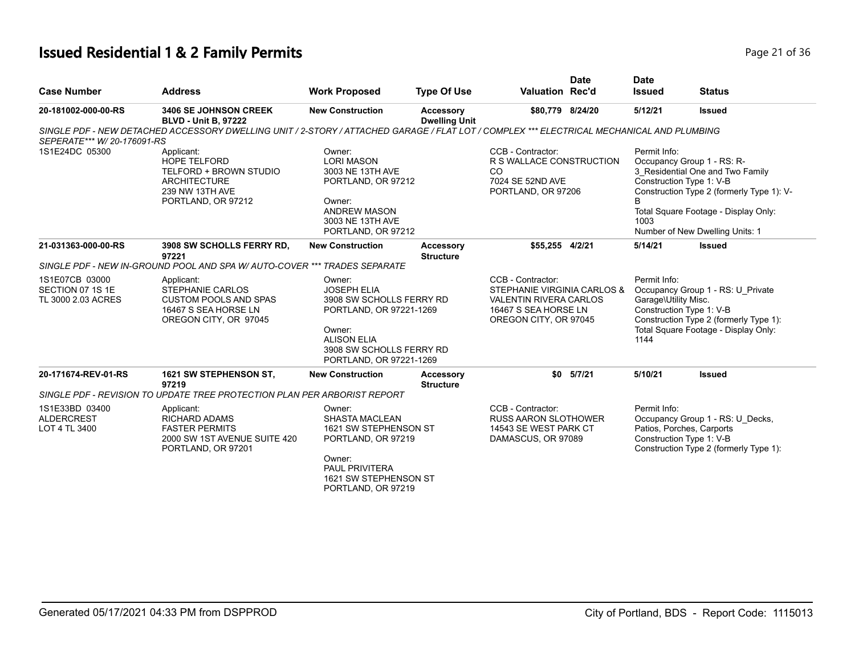# **Issued Residential 1 & 2 Family Permits Page 21 of 36 Page 21 of 36**

| <b>Case Number</b>                                       | <b>Address</b>                                                                                                                            | <b>Work Proposed</b>                                                                                                                                                       | <b>Type Of Use</b>                       | <b>Valuation Rec'd</b>                                                                                                             | <b>Date</b> | <b>Date</b><br><b>Issued</b>                 | <b>Status</b>                                                                                                                                                                                                      |
|----------------------------------------------------------|-------------------------------------------------------------------------------------------------------------------------------------------|----------------------------------------------------------------------------------------------------------------------------------------------------------------------------|------------------------------------------|------------------------------------------------------------------------------------------------------------------------------------|-------------|----------------------------------------------|--------------------------------------------------------------------------------------------------------------------------------------------------------------------------------------------------------------------|
| 20-181002-000-00-RS                                      | <b>3406 SE JOHNSON CREEK</b><br><b>BLVD - Unit B, 97222</b>                                                                               | <b>New Construction</b>                                                                                                                                                    | <b>Accessory</b><br><b>Dwelling Unit</b> | \$80,779 8/24/20                                                                                                                   |             | 5/12/21                                      | <b>Issued</b>                                                                                                                                                                                                      |
| SEPERATE*** W/ 20-176091-RS                              | SINGLE PDF - NEW DETACHED ACCESSORY DWELLING UNIT / 2-STORY / ATTACHED GARAGE / FLAT LOT / COMPLEX *** ELECTRICAL MECHANICAL AND PLUMBING |                                                                                                                                                                            |                                          |                                                                                                                                    |             |                                              |                                                                                                                                                                                                                    |
| 1S1E24DC 05300                                           | Applicant:<br><b>HOPE TELFORD</b><br>TELFORD + BROWN STUDIO<br><b>ARCHITECTURE</b><br>239 NW 13TH AVE<br>PORTLAND, OR 97212               | Owner:<br><b>LORI MASON</b><br>3003 NE 13TH AVE<br>PORTLAND, OR 97212<br>Owner:<br><b>ANDREW MASON</b><br>3003 NE 13TH AVE<br>PORTLAND, OR 97212                           |                                          | CCB - Contractor:<br>R S WALLACE CONSTRUCTION<br><sub>CO</sub><br>7024 SE 52ND AVE<br>PORTLAND, OR 97206                           |             | Permit Info:<br>B<br>1003                    | Occupancy Group 1 - RS: R-<br>3 Residential One and Two Family<br>Construction Type 1: V-B<br>Construction Type 2 (formerly Type 1): V-<br>Total Square Footage - Display Only:<br>Number of New Dwelling Units: 1 |
| 21-031363-000-00-RS                                      | 3908 SW SCHOLLS FERRY RD.<br>97221                                                                                                        | <b>New Construction</b>                                                                                                                                                    | <b>Accessory</b><br><b>Structure</b>     | \$55,255 4/2/21                                                                                                                    |             | 5/14/21                                      | <b>Issued</b>                                                                                                                                                                                                      |
|                                                          | SINGLE PDF - NEW IN-GROUND POOL AND SPA W/ AUTO-COVER *** TRADES SEPARATE                                                                 |                                                                                                                                                                            |                                          |                                                                                                                                    |             |                                              |                                                                                                                                                                                                                    |
| 1S1E07CB 03000<br>SECTION 07 1S 1E<br>TL 3000 2.03 ACRES | Applicant:<br><b>STEPHANIE CARLOS</b><br><b>CUSTOM POOLS AND SPAS</b><br>16467 S SEA HORSE LN<br>OREGON CITY, OR 97045                    | Owner:<br><b>JOSEPH ELIA</b><br>3908 SW SCHOLLS FERRY RD<br>PORTLAND, OR 97221-1269<br>Owner:<br><b>ALISON ELIA</b><br>3908 SW SCHOLLS FERRY RD<br>PORTLAND, OR 97221-1269 |                                          | CCB - Contractor:<br>STEPHANIE VIRGINIA CARLOS &<br><b>VALENTIN RIVERA CARLOS</b><br>16467 S SEA HORSE LN<br>OREGON CITY, OR 97045 |             | Permit Info:<br>Garage\Utility Misc.<br>1144 | Occupancy Group 1 - RS: U Private<br>Construction Type 1: V-B<br>Construction Type 2 (formerly Type 1):<br>Total Square Footage - Display Only:                                                                    |
| 20-171674-REV-01-RS                                      | 1621 SW STEPHENSON ST,<br>97219                                                                                                           | <b>New Construction</b>                                                                                                                                                    | <b>Accessory</b><br><b>Structure</b>     | \$0                                                                                                                                | 5/7/21      | 5/10/21                                      | <b>Issued</b>                                                                                                                                                                                                      |
|                                                          | SINGLE PDF - REVISION TO UPDATE TREE PROTECTION PLAN PER ARBORIST REPORT                                                                  |                                                                                                                                                                            |                                          |                                                                                                                                    |             |                                              |                                                                                                                                                                                                                    |
| 1S1E33BD 03400<br><b>ALDERCREST</b><br>LOT 4 TL 3400     | Applicant:<br><b>RICHARD ADAMS</b><br><b>FASTER PERMITS</b><br>2000 SW 1ST AVENUE SUITE 420<br>PORTLAND, OR 97201                         | Owner:<br><b>SHASTA MACLEAN</b><br>1621 SW STEPHENSON ST<br>PORTLAND, OR 97219<br>Owner:<br><b>PAUL PRIVITERA</b><br>1621 SW STEPHENSON ST<br>PORTLAND, OR 97219           |                                          | CCB - Contractor:<br>RUSS AARON SLOTHOWER<br>14543 SE WEST PARK CT<br>DAMASCUS, OR 97089                                           |             | Permit Info:                                 | Occupancy Group 1 - RS: U_Decks,<br>Patios, Porches, Carports<br>Construction Type 1: V-B<br>Construction Type 2 (formerly Type 1):                                                                                |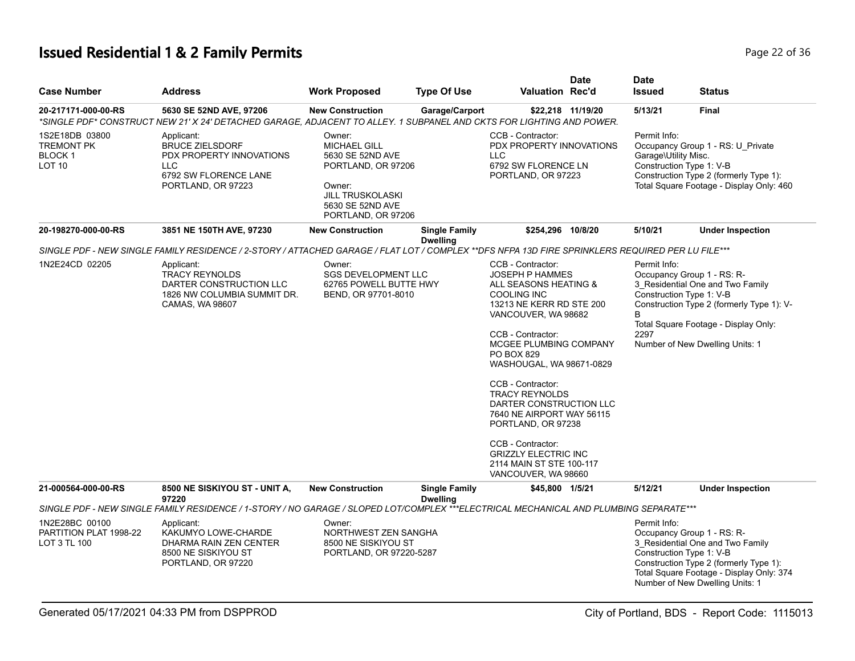# **Issued Residential 1 & 2 Family Permits Page 22 of 36 Page 22 of 36**

| <b>Case Number</b>                                                             | <b>Address</b>                                                                                                                                   | <b>Work Proposed</b>                                                                                                                                   | <b>Type Of Use</b>                      | <b>Valuation Rec'd</b>                                                                                                                                                                                                                                                                                                                                                                                                                                                    | <b>Date</b> | <b>Date</b><br><b>Issued</b>                                     | <b>Status</b>                                                                                                                                                                           |
|--------------------------------------------------------------------------------|--------------------------------------------------------------------------------------------------------------------------------------------------|--------------------------------------------------------------------------------------------------------------------------------------------------------|-----------------------------------------|---------------------------------------------------------------------------------------------------------------------------------------------------------------------------------------------------------------------------------------------------------------------------------------------------------------------------------------------------------------------------------------------------------------------------------------------------------------------------|-------------|------------------------------------------------------------------|-----------------------------------------------------------------------------------------------------------------------------------------------------------------------------------------|
| 20-217171-000-00-RS                                                            | 5630 SE 52ND AVE, 97206<br>*SINGLE PDF* CONSTRUCT NEW 21' X 24' DETACHED GARAGE, ADJACENT TO ALLEY. 1 SUBPANEL AND CKTS FOR LIGHTING AND POWER.  | <b>New Construction</b>                                                                                                                                | Garage/Carport                          | \$22.218 11/19/20                                                                                                                                                                                                                                                                                                                                                                                                                                                         |             | 5/13/21                                                          | <b>Final</b>                                                                                                                                                                            |
| 1S2E18DB 03800<br><b>TREMONT PK</b><br>BLOCK <sub>1</sub><br>LOT <sub>10</sub> | Applicant:<br><b>BRUCE ZIELSDORF</b><br>PDX PROPERTY INNOVATIONS<br><b>LLC</b><br>6792 SW FLORENCE LANE<br>PORTLAND, OR 97223                    | Owner:<br><b>MICHAEL GILL</b><br>5630 SE 52ND AVE<br>PORTLAND, OR 97206<br>Owner:<br><b>JILL TRUSKOLASKI</b><br>5630 SE 52ND AVE<br>PORTLAND, OR 97206 |                                         | CCB - Contractor:<br>PDX PROPERTY INNOVATIONS<br><b>LLC</b><br>6792 SW FLORENCE LN<br>PORTLAND, OR 97223                                                                                                                                                                                                                                                                                                                                                                  |             | Permit Info:<br>Garage\Utility Misc.<br>Construction Type 1: V-B | Occupancy Group 1 - RS: U_Private<br>Construction Type 2 (formerly Type 1):<br>Total Square Footage - Display Only: 460                                                                 |
| 20-198270-000-00-RS                                                            | 3851 NE 150TH AVE, 97230                                                                                                                         | <b>New Construction</b>                                                                                                                                | <b>Single Family</b><br><b>Dwelling</b> | \$254,296 10/8/20                                                                                                                                                                                                                                                                                                                                                                                                                                                         |             | 5/10/21                                                          | <b>Under Inspection</b>                                                                                                                                                                 |
|                                                                                | SINGLE PDF - NEW SINGLE FAMILY RESIDENCE / 2-STORY / ATTACHED GARAGE / FLAT LOT / COMPLEX **DFS NFPA 13D FIRE SPRINKLERS REQUIRED PER LU FILE*** |                                                                                                                                                        |                                         |                                                                                                                                                                                                                                                                                                                                                                                                                                                                           |             |                                                                  |                                                                                                                                                                                         |
| 1N2E24CD 02205                                                                 | Applicant:<br><b>TRACY REYNOLDS</b><br>DARTER CONSTRUCTION LLC<br>1826 NW COLUMBIA SUMMIT DR.<br>CAMAS, WA 98607                                 | Owner:<br><b>SGS DEVELOPMENT LLC</b><br>62765 POWELL BUTTE HWY<br>BEND, OR 97701-8010                                                                  |                                         | CCB - Contractor:<br><b>JOSEPH P HAMMES</b><br>ALL SEASONS HEATING &<br><b>COOLING INC</b><br>13213 NE KERR RD STE 200<br>VANCOUVER, WA 98682<br>CCB - Contractor:<br>MCGEE PLUMBING COMPANY<br>PO BOX 829<br>WASHOUGAL, WA 98671-0829<br>CCB - Contractor:<br><b>TRACY REYNOLDS</b><br>DARTER CONSTRUCTION LLC<br>7640 NE AIRPORT WAY 56115<br>PORTLAND, OR 97238<br>CCB - Contractor:<br><b>GRIZZLY ELECTRIC INC</b><br>2114 MAIN ST STE 100-117<br>VANCOUVER, WA 98660 |             | Permit Info:<br>Construction Type 1: V-B<br>B<br>2297            | Occupancy Group 1 - RS: R-<br>3_Residential One and Two Family<br>Construction Type 2 (formerly Type 1): V-<br>Total Square Footage - Display Only:<br>Number of New Dwelling Units: 1  |
| 21-000564-000-00-RS                                                            | 8500 NE SISKIYOU ST - UNIT A,<br>97220                                                                                                           | <b>New Construction</b>                                                                                                                                | <b>Single Family</b><br><b>Dwelling</b> | \$45,800 1/5/21                                                                                                                                                                                                                                                                                                                                                                                                                                                           |             | 5/12/21                                                          | <b>Under Inspection</b>                                                                                                                                                                 |
|                                                                                | SINGLE PDF - NEW SINGLE FAMILY RESIDENCE / 1-STORY / NO GARAGE / SLOPED LOT/COMPLEX ***ELECTRICAL MECHANICAL AND PLUMBING SEPARATE***            |                                                                                                                                                        |                                         |                                                                                                                                                                                                                                                                                                                                                                                                                                                                           |             |                                                                  |                                                                                                                                                                                         |
| 1N2E28BC 00100<br>PARTITION PLAT 1998-22<br>LOT 3 TL 100                       | Applicant:<br>KAKUMYO LOWE-CHARDE<br>DHARMA RAIN ZEN CENTER<br>8500 NE SISKIYOU ST<br>PORTLAND, OR 97220                                         | Owner:<br>NORTHWEST ZEN SANGHA<br>8500 NE SISKIYOU ST<br>PORTLAND, OR 97220-5287                                                                       |                                         |                                                                                                                                                                                                                                                                                                                                                                                                                                                                           |             | Permit Info:<br>Construction Type 1: V-B                         | Occupancy Group 1 - RS: R-<br>3 Residential One and Two Family<br>Construction Type 2 (formerly Type 1):<br>Total Square Footage - Display Only: 374<br>Number of New Dwelling Units: 1 |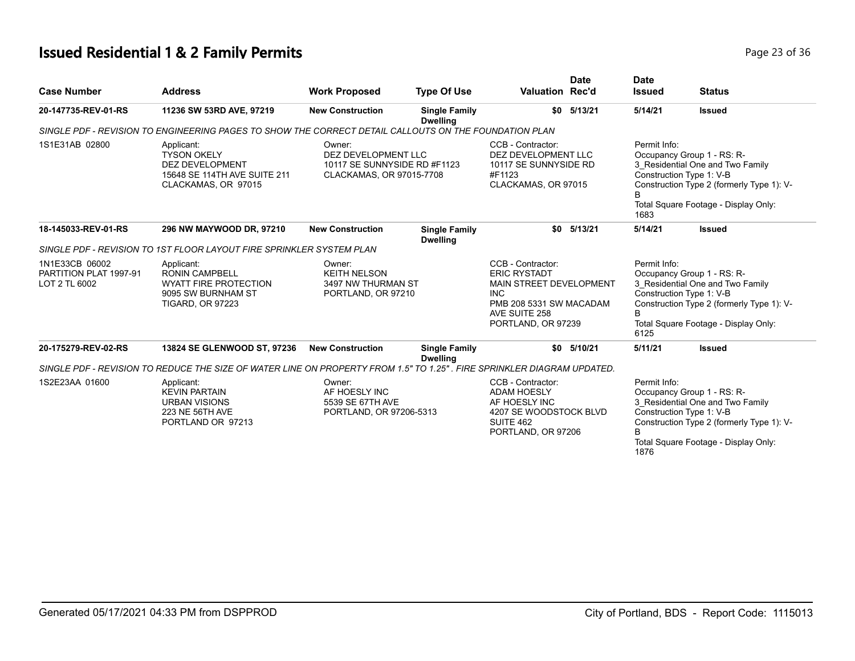# **Issued Residential 1 & 2 Family Permits Page 23 of 36 Page 23 of 36**

| <b>Case Number</b>                                        | <b>Address</b>                                                                                                         | <b>Work Proposed</b>                                                                      | <b>Type Of Use</b>                      | <b>Valuation Rec'd</b>                                                                                                                              | <b>Date</b> | <b>Date</b><br><b>Issued</b> | <b>Status</b>                                                                                                                                                                   |
|-----------------------------------------------------------|------------------------------------------------------------------------------------------------------------------------|-------------------------------------------------------------------------------------------|-----------------------------------------|-----------------------------------------------------------------------------------------------------------------------------------------------------|-------------|------------------------------|---------------------------------------------------------------------------------------------------------------------------------------------------------------------------------|
| 20-147735-REV-01-RS                                       | 11236 SW 53RD AVE, 97219                                                                                               | <b>New Construction</b>                                                                   | <b>Single Family</b><br><b>Dwelling</b> | \$0                                                                                                                                                 | 5/13/21     | 5/14/21                      | <b>Issued</b>                                                                                                                                                                   |
|                                                           | SINGLE PDF - REVISION TO ENGINEERING PAGES TO SHOW THE CORRECT DETAIL CALLOUTS ON THE FOUNDATION PLAN                  |                                                                                           |                                         |                                                                                                                                                     |             |                              |                                                                                                                                                                                 |
| 1S1E31AB 02800                                            | Applicant:<br><b>TYSON OKELY</b><br><b>DEZ DEVELOPMENT</b><br>15648 SE 114TH AVE SUITE 211<br>CLACKAMAS, OR 97015      | Owner:<br>DEZ DEVELOPMENT LLC<br>10117 SE SUNNYSIDE RD #F1123<br>CLACKAMAS, OR 97015-7708 |                                         | CCB - Contractor:<br>DEZ DEVELOPMENT LLC<br>10117 SE SUNNYSIDE RD<br>#F1123<br>CLACKAMAS, OR 97015                                                  |             | Permit Info:<br>1683         | Occupancy Group 1 - RS: R-<br>3_Residential One and Two Family<br>Construction Type 1: V-B<br>Construction Type 2 (formerly Type 1): V-<br>Total Square Footage - Display Only: |
| 18-145033-REV-01-RS                                       | 296 NW MAYWOOD DR, 97210                                                                                               | <b>New Construction</b>                                                                   | <b>Single Family</b><br><b>Dwelling</b> | \$0                                                                                                                                                 | 5/13/21     | 5/14/21                      | <b>Issued</b>                                                                                                                                                                   |
|                                                           | SINGLE PDF - REVISION TO 1ST FLOOR LAYOUT FIRE SPRINKLER SYSTEM PLAN                                                   |                                                                                           |                                         |                                                                                                                                                     |             |                              |                                                                                                                                                                                 |
| 1N1E33CB 06002<br>PARTITION PLAT 1997-91<br>LOT 2 TL 6002 | Applicant:<br><b>RONIN CAMPBELL</b><br><b>WYATT FIRE PROTECTION</b><br>9095 SW BURNHAM ST<br><b>TIGARD, OR 97223</b>   | Owner:<br><b>KEITH NELSON</b><br>3497 NW THURMAN ST<br>PORTLAND, OR 97210                 |                                         | CCB - Contractor:<br><b>ERIC RYSTADT</b><br>MAIN STREET DEVELOPMENT<br><b>INC</b><br>PMB 208 5331 SW MACADAM<br>AVE SUITE 258<br>PORTLAND, OR 97239 |             | Permit Info:<br>B<br>6125    | Occupancy Group 1 - RS: R-<br>3 Residential One and Two Family<br>Construction Type 1: V-B<br>Construction Type 2 (formerly Type 1): V-<br>Total Square Footage - Display Only: |
| 20-175279-REV-02-RS                                       | 13824 SE GLENWOOD ST, 97236                                                                                            | <b>New Construction</b>                                                                   | <b>Single Family</b><br><b>Dwelling</b> | \$0                                                                                                                                                 | 5/10/21     | 5/11/21                      | <b>Issued</b>                                                                                                                                                                   |
|                                                           | SINGLE PDF - REVISION TO REDUCE THE SIZE OF WATER LINE ON PROPERTY FROM 1.5" TO 1.25". FIRE SPRINKLER DIAGRAM UPDATED. |                                                                                           |                                         |                                                                                                                                                     |             |                              |                                                                                                                                                                                 |
| 1S2E23AA 01600                                            | Applicant:<br><b>KEVIN PARTAIN</b><br><b>URBAN VISIONS</b><br>223 NE 56TH AVE<br>PORTLAND OR 97213                     | Owner:<br>AF HOESLY INC<br>5539 SE 67TH AVE<br>PORTLAND, OR 97206-5313                    |                                         | CCB - Contractor:<br><b>ADAM HOESLY</b><br>AF HOESLY INC<br>4207 SE WOODSTOCK BLVD<br>SUITE 462<br>PORTLAND, OR 97206                               |             | Permit Info:<br>1876         | Occupancy Group 1 - RS: R-<br>3 Residential One and Two Family<br>Construction Type 1: V-B<br>Construction Type 2 (formerly Type 1): V-<br>Total Square Footage - Display Only: |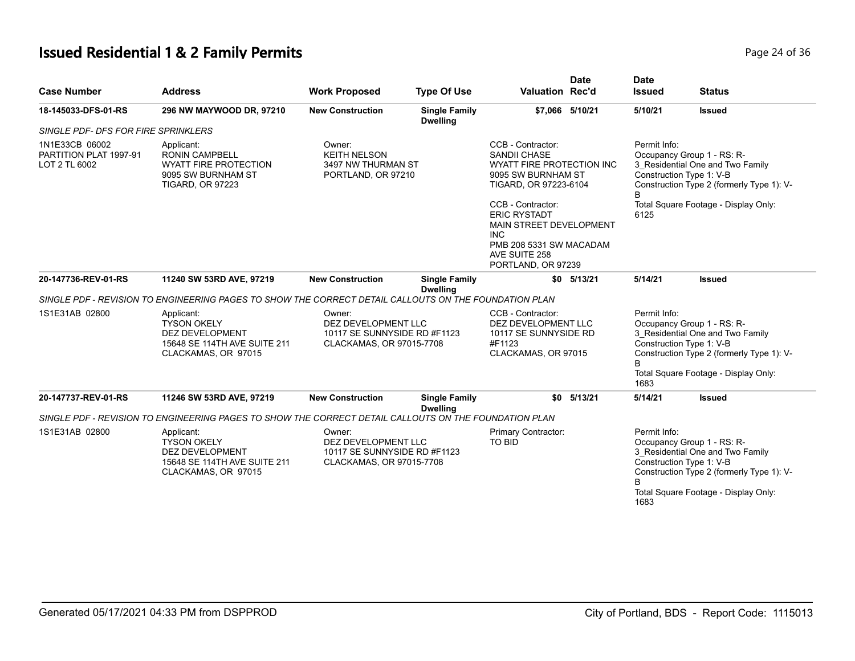# **Issued Residential 1 & 2 Family Permits Page 24 of 36 Page 24 of 36**

| <b>Case Number</b>                                        | <b>Address</b>                                                                                                       | <b>Work Proposed</b>                                                                      | <b>Type Of Use</b>                      | <b>Valuation Rec'd</b>                                                                                                                                                                                                                                                             | <b>Date</b>     | <b>Date</b><br><b>Issued</b>         | <b>Status</b>                                                                                                                                                                   |
|-----------------------------------------------------------|----------------------------------------------------------------------------------------------------------------------|-------------------------------------------------------------------------------------------|-----------------------------------------|------------------------------------------------------------------------------------------------------------------------------------------------------------------------------------------------------------------------------------------------------------------------------------|-----------------|--------------------------------------|---------------------------------------------------------------------------------------------------------------------------------------------------------------------------------|
| 18-145033-DFS-01-RS                                       | 296 NW MAYWOOD DR, 97210                                                                                             | <b>New Construction</b>                                                                   | <b>Single Family</b><br><b>Dwelling</b> |                                                                                                                                                                                                                                                                                    | \$7,066 5/10/21 | 5/10/21                              | <b>Issued</b>                                                                                                                                                                   |
| SINGLE PDF- DFS FOR FIRE SPRINKLERS                       |                                                                                                                      |                                                                                           |                                         |                                                                                                                                                                                                                                                                                    |                 |                                      |                                                                                                                                                                                 |
| 1N1E33CB 06002<br>PARTITION PLAT 1997-91<br>LOT 2 TL 6002 | Applicant:<br><b>RONIN CAMPBELL</b><br><b>WYATT FIRE PROTECTION</b><br>9095 SW BURNHAM ST<br><b>TIGARD, OR 97223</b> | Owner:<br><b>KEITH NELSON</b><br>3497 NW THURMAN ST<br>PORTLAND, OR 97210                 |                                         | CCB - Contractor:<br><b>SANDII CHASE</b><br><b>WYATT FIRE PROTECTION INC</b><br>9095 SW BURNHAM ST<br>TIGARD, OR 97223-6104<br>CCB - Contractor:<br><b>ERIC RYSTADT</b><br>MAIN STREET DEVELOPMENT<br><b>INC</b><br>PMB 208 5331 SW MACADAM<br>AVE SUITE 258<br>PORTLAND, OR 97239 |                 | Permit Info:<br><sub>R</sub><br>6125 | Occupancy Group 1 - RS: R-<br>3_Residential One and Two Family<br>Construction Type 1: V-B<br>Construction Type 2 (formerly Type 1): V-<br>Total Square Footage - Display Only: |
| 20-147736-REV-01-RS                                       | 11240 SW 53RD AVE, 97219                                                                                             | <b>New Construction</b>                                                                   | <b>Single Family</b><br><b>Dwelling</b> | \$0                                                                                                                                                                                                                                                                                | 5/13/21         | 5/14/21                              | <b>Issued</b>                                                                                                                                                                   |
|                                                           | SINGLE PDF - REVISION TO ENGINEERING PAGES TO SHOW THE CORRECT DETAIL CALLOUTS ON THE FOUNDATION PLAN                |                                                                                           |                                         |                                                                                                                                                                                                                                                                                    |                 |                                      |                                                                                                                                                                                 |
| 1S1E31AB 02800                                            | Applicant:<br><b>TYSON OKELY</b><br><b>DEZ DEVELOPMENT</b><br>15648 SE 114TH AVE SUITE 211<br>CLACKAMAS, OR 97015    | Owner:<br>DEZ DEVELOPMENT LLC<br>10117 SE SUNNYSIDE RD #F1123<br>CLACKAMAS, OR 97015-7708 |                                         | CCB - Contractor:<br>DEZ DEVELOPMENT LLC<br>10117 SE SUNNYSIDE RD<br>#F1123<br>CLACKAMAS, OR 97015                                                                                                                                                                                 |                 | Permit Info:<br>1683                 | Occupancy Group 1 - RS: R-<br>3 Residential One and Two Family<br>Construction Type 1: V-B<br>Construction Type 2 (formerly Type 1): V-<br>Total Square Footage - Display Only: |
| 20-147737-REV-01-RS                                       | 11246 SW 53RD AVE, 97219                                                                                             | <b>New Construction</b>                                                                   | <b>Single Family</b><br><b>Dwelling</b> | \$0                                                                                                                                                                                                                                                                                | 5/13/21         | 5/14/21                              | <b>Issued</b>                                                                                                                                                                   |
|                                                           | SINGLE PDF - REVISION TO ENGINEERING PAGES TO SHOW THE CORRECT DETAIL CALLOUTS ON THE FOUNDATION PLAN                |                                                                                           |                                         |                                                                                                                                                                                                                                                                                    |                 |                                      |                                                                                                                                                                                 |
| 1S1E31AB 02800                                            | Applicant:<br><b>TYSON OKELY</b><br><b>DEZ DEVELOPMENT</b><br>15648 SE 114TH AVE SUITE 211<br>CLACKAMAS, OR 97015    | Owner:<br>DEZ DEVELOPMENT LLC<br>10117 SE SUNNYSIDE RD #F1123<br>CLACKAMAS, OR 97015-7708 |                                         | Primary Contractor:<br>TO BID                                                                                                                                                                                                                                                      |                 | Permit Info:<br>B<br>1683            | Occupancy Group 1 - RS: R-<br>3 Residential One and Two Family<br>Construction Type 1: V-B<br>Construction Type 2 (formerly Type 1): V-<br>Total Square Footage - Display Only: |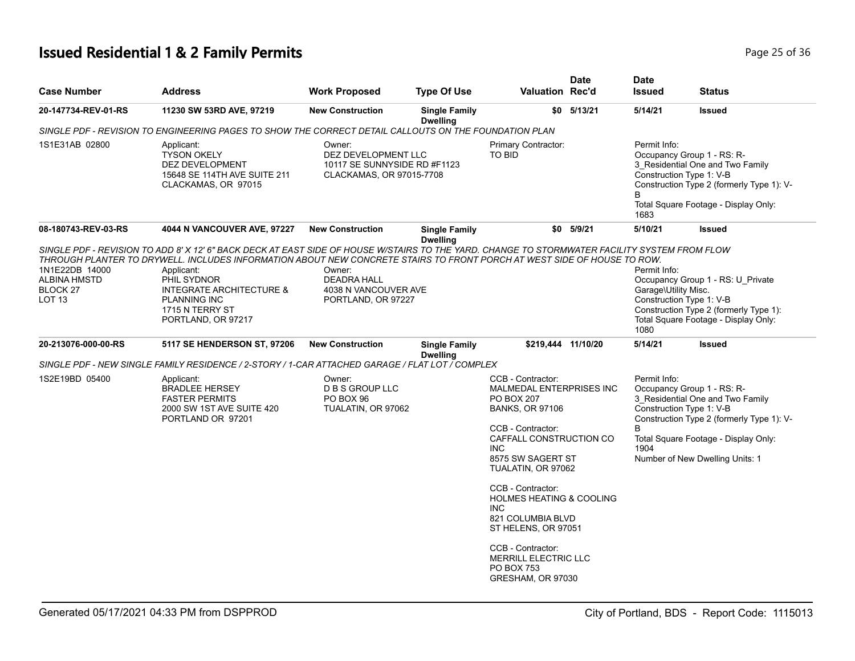# **Issued Residential 1 & 2 Family Permits Page 25 of 36 Page 25 of 36**

| <b>Address</b>                                                                                                        | <b>Work Proposed</b>                                                | <b>Type Of Use</b>                      |                                                                                                                                                                          | <b>Date</b>                                                                                                                                                                                              | <b>Date</b><br><b>Issued</b>                                                                                                                                                                                                                                                                                     | <b>Status</b>                                                                                                                                                                                                                                                                       |
|-----------------------------------------------------------------------------------------------------------------------|---------------------------------------------------------------------|-----------------------------------------|--------------------------------------------------------------------------------------------------------------------------------------------------------------------------|----------------------------------------------------------------------------------------------------------------------------------------------------------------------------------------------------------|------------------------------------------------------------------------------------------------------------------------------------------------------------------------------------------------------------------------------------------------------------------------------------------------------------------|-------------------------------------------------------------------------------------------------------------------------------------------------------------------------------------------------------------------------------------------------------------------------------------|
| 11230 SW 53RD AVE, 97219                                                                                              | <b>New Construction</b>                                             | <b>Single Family</b><br><b>Dwelling</b> |                                                                                                                                                                          |                                                                                                                                                                                                          | 5/14/21                                                                                                                                                                                                                                                                                                          | <b>Issued</b>                                                                                                                                                                                                                                                                       |
|                                                                                                                       |                                                                     |                                         |                                                                                                                                                                          |                                                                                                                                                                                                          |                                                                                                                                                                                                                                                                                                                  |                                                                                                                                                                                                                                                                                     |
| Applicant:<br><b>TYSON OKELY</b><br>DEZ DEVELOPMENT<br>15648 SE 114TH AVE SUITE 211<br>CLACKAMAS, OR 97015            | Owner:                                                              |                                         | <b>TO BID</b>                                                                                                                                                            |                                                                                                                                                                                                          | Permit Info:<br>B<br>1683                                                                                                                                                                                                                                                                                        | Occupancy Group 1 - RS: R-<br>3_Residential One and Two Family<br>Construction Type 1: V-B<br>Construction Type 2 (formerly Type 1): V-<br>Total Square Footage - Display Only:                                                                                                     |
| 4044 N VANCOUVER AVE, 97227                                                                                           | <b>New Construction</b>                                             | <b>Single Family</b>                    |                                                                                                                                                                          |                                                                                                                                                                                                          | 5/10/21                                                                                                                                                                                                                                                                                                          | <b>Issued</b>                                                                                                                                                                                                                                                                       |
| Applicant:<br>PHIL SYDNOR<br>INTEGRATE ARCHITECTURE &<br><b>PLANNING INC</b><br>1715 N TERRY ST<br>PORTLAND, OR 97217 | Owner:<br><b>DEADRA HALL</b>                                        |                                         |                                                                                                                                                                          |                                                                                                                                                                                                          | Permit Info:<br>Garage\Utility Misc.<br>1080                                                                                                                                                                                                                                                                     | Occupancy Group 1 - RS: U_Private<br>Construction Type 1: V-B<br>Construction Type 2 (formerly Type 1):<br>Total Square Footage - Display Only:<br><b>Issued</b>                                                                                                                    |
|                                                                                                                       |                                                                     | <b>Dwelling</b>                         |                                                                                                                                                                          |                                                                                                                                                                                                          |                                                                                                                                                                                                                                                                                                                  |                                                                                                                                                                                                                                                                                     |
|                                                                                                                       |                                                                     |                                         |                                                                                                                                                                          |                                                                                                                                                                                                          |                                                                                                                                                                                                                                                                                                                  |                                                                                                                                                                                                                                                                                     |
| Applicant:<br><b>BRADLEE HERSEY</b><br><b>FASTER PERMITS</b><br>2000 SW 1ST AVE SUITE 420<br>PORTLAND OR 97201        | Owner:<br><b>D B S GROUP LLC</b><br>PO BOX 96<br>TUALATIN, OR 97062 |                                         | CCB - Contractor:<br><b>PO BOX 207</b><br><b>BANKS, OR 97106</b><br>CCB - Contractor:<br><b>INC</b><br>CCB - Contractor:<br>INC.                                         |                                                                                                                                                                                                          | Permit Info:<br>B<br>1904                                                                                                                                                                                                                                                                                        | Occupancy Group 1 - RS: R-<br>3 Residential One and Two Family<br>Construction Type 1: V-B<br>Construction Type 2 (formerly Type 1): V-<br>Total Square Footage - Display Only:<br>Number of New Dwelling Units: 1                                                                  |
|                                                                                                                       | <b>5117 SE HENDERSON ST, 97206</b>                                  | <b>New Construction</b>                 | DEZ DEVELOPMENT LLC<br>10117 SE SUNNYSIDE RD #F1123<br>CLACKAMAS, OR 97015-7708<br><b>Dwelling</b><br>4038 N VANCOUVER AVE<br>PORTLAND, OR 97227<br><b>Single Family</b> | SINGLE PDF - REVISION TO ENGINEERING PAGES TO SHOW THE CORRECT DETAIL CALLOUTS ON THE FOUNDATION PLAN<br>SINGLE PDF - NEW SINGLE FAMILY RESIDENCE / 2-STORY / 1-CAR ATTACHED GARAGE / FLAT LOT / COMPLEX | <b>Valuation Rec'd</b><br>$$0$ $5/13/21$<br>Primary Contractor:<br>$$0$ $5/9/21$<br>\$219,444 11/10/20<br>MALMEDAL ENTERPRISES INC<br>CAFFALL CONSTRUCTION CO<br>8575 SW SAGERT ST<br>TUALATIN, OR 97062<br><b>HOLMES HEATING &amp; COOLING</b><br>821 COLUMBIA BLVD<br>ST HELENS, OR 97051<br>CCB - Contractor: | SINGLE PDF - REVISION TO ADD 8' X 12' 6" BACK DECK AT EAST SIDE OF HOUSE W/STAIRS TO THE YARD. CHANGE TO STORMWATER FACILITY SYSTEM FROM FLOW<br>THROUGH PLANTER TO DRYWELL. INCLUDES INFORMATION ABOUT NEW CONCRETE STAIRS TO FRONT PORCH AT WEST SIDE OF HOUSE TO ROW.<br>5/14/21 |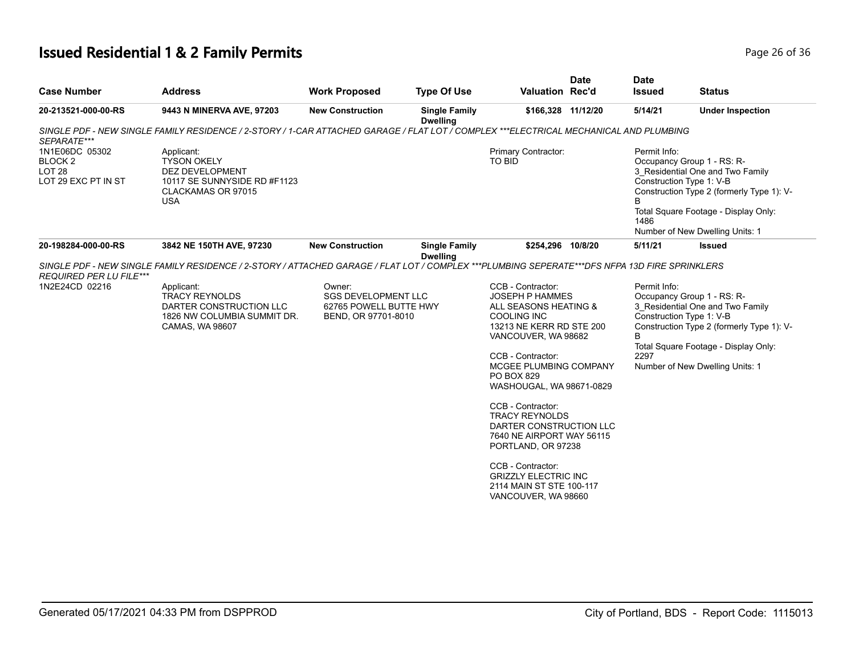# **Issued Residential 1 & 2 Family Permits Page 26 of 36** and **Page 26 of 36**

|                                                                              | <b>Address</b>                                                                                                                                                                       | <b>Work Proposed</b>                                           | <b>Type Of Use</b>                      | <b>Valuation Rec'd</b>                      | <b>Date</b> | <b>Date</b><br><b>Issued</b> | <b>Status</b>                                                                                                                                                                                                      |
|------------------------------------------------------------------------------|--------------------------------------------------------------------------------------------------------------------------------------------------------------------------------------|----------------------------------------------------------------|-----------------------------------------|---------------------------------------------|-------------|------------------------------|--------------------------------------------------------------------------------------------------------------------------------------------------------------------------------------------------------------------|
| 20-213521-000-00-RS                                                          | 9443 N MINERVA AVE, 97203                                                                                                                                                            | <b>New Construction</b>                                        | <b>Single Family</b><br><b>Dwelling</b> | \$166,328 11/12/20                          |             | 5/14/21                      | <b>Under Inspection</b>                                                                                                                                                                                            |
| SEPARATE***                                                                  | SINGLE PDF - NEW SINGLE FAMILY RESIDENCE / 2-STORY / 1-CAR ATTACHED GARAGE / FLAT LOT / COMPLEX ***ELECTRICAL MECHANICAL AND PLUMBING                                                |                                                                |                                         |                                             |             |                              |                                                                                                                                                                                                                    |
| 1N1E06DC 05302<br>BLOCK <sub>2</sub><br><b>LOT 28</b><br>LOT 29 EXC PT IN ST | Applicant:<br><b>TYSON OKELY</b><br>DEZ DEVELOPMENT<br>10117 SE SUNNYSIDE RD #F1123<br>CLACKAMAS OR 97015<br><b>USA</b>                                                              |                                                                |                                         | Primary Contractor:<br>TO BID               |             | Permit Info:<br>1486         | Occupancy Group 1 - RS: R-<br>3 Residential One and Two Family<br>Construction Type 1: V-B<br>Construction Type 2 (formerly Type 1): V-<br>Total Square Footage - Display Only:<br>Number of New Dwelling Units: 1 |
| 20-198284-000-00-RS                                                          | 3842 NE 150TH AVE, 97230                                                                                                                                                             | <b>New Construction</b>                                        | <b>Single Family</b><br><b>Dwelling</b> | \$254,296 10/8/20                           |             | 5/11/21                      | <b>Issued</b>                                                                                                                                                                                                      |
| <b>REQUIRED PER LU FILE***</b><br>1N2E24CD 02216                             | SINGLE PDF - NEW SINGLE FAMILY RESIDENCE / 2-STORY / ATTACHED GARAGE / FLAT LOT / COMPLEX ***PLUMBING SEPERATE***DFS NFPA 13D FIRE SPRINKLERS<br>Applicant:<br><b>TRACY REYNOLDS</b> | Owner:<br><b>SGS DEVELOPMENT LLC</b><br>62765 POWELL BUTTE HWY |                                         | CCB - Contractor:<br><b>JOSEPH P HAMMES</b> |             | Permit Info:                 | Occupancy Group 1 - RS: R-<br>3 Residential One and Two Family                                                                                                                                                     |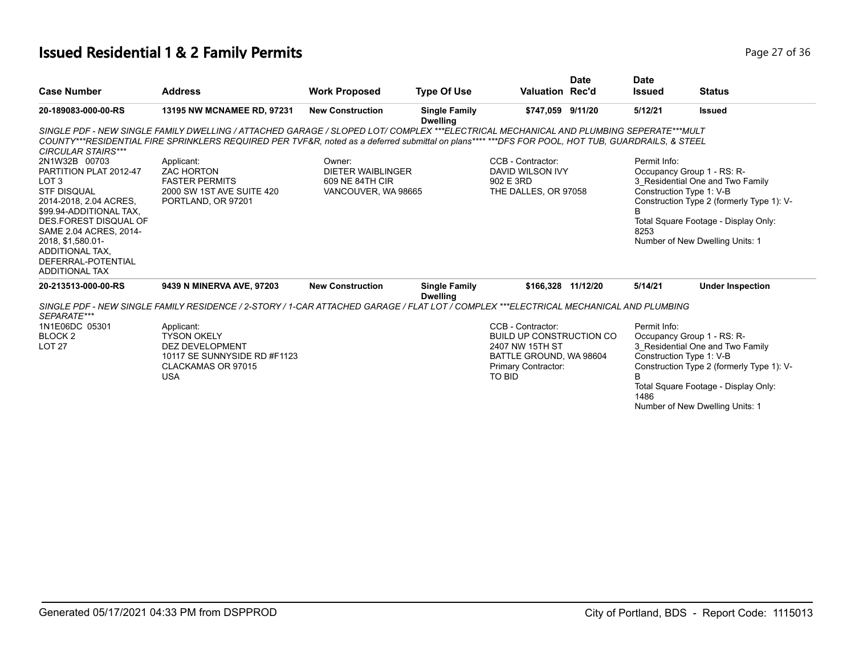# **Issued Residential 1 & 2 Family Permits Page 27 of 36 Page 27 of 36**

|                                                                                                                                                                                                                                                                                  |                                                                                                                                                                                                                                                                                            |                                                                              |                                         |                                                                                                                                      | <b>Date</b> | <b>Date</b>               |                                                                                                                                                                                                                    |
|----------------------------------------------------------------------------------------------------------------------------------------------------------------------------------------------------------------------------------------------------------------------------------|--------------------------------------------------------------------------------------------------------------------------------------------------------------------------------------------------------------------------------------------------------------------------------------------|------------------------------------------------------------------------------|-----------------------------------------|--------------------------------------------------------------------------------------------------------------------------------------|-------------|---------------------------|--------------------------------------------------------------------------------------------------------------------------------------------------------------------------------------------------------------------|
| <b>Case Number</b>                                                                                                                                                                                                                                                               | <b>Address</b>                                                                                                                                                                                                                                                                             | <b>Work Proposed</b>                                                         | <b>Type Of Use</b>                      | <b>Valuation Rec'd</b>                                                                                                               |             | <b>Issued</b>             | <b>Status</b>                                                                                                                                                                                                      |
| 20-189083-000-00-RS                                                                                                                                                                                                                                                              | 13195 NW MCNAMEE RD, 97231                                                                                                                                                                                                                                                                 | <b>New Construction</b>                                                      | <b>Single Family</b><br><b>Dwelling</b> | \$747.059 9/11/20                                                                                                                    |             | 5/12/21                   | <b>Issued</b>                                                                                                                                                                                                      |
| <b>CIRCULAR STAIRS***</b>                                                                                                                                                                                                                                                        | SINGLE PDF - NEW SINGLE FAMILY DWELLING / ATTACHED GARAGE / SLOPED LOT/ COMPLEX ***ELECTRICAL MECHANICAL AND PLUMBING SEPERATE***MULT<br>COUNTY***RESIDENTIAL FIRE SPRINKLERS REQUIRED PER TVF&R, noted as a deferred submittal on plans**** ***DFS FOR POOL, HOT TUB, GUARDRAILS, & STEEL |                                                                              |                                         |                                                                                                                                      |             |                           |                                                                                                                                                                                                                    |
| 2N1W32B 00703<br>PARTITION PLAT 2012-47<br>LOT <sub>3</sub><br><b>STF DISQUAL</b><br>2014-2018, 2.04 ACRES,<br>\$99.94-ADDITIONAL TAX,<br>DES FOREST DISQUAL OF<br>SAME 2.04 ACRES, 2014-<br>2018, \$1,580.01-<br>ADDITIONAL TAX.<br>DEFERRAL-POTENTIAL<br><b>ADDITIONAL TAX</b> | Applicant:<br><b>ZAC HORTON</b><br><b>FASTER PERMITS</b><br>2000 SW 1ST AVE SUITE 420<br>PORTLAND, OR 97201                                                                                                                                                                                | Owner:<br><b>DIETER WAIBLINGER</b><br>609 NE 84TH CIR<br>VANCOUVER, WA 98665 |                                         | CCB - Contractor:<br>DAVID WILSON IVY<br>902 E 3RD<br>THE DALLES, OR 97058                                                           |             | Permit Info:<br>B<br>8253 | Occupancy Group 1 - RS: R-<br>3 Residential One and Two Family<br>Construction Type 1: V-B<br>Construction Type 2 (formerly Type 1): V-<br>Total Square Footage - Display Only:<br>Number of New Dwelling Units: 1 |
| 20-213513-000-00-RS                                                                                                                                                                                                                                                              | 9439 N MINERVA AVE, 97203                                                                                                                                                                                                                                                                  | <b>New Construction</b>                                                      | <b>Single Family</b><br><b>Dwelling</b> | \$166,328 11/12/20                                                                                                                   |             | 5/14/21                   | <b>Under Inspection</b>                                                                                                                                                                                            |
| SEPARATE***                                                                                                                                                                                                                                                                      | SINGLE PDF - NEW SINGLE FAMILY RESIDENCE / 2-STORY / 1-CAR ATTACHED GARAGE / FLAT LOT / COMPLEX ***ELECTRICAL MECHANICAL AND PLUMBING                                                                                                                                                      |                                                                              |                                         |                                                                                                                                      |             |                           |                                                                                                                                                                                                                    |
| 1N1E06DC 05301<br>BLOCK <sub>2</sub><br><b>LOT 27</b>                                                                                                                                                                                                                            | Applicant:<br><b>TYSON OKELY</b><br><b>DEZ DEVELOPMENT</b><br>10117 SE SUNNYSIDE RD #F1123<br>CLACKAMAS OR 97015<br><b>USA</b>                                                                                                                                                             |                                                                              |                                         | CCB - Contractor:<br><b>BUILD UP CONSTRUCTION CO.</b><br>2407 NW 15TH ST<br>BATTLE GROUND, WA 98604<br>Primary Contractor:<br>TO BID |             | Permit Info:<br>R<br>1486 | Occupancy Group 1 - RS: R-<br>3 Residential One and Two Family<br>Construction Type 1: V-B<br>Construction Type 2 (formerly Type 1): V-<br>Total Square Footage - Display Only:<br>Number of New Dwelling Units: 1 |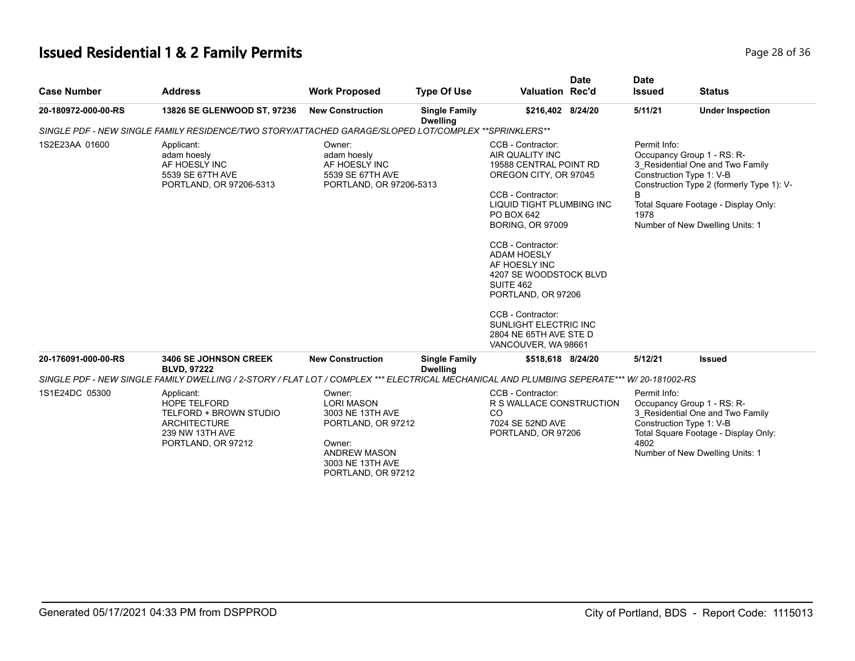# **Issued Residential 1 & 2 Family Permits**

| Page 28 of 36 |
|---------------|
|---------------|

| <b>Case Number</b>  | <b>Address</b>                                                                                                                            | <b>Work Proposed</b>                                                                                                                             | <b>Type Of Use</b>                      | <b>Date</b><br><b>Valuation Rec'd</b>                                                                                                                                                                                                                                                                                                                                                                      | <b>Date</b><br><b>Issued</b> | <b>Status</b>                                                                                                                                                                                                      |
|---------------------|-------------------------------------------------------------------------------------------------------------------------------------------|--------------------------------------------------------------------------------------------------------------------------------------------------|-----------------------------------------|------------------------------------------------------------------------------------------------------------------------------------------------------------------------------------------------------------------------------------------------------------------------------------------------------------------------------------------------------------------------------------------------------------|------------------------------|--------------------------------------------------------------------------------------------------------------------------------------------------------------------------------------------------------------------|
| 20-180972-000-00-RS | 13826 SE GLENWOOD ST, 97236                                                                                                               | <b>New Construction</b>                                                                                                                          | <b>Single Family</b><br><b>Dwelling</b> | \$216,402 8/24/20                                                                                                                                                                                                                                                                                                                                                                                          | 5/11/21                      | <b>Under Inspection</b>                                                                                                                                                                                            |
|                     | SINGLE PDF - NEW SINGLE FAMILY RESIDENCE/TWO STORY/ATTACHED GARAGE/SLOPED LOT/COMPLEX **SPRINKLERS**                                      |                                                                                                                                                  |                                         |                                                                                                                                                                                                                                                                                                                                                                                                            |                              |                                                                                                                                                                                                                    |
| 1S2E23AA 01600      | Applicant:<br>adam hoesly<br>AF HOESLY INC<br>5539 SE 67TH AVE<br>PORTLAND, OR 97206-5313                                                 | Owner:<br>adam hoesly<br>AF HOESLY INC<br>5539 SE 67TH AVE<br>PORTLAND, OR 97206-5313                                                            |                                         | CCB - Contractor:<br>AIR QUALITY INC<br>19588 CENTRAL POINT RD<br>OREGON CITY, OR 97045<br>CCB - Contractor:<br>LIQUID TIGHT PLUMBING INC<br>PO BOX 642<br><b>BORING, OR 97009</b><br>CCB - Contractor:<br><b>ADAM HOESLY</b><br>AF HOESLY INC<br>4207 SE WOODSTOCK BLVD<br>SUITE 462<br>PORTLAND, OR 97206<br>CCB - Contractor:<br>SUNLIGHT ELECTRIC INC<br>2804 NE 65TH AVE STE D<br>VANCOUVER, WA 98661 | Permit Info:<br>B<br>1978    | Occupancy Group 1 - RS: R-<br>3 Residential One and Two Family<br>Construction Type 1: V-B<br>Construction Type 2 (formerly Type 1): V-<br>Total Square Footage - Display Only:<br>Number of New Dwelling Units: 1 |
| 20-176091-000-00-RS | <b>3406 SE JOHNSON CREEK</b><br><b>BLVD, 97222</b>                                                                                        | <b>New Construction</b>                                                                                                                          | <b>Single Family</b><br><b>Dwelling</b> | \$518,618 8/24/20                                                                                                                                                                                                                                                                                                                                                                                          | 5/12/21                      | <b>Issued</b>                                                                                                                                                                                                      |
|                     | SINGLE PDF - NEW SINGLE FAMILY DWELLING / 2-STORY / FLAT LOT / COMPLEX *** ELECTRICAL MECHANICAL AND PLUMBING SEPERATE*** W/ 20-181002-RS |                                                                                                                                                  |                                         |                                                                                                                                                                                                                                                                                                                                                                                                            |                              |                                                                                                                                                                                                                    |
| 1S1E24DC 05300      | Applicant:<br><b>HOPE TELFORD</b><br>TELFORD + BROWN STUDIO<br><b>ARCHITECTURE</b><br>239 NW 13TH AVE<br>PORTLAND, OR 97212               | Owner:<br><b>LORI MASON</b><br>3003 NE 13TH AVE<br>PORTLAND, OR 97212<br>Owner:<br><b>ANDREW MASON</b><br>3003 NE 13TH AVE<br>PORTLAND, OR 97212 |                                         | CCB - Contractor:<br>R S WALLACE CONSTRUCTION<br>CO<br>7024 SE 52ND AVE<br>PORTLAND, OR 97206                                                                                                                                                                                                                                                                                                              | Permit Info:<br>4802         | Occupancy Group 1 - RS: R-<br>3 Residential One and Two Family<br>Construction Type 1: V-B<br>Total Square Footage - Display Only:<br>Number of New Dwelling Units: 1                                              |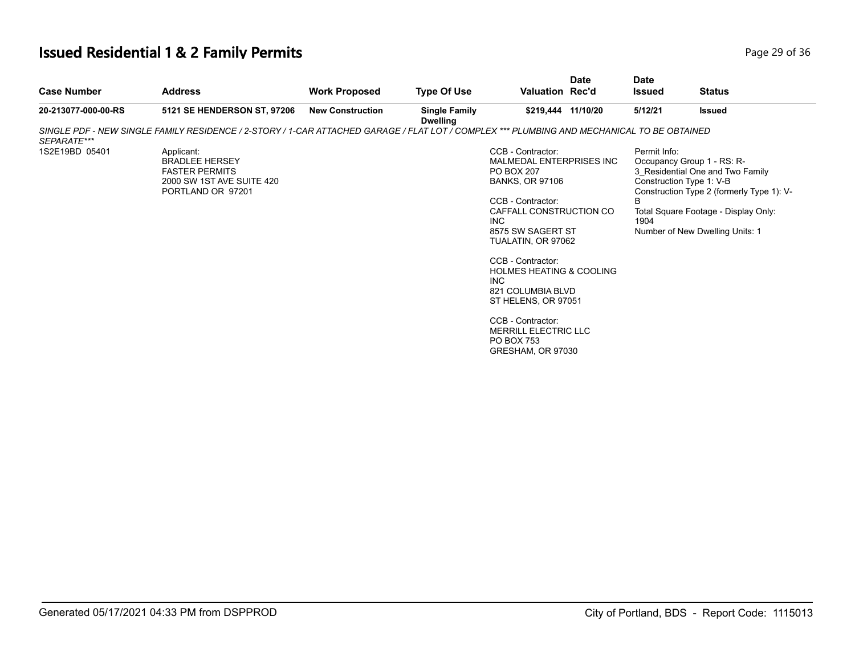# **Issued Residential 1 & 2 Family Permits Page 29 of 36 Page 29 of 36**

| <b>Case Number</b>  | <b>Address</b>                                                                                                                             | <b>Work Proposed</b>    | <b>Type Of Use</b>                      | Valuation Rec'd                                                                                                                                                                                                                                                                                                                                                                                                    | <b>Date</b> | <b>Date</b><br><b>Issued</b> | <b>Status</b>                                                                                                                                                                                                      |
|---------------------|--------------------------------------------------------------------------------------------------------------------------------------------|-------------------------|-----------------------------------------|--------------------------------------------------------------------------------------------------------------------------------------------------------------------------------------------------------------------------------------------------------------------------------------------------------------------------------------------------------------------------------------------------------------------|-------------|------------------------------|--------------------------------------------------------------------------------------------------------------------------------------------------------------------------------------------------------------------|
| 20-213077-000-00-RS | 5121 SE HENDERSON ST, 97206                                                                                                                | <b>New Construction</b> | <b>Single Family</b><br><b>Dwelling</b> | \$219,444 11/10/20                                                                                                                                                                                                                                                                                                                                                                                                 |             | 5/12/21                      | <b>Issued</b>                                                                                                                                                                                                      |
| SEPARATE***         | SINGLE PDF - NEW SINGLE FAMILY RESIDENCE / 2-STORY / 1-CAR ATTACHED GARAGE / FLAT LOT / COMPLEX *** PLUMBING AND MECHANICAL TO BE OBTAINED |                         |                                         |                                                                                                                                                                                                                                                                                                                                                                                                                    |             |                              |                                                                                                                                                                                                                    |
| 1S2E19BD 05401      | Applicant:<br><b>BRADLEE HERSEY</b><br><b>FASTER PERMITS</b><br>2000 SW 1ST AVE SUITE 420<br>PORTLAND OR 97201                             |                         |                                         | CCB - Contractor:<br>MALMEDAL ENTERPRISES INC<br><b>PO BOX 207</b><br><b>BANKS, OR 97106</b><br>CCB - Contractor:<br>CAFFALL CONSTRUCTION CO<br><b>INC</b><br>8575 SW SAGERT ST<br>TUALATIN, OR 97062<br>CCB - Contractor:<br><b>HOLMES HEATING &amp; COOLING</b><br><b>INC</b><br>821 COLUMBIA BLVD<br>ST HELENS, OR 97051<br>CCB - Contractor:<br>MERRILL ELECTRIC LLC<br><b>PO BOX 753</b><br>GRESHAM, OR 97030 |             | Permit Info:<br>B<br>1904    | Occupancy Group 1 - RS: R-<br>3 Residential One and Two Family<br>Construction Type 1: V-B<br>Construction Type 2 (formerly Type 1): V-<br>Total Square Footage - Display Only:<br>Number of New Dwelling Units: 1 |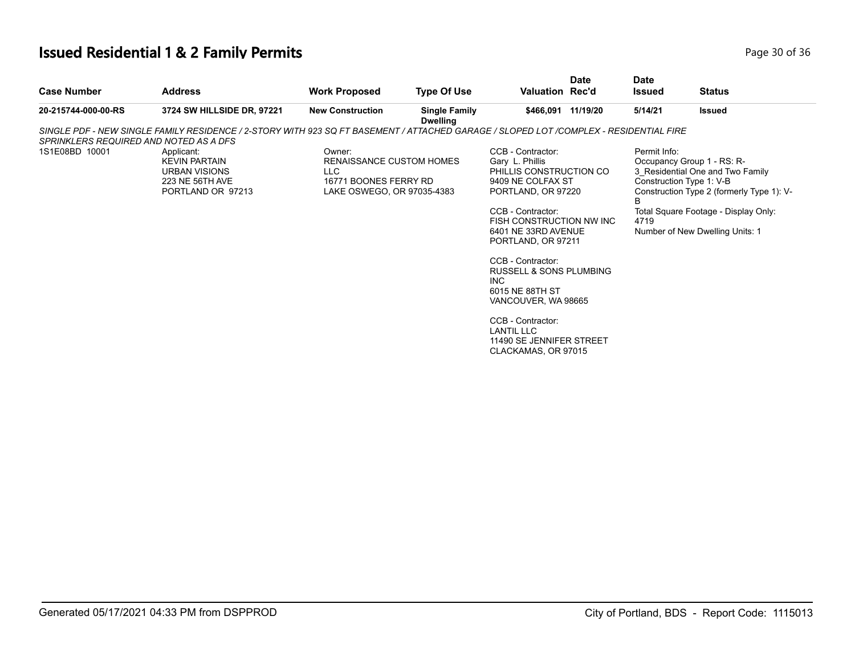# **Issued Residential 1 & 2 Family Permits Page 10 Of 36 and 20 of 36 and 36 and 36 and 36 and 36 and 36 and 36 and 36 and 36 and 36 and 36 and 36 and 36 and 36 and 36 and 36 and 36 and 36 and 36 and 36 and 36 and 36 and 3**

| <b>Case Number</b>                     | <b>Address</b>                                                                                                                        | <b>Work Proposed</b>                                                                             | <b>Type Of Use</b>                      | Valuation Rec'd                                                                                                                                                                                                                                                                                                                                                                                                    | <b>Date</b> | <b>Date</b><br><b>Issued</b>                          | <b>Status</b>                                                                                                                                                                          |
|----------------------------------------|---------------------------------------------------------------------------------------------------------------------------------------|--------------------------------------------------------------------------------------------------|-----------------------------------------|--------------------------------------------------------------------------------------------------------------------------------------------------------------------------------------------------------------------------------------------------------------------------------------------------------------------------------------------------------------------------------------------------------------------|-------------|-------------------------------------------------------|----------------------------------------------------------------------------------------------------------------------------------------------------------------------------------------|
| 20-215744-000-00-RS                    | 3724 SW HILLSIDE DR, 97221                                                                                                            | <b>New Construction</b>                                                                          | <b>Single Family</b><br><b>Dwelling</b> | \$466,091 11/19/20                                                                                                                                                                                                                                                                                                                                                                                                 |             | 5/14/21                                               | <b>Issued</b>                                                                                                                                                                          |
| SPRINKLERS REQUIRED AND NOTED AS A DFS | SINGLE PDF - NEW SINGLE FAMILY RESIDENCE / 2-STORY WITH 923 SQ FT BASEMENT / ATTACHED GARAGE / SLOPED LOT /COMPLEX - RESIDENTIAL FIRE |                                                                                                  |                                         |                                                                                                                                                                                                                                                                                                                                                                                                                    |             |                                                       |                                                                                                                                                                                        |
| 1S1E08BD 10001                         | Applicant:<br><b>KEVIN PARTAIN</b><br>URBAN VISIONS<br>223 NE 56TH AVE<br>PORTLAND OR 97213                                           | Owner:<br>RENAISSANCE CUSTOM HOMES<br>LLC<br>16771 BOONES FERRY RD<br>LAKE OSWEGO, OR 97035-4383 |                                         | CCB - Contractor:<br>Gary L. Phillis<br>PHILLIS CONSTRUCTION CO<br>9409 NE COLFAX ST<br>PORTLAND, OR 97220<br>CCB - Contractor:<br>FISH CONSTRUCTION NW INC<br>6401 NE 33RD AVENUE<br>PORTLAND, OR 97211<br>CCB - Contractor:<br><b>RUSSELL &amp; SONS PLUMBING</b><br>INC.<br>6015 NE 88TH ST<br>VANCOUVER, WA 98665<br>CCB - Contractor:<br><b>LANTIL LLC</b><br>11490 SE JENNIFER STREET<br>CLACKAMAS, OR 97015 |             | Permit Info:<br>Construction Type 1: V-B<br>B<br>4719 | Occupancy Group 1 - RS: R-<br>3 Residential One and Two Family<br>Construction Type 2 (formerly Type 1): V-<br>Total Square Footage - Display Only:<br>Number of New Dwelling Units: 1 |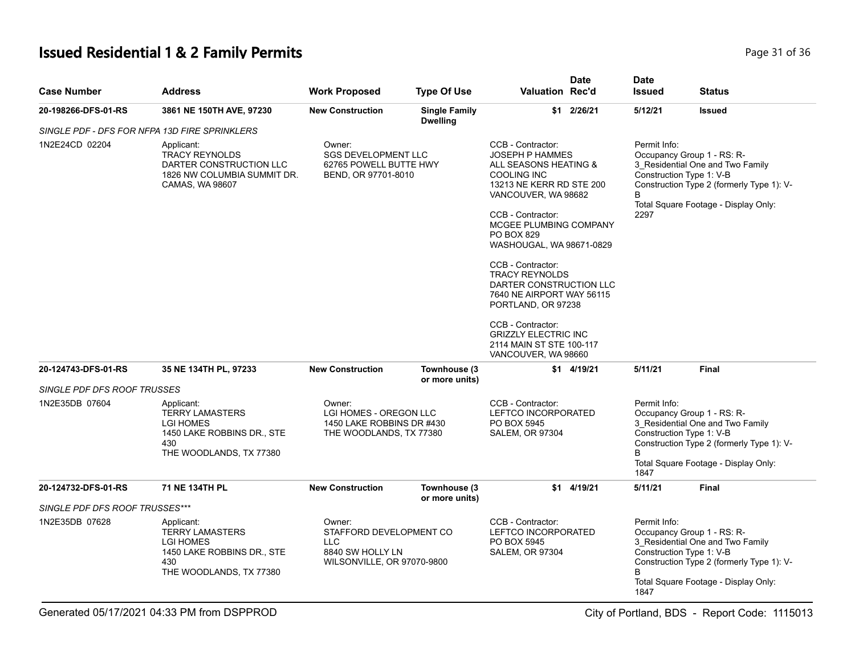# **Issued Residential 1 & 2 Family Permits** Page 31 of 36

| <b>Case Number</b>             | <b>Address</b>                                                                                                           | <b>Work Proposed</b>                                                                              | <b>Type Of Use</b>                                                                                                                                                                                                                                                                                                                                                                                                                                                                                                                                | <b>Valuation Rec'd</b>                                                            | <b>Date</b>  | <b>Date</b><br><b>Issued</b>                           | <b>Status</b>                                                                                                                                       |
|--------------------------------|--------------------------------------------------------------------------------------------------------------------------|---------------------------------------------------------------------------------------------------|---------------------------------------------------------------------------------------------------------------------------------------------------------------------------------------------------------------------------------------------------------------------------------------------------------------------------------------------------------------------------------------------------------------------------------------------------------------------------------------------------------------------------------------------------|-----------------------------------------------------------------------------------|--------------|--------------------------------------------------------|-----------------------------------------------------------------------------------------------------------------------------------------------------|
| 20-198266-DFS-01-RS            | 3861 NE 150TH AVE, 97230                                                                                                 | <b>New Construction</b>                                                                           | <b>Single Family</b><br><b>Dwelling</b>                                                                                                                                                                                                                                                                                                                                                                                                                                                                                                           |                                                                                   | \$1 2/26/21  | 5/12/21                                                | <b>Issued</b>                                                                                                                                       |
|                                | SINGLE PDF - DFS FOR NFPA 13D FIRE SPRINKLERS                                                                            |                                                                                                   |                                                                                                                                                                                                                                                                                                                                                                                                                                                                                                                                                   |                                                                                   |              |                                                        |                                                                                                                                                     |
| 1N2E24CD 02204                 | Applicant:<br><b>TRACY REYNOLDS</b><br>DARTER CONSTRUCTION LLC<br>1826 NW COLUMBIA SUMMIT DR.<br>CAMAS, WA 98607         | Owner:                                                                                            | CCB - Contractor:<br><b>SGS DEVELOPMENT LLC</b><br><b>JOSEPH P HAMMES</b><br>62765 POWELL BUTTE HWY<br>ALL SEASONS HEATING &<br>BEND, OR 97701-8010<br>COOLING INC<br>13213 NE KERR RD STE 200<br>VANCOUVER, WA 98682<br>CCB - Contractor:<br>MCGEE PLUMBING COMPANY<br>PO BOX 829<br>WASHOUGAL, WA 98671-0829<br>CCB - Contractor:<br><b>TRACY REYNOLDS</b><br>DARTER CONSTRUCTION LLC<br>7640 NE AIRPORT WAY 56115<br>PORTLAND, OR 97238<br>CCB - Contractor:<br><b>GRIZZLY ELECTRIC INC</b><br>2114 MAIN ST STE 100-117<br>VANCOUVER, WA 98660 |                                                                                   |              | Permit Info:<br>Construction Type 1: V-B<br>R.<br>2297 | Occupancy Group 1 - RS: R-<br>3 Residential One and Two Family<br>Construction Type 2 (formerly Type 1): V-<br>Total Square Footage - Display Only: |
| 20-124743-DFS-01-RS            | 35 NE 134TH PL, 97233                                                                                                    | <b>New Construction</b>                                                                           | Townhouse (3)<br>or more units)                                                                                                                                                                                                                                                                                                                                                                                                                                                                                                                   |                                                                                   | $$1$ 4/19/21 | 5/11/21                                                | Final                                                                                                                                               |
| SINGLE PDF DFS ROOF TRUSSES    |                                                                                                                          |                                                                                                   |                                                                                                                                                                                                                                                                                                                                                                                                                                                                                                                                                   |                                                                                   |              |                                                        |                                                                                                                                                     |
| 1N2E35DB 07604                 | Applicant:<br><b>TERRY LAMASTERS</b><br><b>LGI HOMES</b><br>1450 LAKE ROBBINS DR., STE<br>430<br>THE WOODLANDS, TX 77380 | Owner:<br>LGI HOMES - OREGON LLC<br>1450 LAKE ROBBINS DR #430<br>THE WOODLANDS, TX 77380          |                                                                                                                                                                                                                                                                                                                                                                                                                                                                                                                                                   | CCB - Contractor:<br>LEFTCO INCORPORATED<br>PO BOX 5945<br><b>SALEM, OR 97304</b> |              | Permit Info:<br>Construction Type 1: V-B<br>B<br>1847  | Occupancy Group 1 - RS: R-<br>3 Residential One and Two Family<br>Construction Type 2 (formerly Type 1): V-<br>Total Square Footage - Display Only: |
| 20-124732-DFS-01-RS            | 71 NE 134TH PL                                                                                                           | <b>New Construction</b>                                                                           | Townhouse (3)<br>or more units)                                                                                                                                                                                                                                                                                                                                                                                                                                                                                                                   |                                                                                   | \$1 4/19/21  | 5/11/21                                                | <b>Final</b>                                                                                                                                        |
| SINGLE PDF DFS ROOF TRUSSES*** |                                                                                                                          |                                                                                                   |                                                                                                                                                                                                                                                                                                                                                                                                                                                                                                                                                   |                                                                                   |              |                                                        |                                                                                                                                                     |
| 1N2E35DB 07628                 | Applicant:<br><b>TERRY LAMASTERS</b><br><b>LGI HOMES</b><br>1450 LAKE ROBBINS DR., STE<br>430<br>THE WOODLANDS, TX 77380 | Owner:<br>STAFFORD DEVELOPMENT CO<br><b>LLC</b><br>8840 SW HOLLY LN<br>WILSONVILLE, OR 97070-9800 |                                                                                                                                                                                                                                                                                                                                                                                                                                                                                                                                                   | CCB - Contractor:<br>LEFTCO INCORPORATED<br>PO BOX 5945<br><b>SALEM, OR 97304</b> |              | Permit Info:<br>Construction Type 1: V-B<br>R<br>1847  | Occupancy Group 1 - RS: R-<br>3_Residential One and Two Family<br>Construction Type 2 (formerly Type 1): V-<br>Total Square Footage - Display Only: |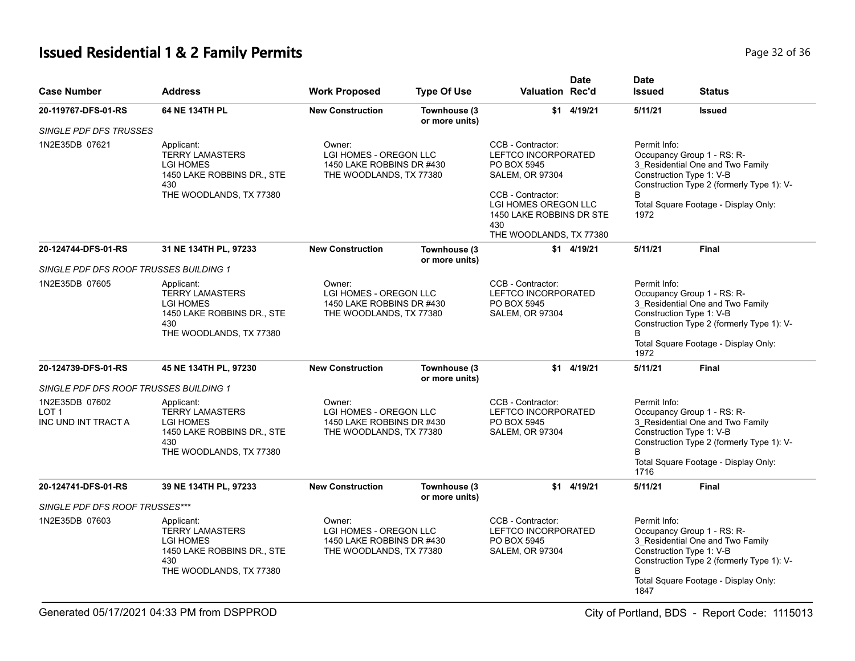# **Issued Residential 1 & 2 Family Permits Page 12 of 36 and 20 and 20 and 20 and 20 and 20 and 20 and 20 and 20 and 20 and 20 and 20 and 20 and 20 and 20 and 20 and 20 and 20 and 20 and 20 and 20 and 20 and 20 and 20 and**

| <b>Case Number</b>                                        | <b>Address</b>                                                                                                           | <b>Work Proposed</b>                                                                                                                                                                                                                                                                                                                                   | <b>Type Of Use</b>                                                             | <b>Valuation Rec'd</b>                                                                   | <b>Date</b>                                                                              | <b>Date</b><br><b>Issued</b>                                                                                                                                                                            | <b>Status</b>                                                                                                                                                                                                |  |
|-----------------------------------------------------------|--------------------------------------------------------------------------------------------------------------------------|--------------------------------------------------------------------------------------------------------------------------------------------------------------------------------------------------------------------------------------------------------------------------------------------------------------------------------------------------------|--------------------------------------------------------------------------------|------------------------------------------------------------------------------------------|------------------------------------------------------------------------------------------|---------------------------------------------------------------------------------------------------------------------------------------------------------------------------------------------------------|--------------------------------------------------------------------------------------------------------------------------------------------------------------------------------------------------------------|--|
| 20-119767-DFS-01-RS                                       | 64 NE 134TH PL                                                                                                           | <b>New Construction</b>                                                                                                                                                                                                                                                                                                                                | Townhouse (3<br>or more units)                                                 |                                                                                          | \$1 4/19/21                                                                              | 5/11/21                                                                                                                                                                                                 | <b>Issued</b>                                                                                                                                                                                                |  |
| SINGLE PDF DFS TRUSSES                                    |                                                                                                                          |                                                                                                                                                                                                                                                                                                                                                        |                                                                                |                                                                                          |                                                                                          |                                                                                                                                                                                                         |                                                                                                                                                                                                              |  |
| 1N2E35DB 07621                                            | Applicant:<br><b>TERRY LAMASTERS</b><br><b>LGI HOMES</b><br>1450 LAKE ROBBINS DR., STE<br>430<br>THE WOODLANDS, TX 77380 | CCB - Contractor:<br>Permit Info:<br>Owner:<br>Occupancy Group 1 - RS: R-<br>LGI HOMES - OREGON LLC<br><b>LEFTCO INCORPORATED</b><br>1450 LAKE ROBBINS DR #430<br>PO BOX 5945<br>SALEM, OR 97304<br>Construction Type 1: V-B<br>THE WOODLANDS, TX 77380<br>CCB - Contractor:<br><b>LGI HOMES OREGON LLC</b><br>1450 LAKE ROBBINS DR STE<br>1972<br>430 |                                                                                | THE WOODLANDS, TX 77380<br>$$1$ 4/19/21                                                  |                                                                                          | 3_Residential One and Two Family<br>Construction Type 2 (formerly Type 1): V-<br>Total Square Footage - Display Only:                                                                                   |                                                                                                                                                                                                              |  |
| 20-124744-DFS-01-RS                                       | 31 NE 134TH PL, 97233                                                                                                    | <b>New Construction</b>                                                                                                                                                                                                                                                                                                                                | Townhouse (3)<br>or more units)                                                |                                                                                          |                                                                                          | 5/11/21                                                                                                                                                                                                 | Final                                                                                                                                                                                                        |  |
| SINGLE PDF DFS ROOF TRUSSES BUILDING 1                    |                                                                                                                          |                                                                                                                                                                                                                                                                                                                                                        |                                                                                |                                                                                          |                                                                                          |                                                                                                                                                                                                         |                                                                                                                                                                                                              |  |
| 1N2E35DB 07605                                            | Applicant:<br><b>TERRY LAMASTERS</b><br><b>LGI HOMES</b><br>1450 LAKE ROBBINS DR., STE<br>430<br>THE WOODLANDS, TX 77380 | Owner:<br>LGI HOMES - OREGON LLC<br>1450 LAKE ROBBINS DR #430<br>THE WOODLANDS, TX 77380                                                                                                                                                                                                                                                               |                                                                                | CCB - Contractor:<br><b>LEFTCO INCORPORATED</b><br>PO BOX 5945<br><b>SALEM, OR 97304</b> |                                                                                          | Permit Info:<br>Occupancy Group 1 - RS: R-<br>3 Residential One and Two Family<br>Construction Type 1: V-B<br>Construction Type 2 (formerly Type 1): V-<br>Total Square Footage - Display Only:<br>1972 |                                                                                                                                                                                                              |  |
| 20-124739-DFS-01-RS                                       | 45 NE 134TH PL, 97230                                                                                                    | <b>New Construction</b>                                                                                                                                                                                                                                                                                                                                | Townhouse (3<br>or more units)                                                 | \$1                                                                                      | 4/19/21                                                                                  | 5/11/21                                                                                                                                                                                                 | <b>Final</b>                                                                                                                                                                                                 |  |
| SINGLE PDF DFS ROOF TRUSSES BUILDING 1                    |                                                                                                                          |                                                                                                                                                                                                                                                                                                                                                        |                                                                                |                                                                                          |                                                                                          |                                                                                                                                                                                                         |                                                                                                                                                                                                              |  |
| 1N2E35DB 07602<br>LOT <sub>1</sub><br>INC UND INT TRACT A | Applicant:<br><b>TERRY LAMASTERS</b><br><b>LGI HOMES</b><br>1450 LAKE ROBBINS DR., STE<br>430<br>THE WOODLANDS, TX 77380 | Owner:                                                                                                                                                                                                                                                                                                                                                 | LGI HOMES - OREGON LLC<br>1450 LAKE ROBBINS DR #430<br>THE WOODLANDS, TX 77380 |                                                                                          | CCB - Contractor:<br><b>LEFTCO INCORPORATED</b><br>PO BOX 5945<br><b>SALEM, OR 97304</b> |                                                                                                                                                                                                         | Permit Info:<br>Occupancy Group 1 - RS: R-<br>3_Residential One and Two Family<br>Construction Type 1: V-B<br>Construction Type 2 (formerly Type 1): V-<br>B<br>Total Square Footage - Display Only:<br>1716 |  |
| 20-124741-DFS-01-RS                                       | 39 NE 134TH PL, 97233                                                                                                    | <b>New Construction</b>                                                                                                                                                                                                                                                                                                                                | Townhouse (3)<br>or more units)                                                |                                                                                          | $$1$ 4/19/21                                                                             | 5/11/21                                                                                                                                                                                                 | <b>Final</b>                                                                                                                                                                                                 |  |
| SINGLE PDF DFS ROOF TRUSSES***                            |                                                                                                                          |                                                                                                                                                                                                                                                                                                                                                        |                                                                                |                                                                                          |                                                                                          |                                                                                                                                                                                                         |                                                                                                                                                                                                              |  |
| 1N2E35DB 07603                                            | Applicant:<br><b>TERRY LAMASTERS</b><br><b>LGI HOMES</b><br>1450 LAKE ROBBINS DR., STE<br>430<br>THE WOODLANDS, TX 77380 | Owner:<br>LGI HOMES - OREGON LLC<br>1450 LAKE ROBBINS DR #430<br>THE WOODLANDS, TX 77380                                                                                                                                                                                                                                                               |                                                                                | CCB - Contractor:<br>LEFTCO INCORPORATED<br>PO BOX 5945<br><b>SALEM, OR 97304</b>        |                                                                                          | Permit Info:<br>1847                                                                                                                                                                                    | Occupancy Group 1 - RS: R-<br>3 Residential One and Two Family<br>Construction Type 1: V-B<br>Construction Type 2 (formerly Type 1): V-<br>Total Square Footage - Display Only:                              |  |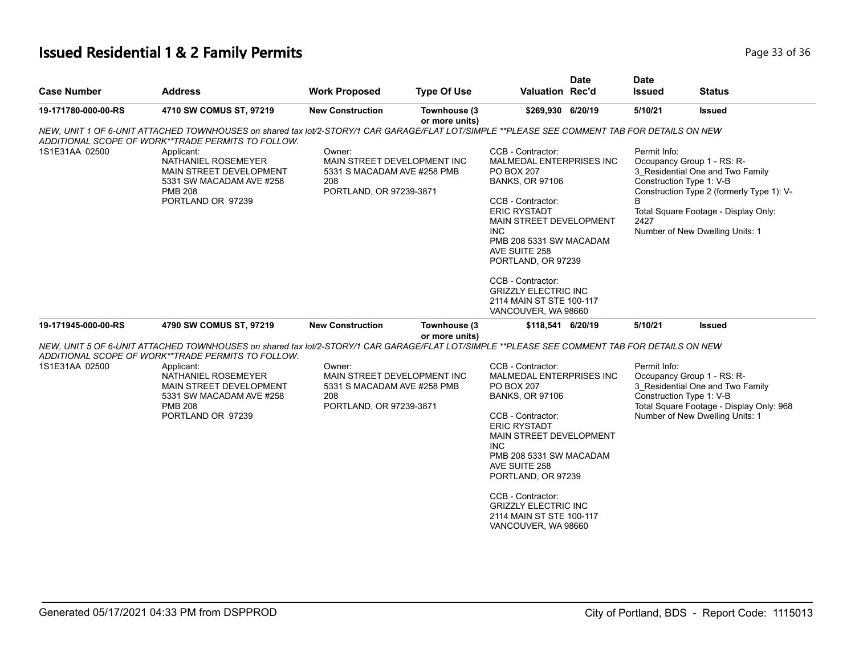# **Issued Residential 1 & 2 Family Permits Page 11 October 2014 12:30 136 25 AM** Page 33 of 36

| <b>Case Number</b>  | <b>Address</b>                                                                                                                                                                                                                                                                                                                        | <b>Work Proposed</b>                                                                                   | <b>Type Of Use</b>             | <b>Valuation Rec'd</b>                                                                                                                                                                                                                                                                                                                                     | <b>Date</b> | <b>Date</b><br><b>Issued</b>                                                        | <b>Status</b>                                                                                                                                            |
|---------------------|---------------------------------------------------------------------------------------------------------------------------------------------------------------------------------------------------------------------------------------------------------------------------------------------------------------------------------------|--------------------------------------------------------------------------------------------------------|--------------------------------|------------------------------------------------------------------------------------------------------------------------------------------------------------------------------------------------------------------------------------------------------------------------------------------------------------------------------------------------------------|-------------|-------------------------------------------------------------------------------------|----------------------------------------------------------------------------------------------------------------------------------------------------------|
| 19-171780-000-00-RS | 4710 SW COMUS ST, 97219                                                                                                                                                                                                                                                                                                               | <b>New Construction</b>                                                                                | Townhouse (3<br>or more units) | \$269,930 6/20/19                                                                                                                                                                                                                                                                                                                                          |             | 5/10/21                                                                             | Issued                                                                                                                                                   |
| 1S1E31AA 02500      | NEW, UNIT 1 OF 6-UNIT ATTACHED TOWNHOUSES on shared tax lot/2-STORY/1 CAR GARAGE/FLAT LOT/SIMPLE **PLEASE SEE COMMENT TAB FOR DETAILS ON NEW<br>ADDITIONAL SCOPE OF WORK**TRADE PERMITS TO FOLLOW.<br>Applicant:<br>NATHANIEL ROSEMEYER<br>MAIN STREET DEVELOPMENT<br>5331 SW MACADAM AVE #258<br><b>PMB 208</b><br>PORTLAND OR 97239 | Owner:<br>MAIN STREET DEVELOPMENT INC<br>5331 S MACADAM AVE #258 PMB<br>208<br>PORTLAND, OR 97239-3871 |                                | CCB - Contractor:<br>MALMEDAL ENTERPRISES INC<br><b>PO BOX 207</b><br><b>BANKS, OR 97106</b><br>CCB - Contractor:<br><b>ERIC RYSTADT</b><br>MAIN STREET DEVELOPMENT<br><b>INC</b><br>PMB 208 5331 SW MACADAM<br>AVE SUITE 258<br>PORTLAND, OR 97239<br>CCB - Contractor:<br><b>GRIZZLY ELECTRIC INC</b><br>2114 MAIN ST STE 100-117<br>VANCOUVER, WA 98660 |             | Permit Info:<br>Occupancy Group 1 - RS: R-<br>Construction Type 1: V-B<br>B<br>2427 | 3_Residential One and Two Family<br>Construction Type 2 (formerly Type 1): V-<br>Total Square Footage - Display Only:<br>Number of New Dwelling Units: 1 |
| 19-171945-000-00-RS | 4790 SW COMUS ST, 97219                                                                                                                                                                                                                                                                                                               | <b>New Construction</b>                                                                                | Townhouse (3<br>or more units) | \$118,541 6/20/19                                                                                                                                                                                                                                                                                                                                          |             | 5/10/21                                                                             | <b>Issued</b>                                                                                                                                            |
| 1S1E31AA 02500      | NEW, UNIT 5 OF 6-UNIT ATTACHED TOWNHOUSES on shared tax lot/2-STORY/1 CAR GARAGE/FLAT LOT/SIMPLE **PLEASE SEE COMMENT TAB FOR DETAILS ON NEW<br>ADDITIONAL SCOPE OF WORK**TRADE PERMITS TO FOLLOW.<br>Applicant:<br>NATHANIEL ROSEMEYER<br>MAIN STREET DEVELOPMENT<br>5331 SW MACADAM AVE #258<br><b>PMB 208</b><br>PORTLAND OR 97239 | Owner:<br>MAIN STREET DEVELOPMENT INC<br>5331 S MACADAM AVE #258 PMB<br>208<br>PORTLAND, OR 97239-3871 |                                | CCB - Contractor:<br>MALMEDAL ENTERPRISES INC<br><b>PO BOX 207</b><br><b>BANKS, OR 97106</b><br>CCB - Contractor:<br><b>ERIC RYSTADT</b><br>MAIN STREET DEVELOPMENT<br><b>INC</b><br>PMB 208 5331 SW MACADAM<br>AVE SUITE 258<br>PORTLAND, OR 97239<br>CCB - Contractor:<br><b>GRIZZLY ELECTRIC INC</b><br>2114 MAIN ST STE 100-117<br>VANCOUVER, WA 98660 |             | Permit Info:<br>Occupancy Group 1 - RS: R-<br>Construction Type 1: V-B              | 3_Residential One and Two Family<br>Total Square Footage - Display Only: 968<br>Number of New Dwelling Units: 1                                          |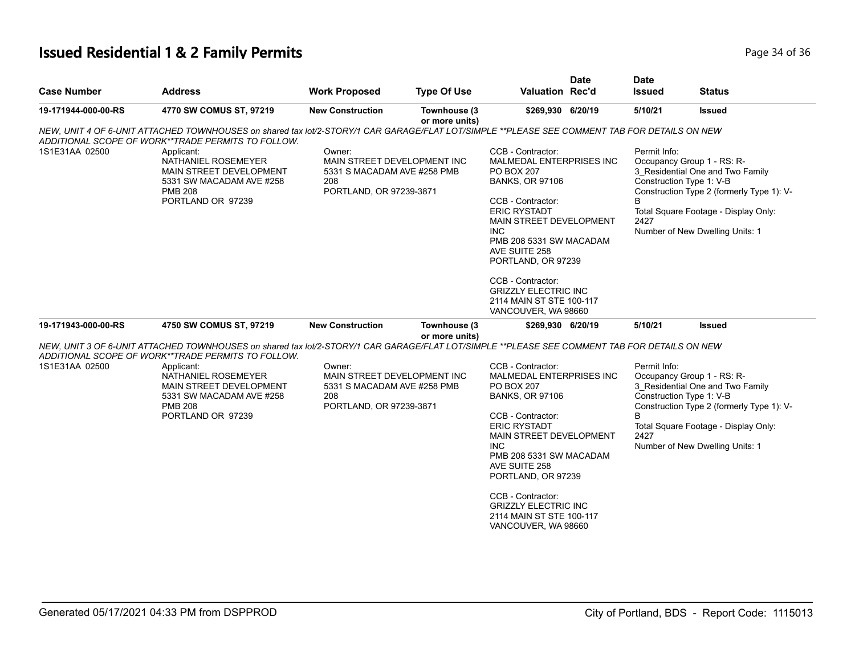# **Issued Residential 1 & 2 Family Permits Page 14 of 36 and 20 and 20 and 20 and 20 and 20 and 20 and 20 and 20 and 20 and 20 and 20 and 20 and 20 and 20 and 20 and 20 and 20 and 20 and 20 and 20 and 20 and 20 and 20 and**

| <b>Case Number</b>  | <b>Address</b>                                                                                                                                                                                                                                                                                                                               | <b>Work Proposed</b>                                                                                   | <b>Type Of Use</b>             | <b>Valuation Rec'd</b>                                                                                                                                                                                                                                                                                                                                     | <b>Date</b> | <b>Date</b><br><b>Issued</b>                          | <b>Status</b>                                                                                                                                                                          |
|---------------------|----------------------------------------------------------------------------------------------------------------------------------------------------------------------------------------------------------------------------------------------------------------------------------------------------------------------------------------------|--------------------------------------------------------------------------------------------------------|--------------------------------|------------------------------------------------------------------------------------------------------------------------------------------------------------------------------------------------------------------------------------------------------------------------------------------------------------------------------------------------------------|-------------|-------------------------------------------------------|----------------------------------------------------------------------------------------------------------------------------------------------------------------------------------------|
| 19-171944-000-00-RS | 4770 SW COMUS ST, 97219                                                                                                                                                                                                                                                                                                                      | <b>New Construction</b>                                                                                | Townhouse (3<br>or more units) | \$269,930 6/20/19                                                                                                                                                                                                                                                                                                                                          |             | 5/10/21                                               | <b>Issued</b>                                                                                                                                                                          |
| 1S1E31AA 02500      | NEW, UNIT 4 OF 6-UNIT ATTACHED TOWNHOUSES on shared tax lot/2-STORY/1 CAR GARAGE/FLAT LOT/SIMPLE **PLEASE SEE COMMENT TAB FOR DETAILS ON NEW<br>ADDITIONAL SCOPE OF WORK**TRADE PERMITS TO FOLLOW.<br>Applicant:<br>NATHANIEL ROSEMEYER<br>MAIN STREET DEVELOPMENT<br>5331 SW MACADAM AVE #258<br><b>PMB 208</b><br>PORTLAND OR 97239        | Owner:<br>MAIN STREET DEVELOPMENT INC<br>5331 S MACADAM AVE #258 PMB<br>208<br>PORTLAND, OR 97239-3871 |                                | CCB - Contractor:<br>MALMEDAL ENTERPRISES INC<br><b>PO BOX 207</b><br><b>BANKS, OR 97106</b><br>CCB - Contractor:<br><b>ERIC RYSTADT</b><br>MAIN STREET DEVELOPMENT<br><b>INC</b><br>PMB 208 5331 SW MACADAM<br>AVE SUITE 258<br>PORTLAND, OR 97239<br>CCB - Contractor:<br><b>GRIZZLY ELECTRIC INC</b><br>2114 MAIN ST STE 100-117<br>VANCOUVER, WA 98660 |             | Permit Info:<br>Construction Type 1: V-B<br>B<br>2427 | Occupancy Group 1 - RS: R-<br>3 Residential One and Two Family<br>Construction Type 2 (formerly Type 1): V-<br>Total Square Footage - Display Only:<br>Number of New Dwelling Units: 1 |
| 19-171943-000-00-RS | 4750 SW COMUS ST, 97219                                                                                                                                                                                                                                                                                                                      | <b>New Construction</b>                                                                                | Townhouse (3                   | \$269,930 6/20/19                                                                                                                                                                                                                                                                                                                                          |             | 5/10/21                                               | <b>Issued</b>                                                                                                                                                                          |
| 1S1E31AA 02500      | NEW, UNIT 3 OF 6-UNIT ATTACHED TOWNHOUSES on shared tax lot/2-STORY/1 CAR GARAGE/FLAT LOT/SIMPLE **PLEASE SEE COMMENT TAB FOR DETAILS ON NEW<br>ADDITIONAL SCOPE OF WORK**TRADE PERMITS TO FOLLOW.<br>Applicant:<br>NATHANIEL ROSEMEYER<br><b>MAIN STREET DEVELOPMENT</b><br>5331 SW MACADAM AVE #258<br><b>PMB 208</b><br>PORTLAND OR 97239 | Owner:<br>MAIN STREET DEVELOPMENT INC<br>5331 S MACADAM AVE #258 PMB<br>208<br>PORTLAND, OR 97239-3871 | or more units)                 | CCB - Contractor:<br>MALMEDAL ENTERPRISES INC<br><b>PO BOX 207</b><br><b>BANKS, OR 97106</b><br>CCB - Contractor:<br><b>ERIC RYSTADT</b><br>MAIN STREET DEVELOPMENT<br><b>INC</b><br>PMB 208 5331 SW MACADAM<br>AVE SUITE 258<br>PORTLAND, OR 97239<br>CCB - Contractor:<br><b>GRIZZLY ELECTRIC INC</b><br>2114 MAIN ST STE 100-117<br>VANCOUVER, WA 98660 |             | Permit Info:<br>Construction Type 1: V-B<br>2427      | Occupancy Group 1 - RS: R-<br>3 Residential One and Two Family<br>Construction Type 2 (formerly Type 1): V-<br>Total Square Footage - Display Only:<br>Number of New Dwelling Units: 1 |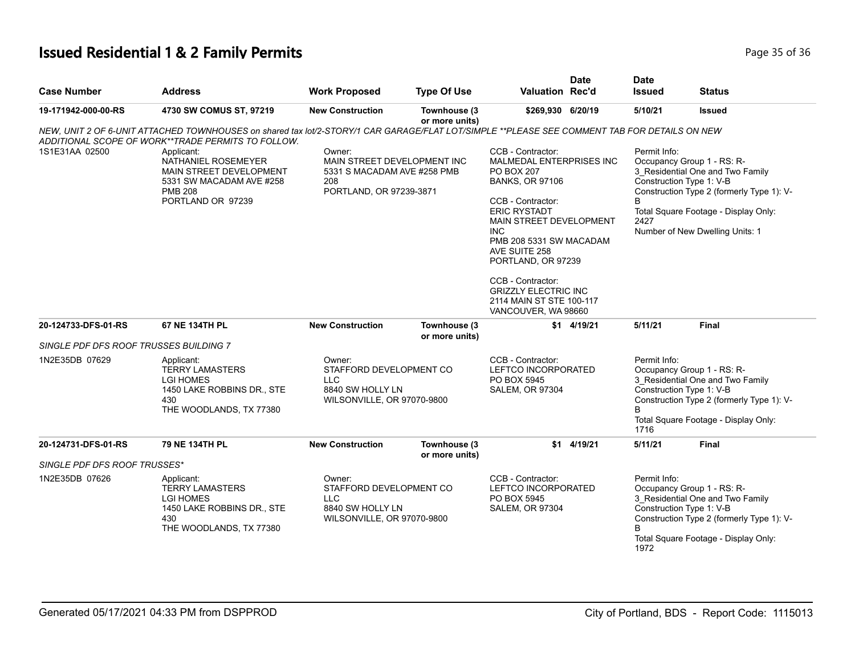# **Issued Residential 1 & 2 Family Permits Page 15 of 36 and 20 July 10 and 20 July 10 and 20 July 20 Page 35 of 36 and 36 and 36 and 36 and 36 and 36 and 36 and 36 and 36 and 36 and 36 and 36 and 36 and 36 and 36 and 36 a**

| <b>Case Number</b>                     | <b>Address</b>                                                                                                                                                                                     | <b>Work Proposed</b>                                                                                   | <b>Type Of Use</b>             | Valuation Rec'd                                                                                                                                                                                                                                                                                         | <b>Date</b> | <b>Date</b><br><b>Issued</b>                                                      | Status                                                                                                                                                                                                             |
|----------------------------------------|----------------------------------------------------------------------------------------------------------------------------------------------------------------------------------------------------|--------------------------------------------------------------------------------------------------------|--------------------------------|---------------------------------------------------------------------------------------------------------------------------------------------------------------------------------------------------------------------------------------------------------------------------------------------------------|-------------|-----------------------------------------------------------------------------------|--------------------------------------------------------------------------------------------------------------------------------------------------------------------------------------------------------------------|
| 19-171942-000-00-RS                    | 4730 SW COMUS ST, 97219                                                                                                                                                                            | <b>New Construction</b>                                                                                | Townhouse (3<br>or more units) | \$269,930 6/20/19                                                                                                                                                                                                                                                                                       |             | 5/10/21                                                                           | <b>Issued</b>                                                                                                                                                                                                      |
|                                        | NEW, UNIT 2 OF 6-UNIT ATTACHED TOWNHOUSES on shared tax lot/2-STORY/1 CAR GARAGE/FLAT LOT/SIMPLE **PLEASE SEE COMMENT TAB FOR DETAILS ON NEW<br>ADDITIONAL SCOPE OF WORK**TRADE PERMITS TO FOLLOW. |                                                                                                        |                                |                                                                                                                                                                                                                                                                                                         |             |                                                                                   |                                                                                                                                                                                                                    |
| 1S1E31AA 02500                         | Applicant:<br>NATHANIEL ROSEMEYER<br>MAIN STREET DEVELOPMENT<br>5331 SW MACADAM AVE #258<br><b>PMB 208</b><br>PORTLAND OR 97239                                                                    | Owner:<br>MAIN STREET DEVELOPMENT INC<br>5331 S MACADAM AVE #258 PMB<br>208<br>PORTLAND, OR 97239-3871 |                                | CCB - Contractor:<br>MALMEDAL ENTERPRISES INC<br><b>PO BOX 207</b><br><b>BANKS, OR 97106</b><br>CCB - Contractor:<br><b>ERIC RYSTADT</b><br>MAIN STREET DEVELOPMENT<br><b>INC</b><br>PMB 208 5331 SW MACADAM<br>AVE SUITE 258<br>PORTLAND, OR 97239<br>CCB - Contractor:<br><b>GRIZZLY ELECTRIC INC</b> |             | Permit Info:<br>B<br>2427                                                         | Occupancy Group 1 - RS: R-<br>3 Residential One and Two Family<br>Construction Type 1: V-B<br>Construction Type 2 (formerly Type 1): V-<br>Total Square Footage - Display Only:<br>Number of New Dwelling Units: 1 |
|                                        |                                                                                                                                                                                                    |                                                                                                        |                                | 2114 MAIN ST STE 100-117<br>VANCOUVER, WA 98660                                                                                                                                                                                                                                                         |             |                                                                                   |                                                                                                                                                                                                                    |
| 20-124733-DFS-01-RS                    | 67 NE 134TH PL                                                                                                                                                                                     | <b>New Construction</b>                                                                                | Townhouse (3<br>or more units) |                                                                                                                                                                                                                                                                                                         | \$1 4/19/21 | 5/11/21                                                                           | <b>Final</b>                                                                                                                                                                                                       |
| SINGLE PDF DFS ROOF TRUSSES BUILDING 7 |                                                                                                                                                                                                    |                                                                                                        |                                |                                                                                                                                                                                                                                                                                                         |             |                                                                                   |                                                                                                                                                                                                                    |
| 1N2E35DB 07629                         | Applicant:<br><b>TERRY LAMASTERS</b><br><b>LGI HOMES</b><br>1450 LAKE ROBBINS DR., STE<br>430<br>THE WOODLANDS, TX 77380                                                                           | Owner:<br>STAFFORD DEVELOPMENT CO<br>LLC<br>8840 SW HOLLY LN<br>WILSONVILLE, OR 97070-9800             |                                | CCB - Contractor:<br>Permit Info:<br>LEFTCO INCORPORATED<br>Occupancy Group 1 - RS: R-<br>3_Residential One and Two Family<br>PO BOX 5945<br>Construction Type 1: V-B<br><b>SALEM, OR 97304</b><br><sub>R</sub><br>1716                                                                                 |             | Construction Type 2 (formerly Type 1): V-<br>Total Square Footage - Display Only: |                                                                                                                                                                                                                    |
| 20-124731-DFS-01-RS                    | 79 NE 134TH PL                                                                                                                                                                                     | <b>New Construction</b>                                                                                | Townhouse (3<br>or more units) |                                                                                                                                                                                                                                                                                                         | \$1 4/19/21 | 5/11/21                                                                           | <b>Final</b>                                                                                                                                                                                                       |
| <b>SINGLE PDF DFS ROOF TRUSSES*</b>    |                                                                                                                                                                                                    |                                                                                                        |                                |                                                                                                                                                                                                                                                                                                         |             |                                                                                   |                                                                                                                                                                                                                    |
| 1N2E35DB 07626                         | Applicant:<br><b>TERRY LAMASTERS</b><br><b>LGI HOMES</b><br>1450 LAKE ROBBINS DR., STE<br>430<br>THE WOODLANDS, TX 77380                                                                           | Owner:<br>STAFFORD DEVELOPMENT CO<br><b>LLC</b><br>8840 SW HOLLY LN<br>WILSONVILLE, OR 97070-9800      |                                | CCB - Contractor:<br>LEFTCO INCORPORATED<br>PO BOX 5945<br>SALEM, OR 97304                                                                                                                                                                                                                              |             | Permit Info:<br>1972                                                              | Occupancy Group 1 - RS: R-<br>3_Residential One and Two Family<br>Construction Type 1: V-B<br>Construction Type 2 (formerly Type 1): V-<br>Total Square Footage - Display Only:                                    |